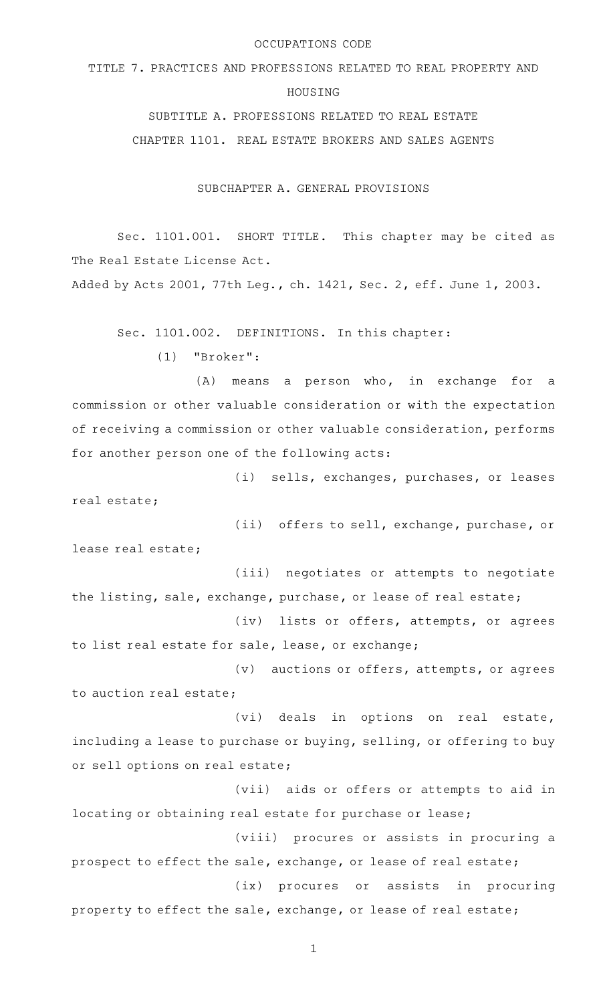### OCCUPATIONS CODE

TITLE 7. PRACTICES AND PROFESSIONS RELATED TO REAL PROPERTY AND

### HOUSING

SUBTITLE A. PROFESSIONS RELATED TO REAL ESTATE

CHAPTER 1101. REAL ESTATE BROKERS AND SALES AGENTS

SUBCHAPTER A. GENERAL PROVISIONS

Sec. 1101.001. SHORT TITLE. This chapter may be cited as The Real Estate License Act.

Added by Acts 2001, 77th Leg., ch. 1421, Sec. 2, eff. June 1, 2003.

Sec. 1101.002. DEFINITIONS. In this chapter:

 $(1)$  "Broker":

 $(A)$  means a person who, in exchange for a commission or other valuable consideration or with the expectation of receiving a commission or other valuable consideration, performs for another person one of the following acts:

(i) sells, exchanges, purchases, or leases real estate;

(ii) offers to sell, exchange, purchase, or lease real estate;

(iii) negotiates or attempts to negotiate the listing, sale, exchange, purchase, or lease of real estate;

(iv) lists or offers, attempts, or agrees to list real estate for sale, lease, or exchange;

 $(v)$  auctions or offers, attempts, or agrees to auction real estate;

(vi) deals in options on real estate, including a lease to purchase or buying, selling, or offering to buy or sell options on real estate;

(vii) aids or offers or attempts to aid in locating or obtaining real estate for purchase or lease;

(viii) procures or assists in procuring a prospect to effect the sale, exchange, or lease of real estate;

property to effect the sale, exchange, or lease of real estate;

(ix) procures or assists in procuring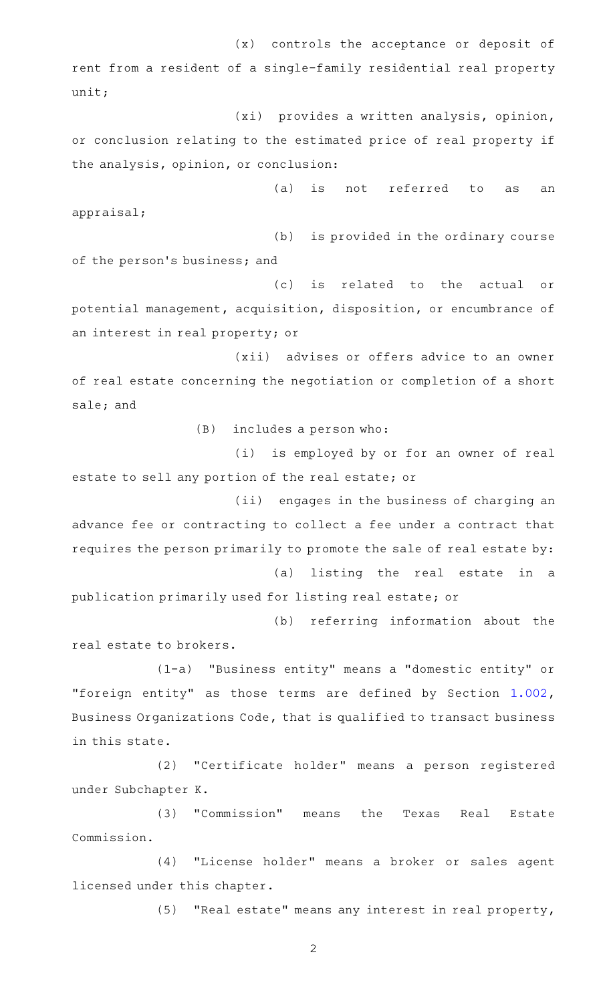$(x)$  controls the acceptance or deposit of rent from a resident of a single-family residential real property unit;

(xi) provides a written analysis, opinion, or conclusion relating to the estimated price of real property if the analysis, opinion, or conclusion:

(a) is not referred to as an appraisal;

 $(b)$  is provided in the ordinary course of the person's business; and

(c) is related to the actual or potential management, acquisition, disposition, or encumbrance of an interest in real property; or

(xii) advises or offers advice to an owner of real estate concerning the negotiation or completion of a short sale; and

 $(B)$  includes a person who:

(i) is employed by or for an owner of real estate to sell any portion of the real estate; or

(ii) engages in the business of charging an advance fee or contracting to collect a fee under a contract that requires the person primarily to promote the sale of real estate by: (a) listing the real estate in a

publication primarily used for listing real estate; or

(b) referring information about the real estate to brokers.

(1-a) "Business entity" means a "domestic entity" or "foreign entity" as those terms are defined by Section [1.002](https://statutes.capitol.texas.gov/GetStatute.aspx?Code=BO&Value=1.002), Business Organizations Code, that is qualified to transact business in this state.

(2) "Certificate holder" means a person registered under Subchapter K.

(3) "Commission" means the Texas Real Estate Commission.

(4) "License holder" means a broker or sales agent licensed under this chapter.

(5) "Real estate" means any interest in real property,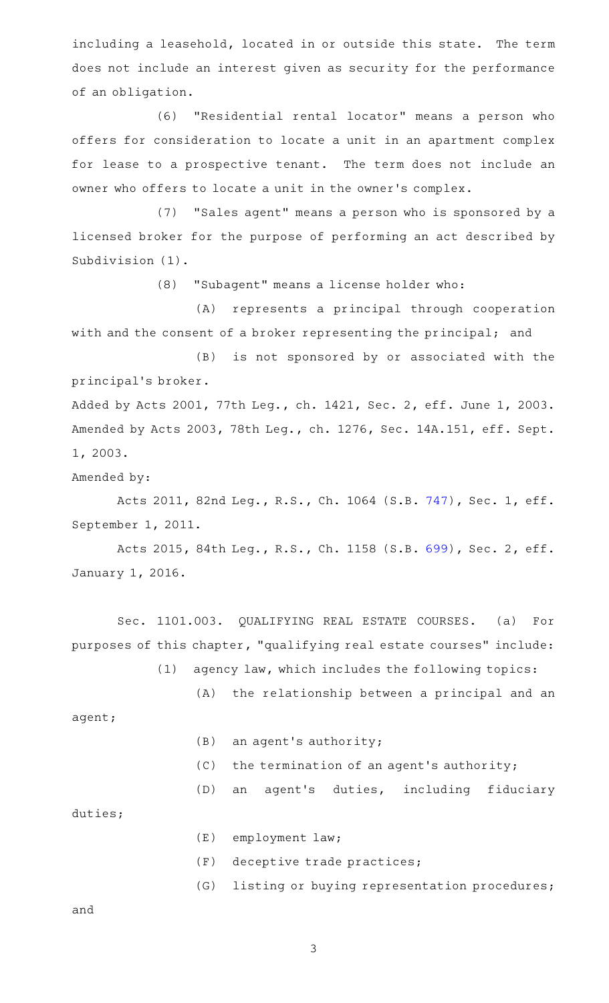including a leasehold, located in or outside this state. The term does not include an interest given as security for the performance of an obligation.

(6) "Residential rental locator" means a person who offers for consideration to locate a unit in an apartment complex for lease to a prospective tenant. The term does not include an owner who offers to locate a unit in the owner 's complex.

(7) "Sales agent" means a person who is sponsored by a licensed broker for the purpose of performing an act described by Subdivision (1).

(8) "Subagent" means a license holder who:

(A) represents a principal through cooperation with and the consent of a broker representing the principal; and

(B) is not sponsored by or associated with the principal 's broker.

Added by Acts 2001, 77th Leg., ch. 1421, Sec. 2, eff. June 1, 2003. Amended by Acts 2003, 78th Leg., ch. 1276, Sec. 14A.151, eff. Sept. 1, 2003.

Amended by:

Acts 2011, 82nd Leg., R.S., Ch. 1064 (S.B. [747](http://www.legis.state.tx.us/tlodocs/82R/billtext/html/SB00747F.HTM)), Sec. 1, eff. September 1, 2011.

Acts 2015, 84th Leg., R.S., Ch. 1158 (S.B. [699](http://www.legis.state.tx.us/tlodocs/84R/billtext/html/SB00699F.HTM)), Sec. 2, eff. January 1, 2016.

Sec. 1101.003. QUALIFYING REAL ESTATE COURSES. (a) For purposes of this chapter, "qualifying real estate courses" include:

 $(1)$  agency law, which includes the following topics:

agent;

- $(B)$  an agent's authority;
- $(C)$  the termination of an agent's authority;

(D) an agent's duties, including fiduciary

(A) the relationship between a principal and an

duties;

- $(E)$  employment law;
- (F) deceptive trade practices;
- (G) listing or buying representation procedures;

and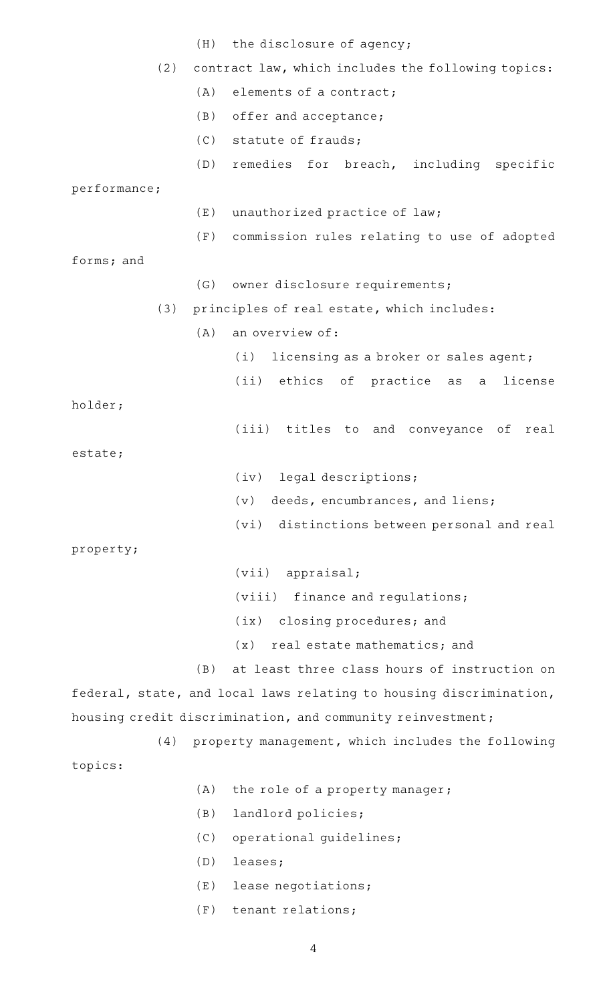|                                                            |     | (H) the disclosure of agency;                                      |
|------------------------------------------------------------|-----|--------------------------------------------------------------------|
| (2)                                                        |     | contract law, which includes the following topics:                 |
|                                                            | (A) | elements of a contract;                                            |
|                                                            | (B) | offer and acceptance;                                              |
|                                                            | (C) | statute of frauds;                                                 |
|                                                            | (D) | remedies for breach, including specific                            |
| performance;                                               |     |                                                                    |
|                                                            | (E) | unauthorized practice of law;                                      |
|                                                            |     | (F) commission rules relating to use of adopted                    |
| forms; and                                                 |     |                                                                    |
|                                                            |     | (G) owner disclosure requirements;                                 |
| (3)                                                        |     | principles of real estate, which includes:                         |
|                                                            | (A) | an overview of:                                                    |
|                                                            |     | licensing as a broker or sales agent;<br>(i)                       |
|                                                            |     | (ii) ethics of practice as a<br>license                            |
| holder;                                                    |     |                                                                    |
|                                                            |     | (iii) titles to and conveyance of<br>real                          |
| estate;                                                    |     |                                                                    |
|                                                            |     | (iv) legal descriptions;                                           |
|                                                            |     | deeds, encumbrances, and liens;<br>(v)                             |
|                                                            |     | (vi) distinctions between personal and real                        |
| property;                                                  |     |                                                                    |
|                                                            |     | (vii)<br>appraisal;                                                |
|                                                            |     | (viii) finance and regulations;                                    |
|                                                            |     | closing procedures; and<br>(ix)                                    |
|                                                            |     | real estate mathematics; and<br>(x)                                |
|                                                            | (B) | at least three class hours of instruction on                       |
|                                                            |     | federal, state, and local laws relating to housing discrimination, |
| housing credit discrimination, and community reinvestment; |     |                                                                    |
| (4)                                                        |     | property management, which includes the following                  |
| topics:                                                    |     |                                                                    |
|                                                            | (A) | the role of a property manager;                                    |
|                                                            | (B) | landlord policies;                                                 |
|                                                            | (C) | operational guidelines;                                            |
|                                                            | (D) | leases;                                                            |
|                                                            | (E) | lease negotiations;                                                |
|                                                            | (F) | tenant relations;                                                  |
|                                                            |     |                                                                    |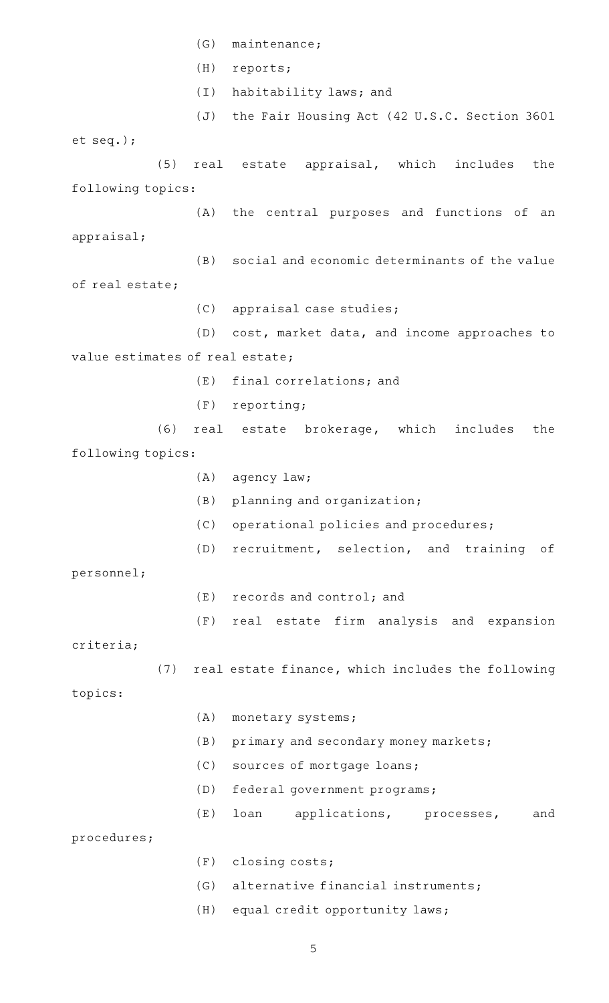(G) maintenance; (H) reports; (I) habitability laws; and (J) the Fair Housing Act (42 U.S.C. Section 3601 et seq.);  $(5)$  real estate appraisal, which includes the following topics: (A) the central purposes and functions of an appraisal; (B) social and economic determinants of the value of real estate; (C) appraisal case studies; (D) cost, market data, and income approaches to value estimates of real estate;  $(E)$  final correlations; and  $(F)$  reporting; (6) real estate brokerage, which includes the following topics:  $(A)$  agency law;  $(B)$  planning and organization; (C) operational policies and procedures; (D) recruitment, selection, and training of personnel;  $(E)$  records and control; and (F) real estate firm analysis and expansion criteria;  $(7)$  real estate finance, which includes the following topics: (A) monetary systems;  $(B)$  primary and secondary money markets; (C) sources of mortgage loans; (D) federal government programs; (E) loan applications, processes, and procedures;  $(F)$  closing costs; (G) alternative financial instruments; (H) equal credit opportunity laws;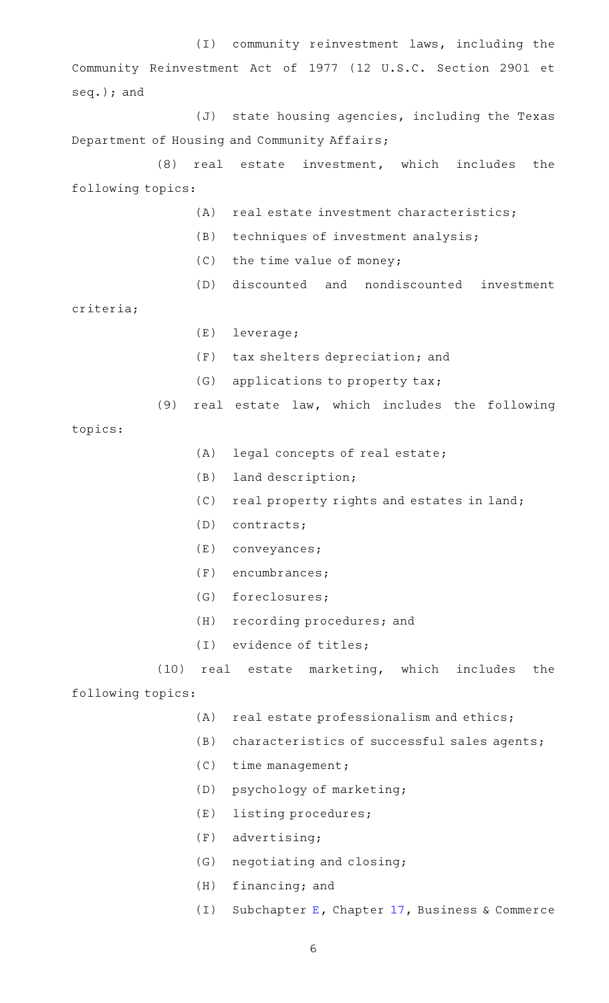(I) community reinvestment laws, including the Community Reinvestment Act of 1977 (12 U.S.C. Section 2901 et seq.); and

 $(J)$  state housing agencies, including the Texas Department of Housing and Community Affairs;

 $(8)$  real estate investment, which includes the following topics:

- $(A)$  real estate investment characteristics;
- $(B)$  techniques of investment analysis;
- $(C)$  the time value of money;
- (D) discounted and nondiscounted investment

criteria;

- (E) leverage;
- (F) tax shelters depreciation; and
- $(G)$  applications to property tax;
- (9) real estate law, which includes the following

topics:

- $(A)$  legal concepts of real estate;
- $(B)$  land description;
- $(C)$  real property rights and estates in land;
- $(D)$  contracts;
- $(E)$  conveyances;
- $(F)$  encumbrances;
- (G) foreclosures;
- (H) recording procedures; and
- (I) evidence of titles;
- (10) real estate marketing, which includes the

following topics:

- $(A)$  real estate professionalism and ethics;
- $(B)$  characteristics of successful sales agents;
- $(C)$  time management;
- (D) psychology of marketing;
- (E) listing procedures;
- $(F)$  advertising;
- (G) negotiating and closing;
- $(H)$  financing; and
- (I) Subchapter [E](https://statutes.capitol.texas.gov/GetStatute.aspx?Code=BC&Value=17.41), Chapter [17](https://statutes.capitol.texas.gov/GetStatute.aspx?Code=BC&Value=17), Business & Commerce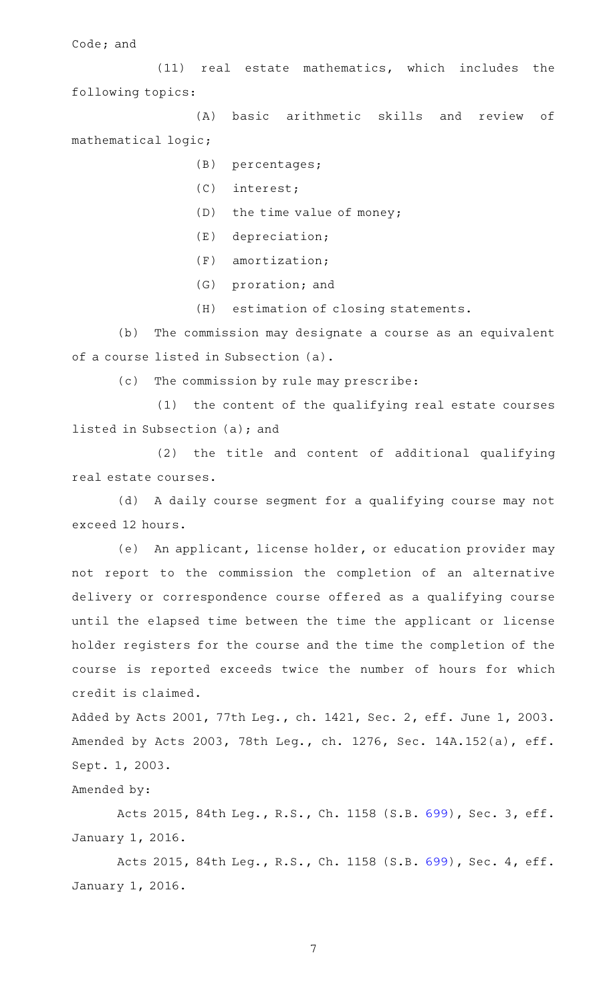Code; and

 $(11)$  real estate mathematics, which includes the following topics:

(A) basic arithmetic skills and review of mathematical logic;

- (B) percentages;
- (C) interest;
- $(D)$  the time value of money;
- $(E)$  depreciation;
- $(F)$  amortization;
- (G) proration; and
- (H) estimation of closing statements.

(b) The commission may designate a course as an equivalent of a course listed in Subsection (a).

(c) The commission by rule may prescribe:

(1) the content of the qualifying real estate courses listed in Subsection (a); and

(2) the title and content of additional qualifying real estate courses.

(d) A daily course segment for a qualifying course may not exceed 12 hours.

(e) An applicant, license holder, or education provider may not report to the commission the completion of an alternative delivery or correspondence course offered as a qualifying course until the elapsed time between the time the applicant or license holder registers for the course and the time the completion of the course is reported exceeds twice the number of hours for which credit is claimed.

Added by Acts 2001, 77th Leg., ch. 1421, Sec. 2, eff. June 1, 2003. Amended by Acts 2003, 78th Leg., ch. 1276, Sec. 14A.152(a), eff. Sept. 1, 2003.

Amended by:

Acts 2015, 84th Leg., R.S., Ch. 1158 (S.B. [699](http://www.legis.state.tx.us/tlodocs/84R/billtext/html/SB00699F.HTM)), Sec. 3, eff. January 1, 2016.

Acts 2015, 84th Leg., R.S., Ch. 1158 (S.B. [699](http://www.legis.state.tx.us/tlodocs/84R/billtext/html/SB00699F.HTM)), Sec. 4, eff. January 1, 2016.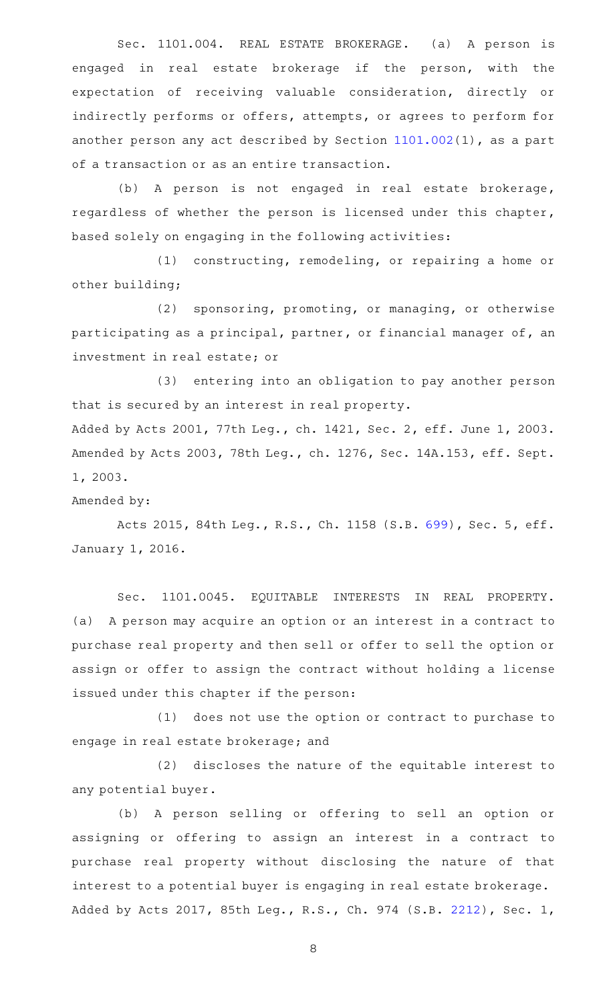Sec. 1101.004. REAL ESTATE BROKERAGE. (a) A person is engaged in real estate brokerage if the person, with the expectation of receiving valuable consideration, directly or indirectly performs or offers, attempts, or agrees to perform for another person any act described by Section [1101.002\(](https://statutes.capitol.texas.gov/GetStatute.aspx?Code=OC&Value=1101.002)1), as a part of a transaction or as an entire transaction.

(b) A person is not engaged in real estate brokerage, regardless of whether the person is licensed under this chapter, based solely on engaging in the following activities:

 $(1)$  constructing, remodeling, or repairing a home or other building;

(2) sponsoring, promoting, or managing, or otherwise participating as a principal, partner, or financial manager of, an investment in real estate; or

(3) entering into an obligation to pay another person that is secured by an interest in real property. Added by Acts 2001, 77th Leg., ch. 1421, Sec. 2, eff. June 1, 2003. Amended by Acts 2003, 78th Leg., ch. 1276, Sec. 14A.153, eff. Sept. 1, 2003.

Amended by:

Acts 2015, 84th Leg., R.S., Ch. 1158 (S.B. [699](http://www.legis.state.tx.us/tlodocs/84R/billtext/html/SB00699F.HTM)), Sec. 5, eff. January 1, 2016.

Sec. 1101.0045. EQUITABLE INTERESTS IN REAL PROPERTY. (a) A person may acquire an option or an interest in a contract to purchase real property and then sell or offer to sell the option or assign or offer to assign the contract without holding a license issued under this chapter if the person:

(1) does not use the option or contract to purchase to engage in real estate brokerage; and

(2) discloses the nature of the equitable interest to any potential buyer.

(b) A person selling or offering to sell an option or assigning or offering to assign an interest in a contract to purchase real property without disclosing the nature of that interest to a potential buyer is engaging in real estate brokerage. Added by Acts 2017, 85th Leg., R.S., Ch. 974 (S.B. [2212](http://www.legis.state.tx.us/tlodocs/85R/billtext/html/SB02212F.HTM)), Sec. 1,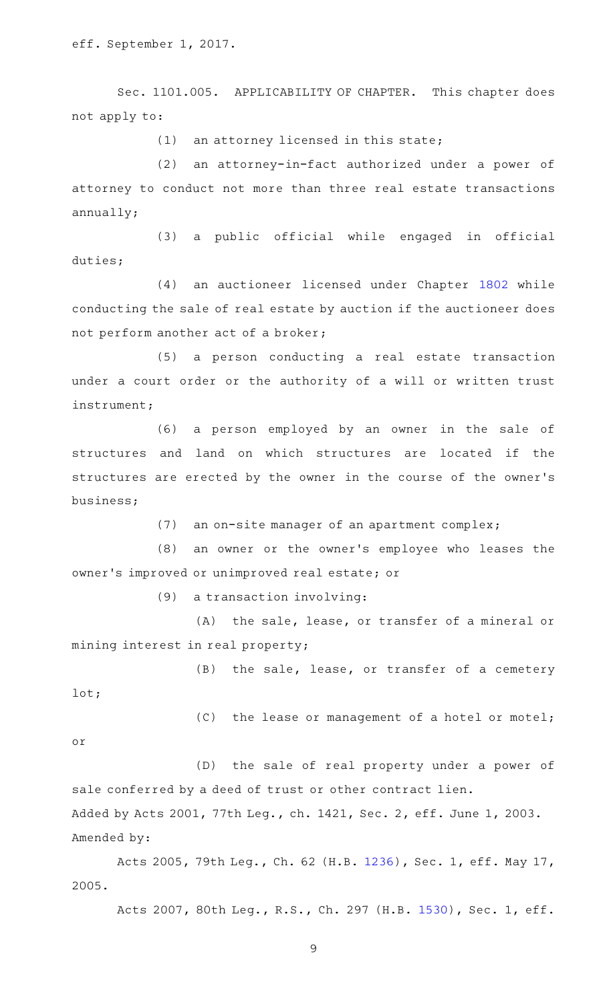eff. September 1, 2017.

Sec. 1101.005. APPLICABILITY OF CHAPTER. This chapter does not apply to:

 $(1)$  an attorney licensed in this state;

(2) an attorney-in-fact authorized under a power of attorney to conduct not more than three real estate transactions annually;

(3) a public official while engaged in official duties;

(4) an auctioneer licensed under Chapter [1802](https://statutes.capitol.texas.gov/GetStatute.aspx?Code=OC&Value=1802) while conducting the sale of real estate by auction if the auctioneer does not perform another act of a broker;

(5) a person conducting a real estate transaction under a court order or the authority of a will or written trust instrument;

(6) a person employed by an owner in the sale of structures and land on which structures are located if the structures are erected by the owner in the course of the owner 's business;

(7) an on-site manager of an apartment complex;

(8) an owner or the owner's employee who leases the owner 's improved or unimproved real estate; or

 $(9)$  a transaction involving:

 $(A)$  the sale, lease, or transfer of a mineral or mining interest in real property;

(B) the sale, lease, or transfer of a cemetery lot;

 $(C)$  the lease or management of a hotel or motel; or

(D) the sale of real property under a power of sale conferred by a deed of trust or other contract lien. Added by Acts 2001, 77th Leg., ch. 1421, Sec. 2, eff. June 1, 2003. Amended by:

Acts 2005, 79th Leg., Ch. 62 (H.B. [1236\)](http://www.legis.state.tx.us/tlodocs/79R/billtext/html/HB01236F.HTM), Sec. 1, eff. May 17, 2005.

Acts 2007, 80th Leg., R.S., Ch. 297 (H.B. [1530](http://www.legis.state.tx.us/tlodocs/80R/billtext/html/HB01530F.HTM)), Sec. 1, eff.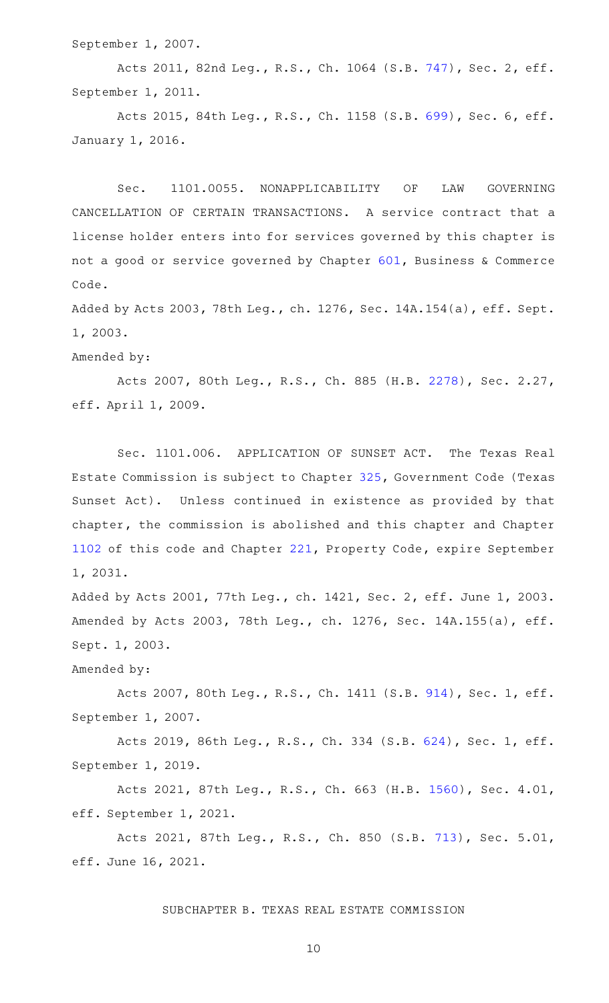September 1, 2007.

Acts 2011, 82nd Leg., R.S., Ch. 1064 (S.B. [747](http://www.legis.state.tx.us/tlodocs/82R/billtext/html/SB00747F.HTM)), Sec. 2, eff. September 1, 2011.

Acts 2015, 84th Leg., R.S., Ch. 1158 (S.B. [699](http://www.legis.state.tx.us/tlodocs/84R/billtext/html/SB00699F.HTM)), Sec. 6, eff. January 1, 2016.

Sec. 1101.0055. NONAPPLICABILITY OF LAW GOVERNING CANCELLATION OF CERTAIN TRANSACTIONS. A service contract that a license holder enters into for services governed by this chapter is not a good or service governed by Chapter [601,](https://statutes.capitol.texas.gov/GetStatute.aspx?Code=BC&Value=601) Business & Commerce Code.

Added by Acts 2003, 78th Leg., ch. 1276, Sec. 14A.154(a), eff. Sept. 1, 2003.

Amended by:

Acts 2007, 80th Leg., R.S., Ch. 885 (H.B. [2278\)](http://www.legis.state.tx.us/tlodocs/80R/billtext/html/HB02278F.HTM), Sec. 2.27, eff. April 1, 2009.

Sec. 1101.006. APPLICATION OF SUNSET ACT. The Texas Real Estate Commission is subject to Chapter [325](https://statutes.capitol.texas.gov/GetStatute.aspx?Code=GV&Value=325), Government Code (Texas Sunset Act). Unless continued in existence as provided by that chapter, the commission is abolished and this chapter and Chapter [1102](https://statutes.capitol.texas.gov/GetStatute.aspx?Code=OC&Value=1102) of this code and Chapter [221,](https://statutes.capitol.texas.gov/GetStatute.aspx?Code=PR&Value=221) Property Code, expire September 1, 2031.

Added by Acts 2001, 77th Leg., ch. 1421, Sec. 2, eff. June 1, 2003. Amended by Acts 2003, 78th Leg., ch. 1276, Sec. 14A.155(a), eff. Sept. 1, 2003.

Amended by:

Acts 2007, 80th Leg., R.S., Ch. 1411 (S.B. [914](http://www.legis.state.tx.us/tlodocs/80R/billtext/html/SB00914F.HTM)), Sec. 1, eff. September 1, 2007.

Acts 2019, 86th Leg., R.S., Ch. 334 (S.B. [624](http://www.legis.state.tx.us/tlodocs/86R/billtext/html/SB00624F.HTM)), Sec. 1, eff. September 1, 2019.

Acts 2021, 87th Leg., R.S., Ch. 663 (H.B. [1560\)](http://www.legis.state.tx.us/tlodocs/87R/billtext/html/HB01560F.HTM), Sec. 4.01, eff. September 1, 2021.

Acts 2021, 87th Leg., R.S., Ch. 850 (S.B. [713](http://www.legis.state.tx.us/tlodocs/87R/billtext/html/SB00713F.HTM)), Sec. 5.01, eff. June 16, 2021.

SUBCHAPTER B. TEXAS REAL ESTATE COMMISSION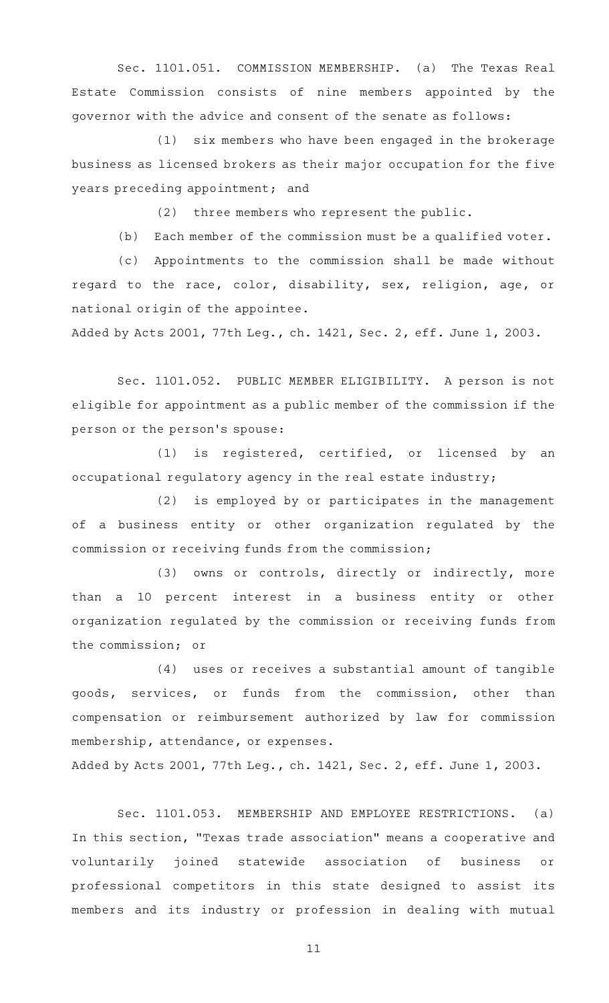Sec. 1101.051. COMMISSION MEMBERSHIP. (a) The Texas Real Estate Commission consists of nine members appointed by the governor with the advice and consent of the senate as follows:

(1) six members who have been engaged in the brokerage business as licensed brokers as their major occupation for the five years preceding appointment; and

(2) three members who represent the public.

 $(b)$  Each member of the commission must be a qualified voter.

(c) Appointments to the commission shall be made without regard to the race, color, disability, sex, religion, age, or national origin of the appointee.

Added by Acts 2001, 77th Leg., ch. 1421, Sec. 2, eff. June 1, 2003.

Sec. 1101.052. PUBLIC MEMBER ELIGIBILITY. A person is not eligible for appointment as a public member of the commission if the person or the person 's spouse:

(1) is registered, certified, or licensed by an occupational regulatory agency in the real estate industry;

 $(2)$  is employed by or participates in the management of a business entity or other organization regulated by the commission or receiving funds from the commission;

(3) owns or controls, directly or indirectly, more than a 10 percent interest in a business entity or other organization regulated by the commission or receiving funds from the commission; or

 $(4)$  uses or receives a substantial amount of tangible goods, services, or funds from the commission, other than compensation or reimbursement authorized by law for commission membership, attendance, or expenses.

Added by Acts 2001, 77th Leg., ch. 1421, Sec. 2, eff. June 1, 2003.

Sec. 1101.053. MEMBERSHIP AND EMPLOYEE RESTRICTIONS. (a) In this section, "Texas trade association" means a cooperative and voluntarily joined statewide association of business or professional competitors in this state designed to assist its members and its industry or profession in dealing with mutual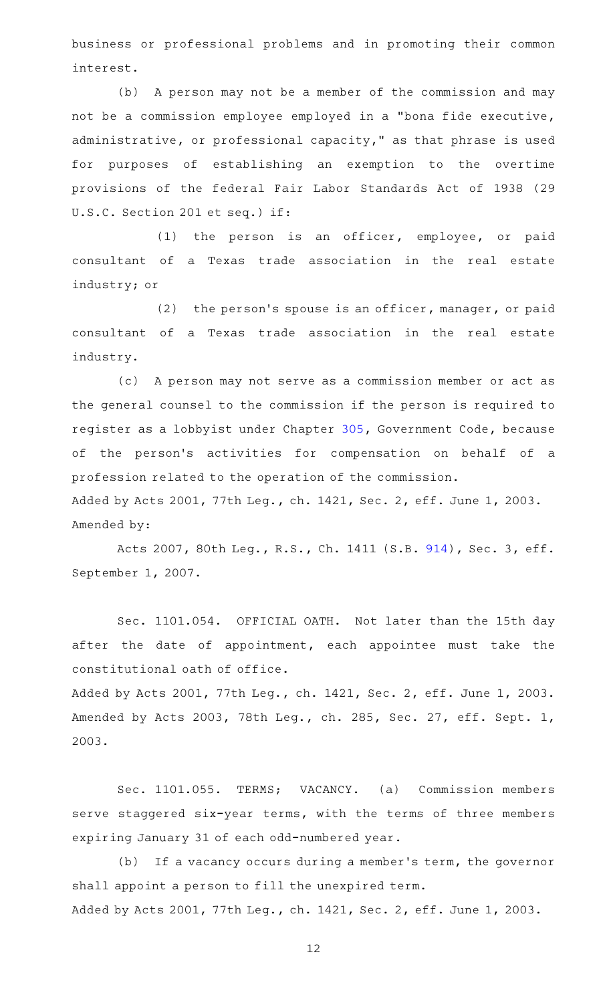business or professional problems and in promoting their common interest.

(b) A person may not be a member of the commission and may not be a commission employee employed in a "bona fide executive, administrative, or professional capacity," as that phrase is used for purposes of establishing an exemption to the overtime provisions of the federal Fair Labor Standards Act of 1938 (29 U.S.C. Section 201 et seq.) if:

 $(1)$  the person is an officer, employee, or paid consultant of a Texas trade association in the real estate industry; or

(2) the person's spouse is an officer, manager, or paid consultant of a Texas trade association in the real estate industry.

(c) A person may not serve as a commission member or act as the general counsel to the commission if the person is required to register as a lobbyist under Chapter [305,](https://statutes.capitol.texas.gov/GetStatute.aspx?Code=GV&Value=305) Government Code, because of the person's activities for compensation on behalf of a profession related to the operation of the commission.

Added by Acts 2001, 77th Leg., ch. 1421, Sec. 2, eff. June 1, 2003. Amended by:

Acts 2007, 80th Leg., R.S., Ch. 1411 (S.B. [914](http://www.legis.state.tx.us/tlodocs/80R/billtext/html/SB00914F.HTM)), Sec. 3, eff. September 1, 2007.

Sec. 1101.054. OFFICIAL OATH. Not later than the 15th day after the date of appointment, each appointee must take the constitutional oath of office.

Added by Acts 2001, 77th Leg., ch. 1421, Sec. 2, eff. June 1, 2003. Amended by Acts 2003, 78th Leg., ch. 285, Sec. 27, eff. Sept. 1, 2003.

Sec. 1101.055. TERMS; VACANCY. (a) Commission members serve staggered six-year terms, with the terms of three members expiring January 31 of each odd-numbered year.

(b) If a vacancy occurs during a member's term, the governor shall appoint a person to fill the unexpired term. Added by Acts 2001, 77th Leg., ch. 1421, Sec. 2, eff. June 1, 2003.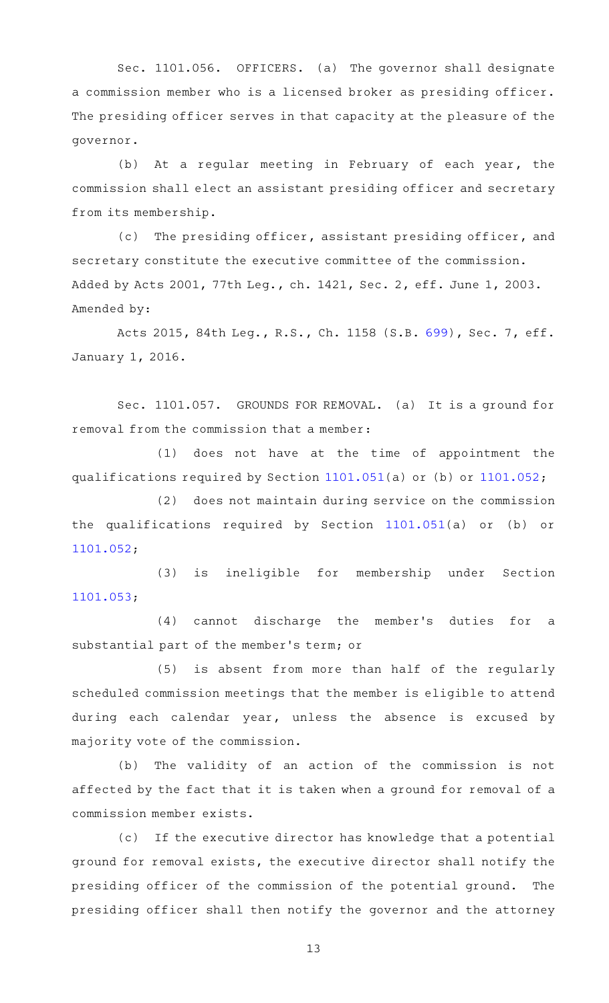Sec. 1101.056. OFFICERS. (a) The governor shall designate a commission member who is a licensed broker as presiding officer. The presiding officer serves in that capacity at the pleasure of the governor.

(b) At a regular meeting in February of each year, the commission shall elect an assistant presiding officer and secretary from its membership.

(c) The presiding officer, assistant presiding officer, and secretary constitute the executive committee of the commission. Added by Acts 2001, 77th Leg., ch. 1421, Sec. 2, eff. June 1, 2003. Amended by:

Acts 2015, 84th Leg., R.S., Ch. 1158 (S.B. [699](http://www.legis.state.tx.us/tlodocs/84R/billtext/html/SB00699F.HTM)), Sec. 7, eff. January 1, 2016.

Sec. 1101.057. GROUNDS FOR REMOVAL. (a) It is a ground for removal from the commission that a member:

 $(1)$  does not have at the time of appointment the qualifications required by Section [1101.051\(](https://statutes.capitol.texas.gov/GetStatute.aspx?Code=OC&Value=1101.051)a) or (b) or [1101.052](https://statutes.capitol.texas.gov/GetStatute.aspx?Code=OC&Value=1101.052);

(2) does not maintain during service on the commission the qualifications required by Section [1101.051](https://statutes.capitol.texas.gov/GetStatute.aspx?Code=OC&Value=1101.051)(a) or (b) or [1101.052](https://statutes.capitol.texas.gov/GetStatute.aspx?Code=OC&Value=1101.052);

(3) is ineligible for membership under Section [1101.053](https://statutes.capitol.texas.gov/GetStatute.aspx?Code=OC&Value=1101.053);

(4) cannot discharge the member's duties for a substantial part of the member 's term; or

(5) is absent from more than half of the regularly scheduled commission meetings that the member is eligible to attend during each calendar year, unless the absence is excused by majority vote of the commission.

(b) The validity of an action of the commission is not affected by the fact that it is taken when a ground for removal of a commission member exists.

(c) If the executive director has knowledge that a potential ground for removal exists, the executive director shall notify the presiding officer of the commission of the potential ground. The presiding officer shall then notify the governor and the attorney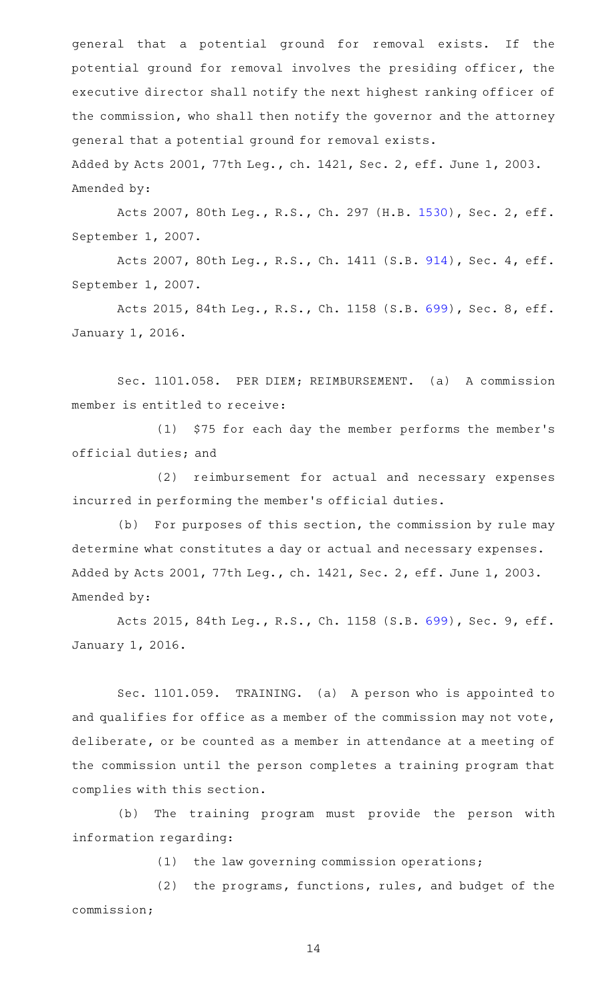general that a potential ground for removal exists. If the potential ground for removal involves the presiding officer, the executive director shall notify the next highest ranking officer of the commission, who shall then notify the governor and the attorney general that a potential ground for removal exists. Added by Acts 2001, 77th Leg., ch. 1421, Sec. 2, eff. June 1, 2003.

Amended by:

Acts 2007, 80th Leg., R.S., Ch. 297 (H.B. [1530](http://www.legis.state.tx.us/tlodocs/80R/billtext/html/HB01530F.HTM)), Sec. 2, eff. September 1, 2007.

Acts 2007, 80th Leg., R.S., Ch. 1411 (S.B. [914](http://www.legis.state.tx.us/tlodocs/80R/billtext/html/SB00914F.HTM)), Sec. 4, eff. September 1, 2007.

Acts 2015, 84th Leg., R.S., Ch. 1158 (S.B. [699](http://www.legis.state.tx.us/tlodocs/84R/billtext/html/SB00699F.HTM)), Sec. 8, eff. January 1, 2016.

Sec. 1101.058. PER DIEM; REIMBURSEMENT. (a) A commission member is entitled to receive:

(1) \$75 for each day the member performs the member's official duties; and

(2) reimbursement for actual and necessary expenses incurred in performing the member 's official duties.

(b) For purposes of this section, the commission by rule may determine what constitutes a day or actual and necessary expenses. Added by Acts 2001, 77th Leg., ch. 1421, Sec. 2, eff. June 1, 2003. Amended by:

Acts 2015, 84th Leg., R.S., Ch. 1158 (S.B. [699](http://www.legis.state.tx.us/tlodocs/84R/billtext/html/SB00699F.HTM)), Sec. 9, eff. January 1, 2016.

Sec. 1101.059. TRAINING. (a) A person who is appointed to and qualifies for office as a member of the commission may not vote, deliberate, or be counted as a member in attendance at a meeting of the commission until the person completes a training program that complies with this section.

(b) The training program must provide the person with information regarding:

 $(1)$  the law governing commission operations;

(2) the programs, functions, rules, and budget of the commission;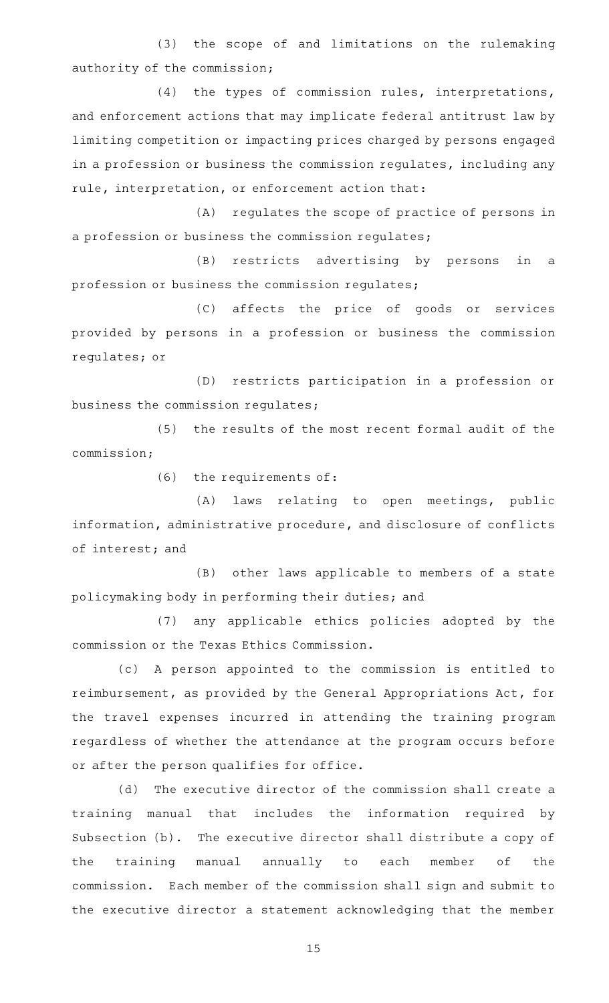(3) the scope of and limitations on the rulemaking authority of the commission;

(4) the types of commission rules, interpretations, and enforcement actions that may implicate federal antitrust law by limiting competition or impacting prices charged by persons engaged in a profession or business the commission regulates, including any rule, interpretation, or enforcement action that:

(A) regulates the scope of practice of persons in a profession or business the commission regulates;

(B) restricts advertising by persons in a profession or business the commission regulates;

(C) affects the price of goods or services provided by persons in a profession or business the commission regulates; or

(D) restricts participation in a profession or business the commission regulates;

(5) the results of the most recent formal audit of the commission;

 $(6)$  the requirements of:

(A) laws relating to open meetings, public information, administrative procedure, and disclosure of conflicts of interest; and

(B) other laws applicable to members of a state policymaking body in performing their duties; and

(7) any applicable ethics policies adopted by the commission or the Texas Ethics Commission.

(c)AAA person appointed to the commission is entitled to reimbursement, as provided by the General Appropriations Act, for the travel expenses incurred in attending the training program regardless of whether the attendance at the program occurs before or after the person qualifies for office.

(d) The executive director of the commission shall create a training manual that includes the information required by Subsection (b). The executive director shall distribute a copy of the training manual annually to each member of the commission. Each member of the commission shall sign and submit to the executive director a statement acknowledging that the member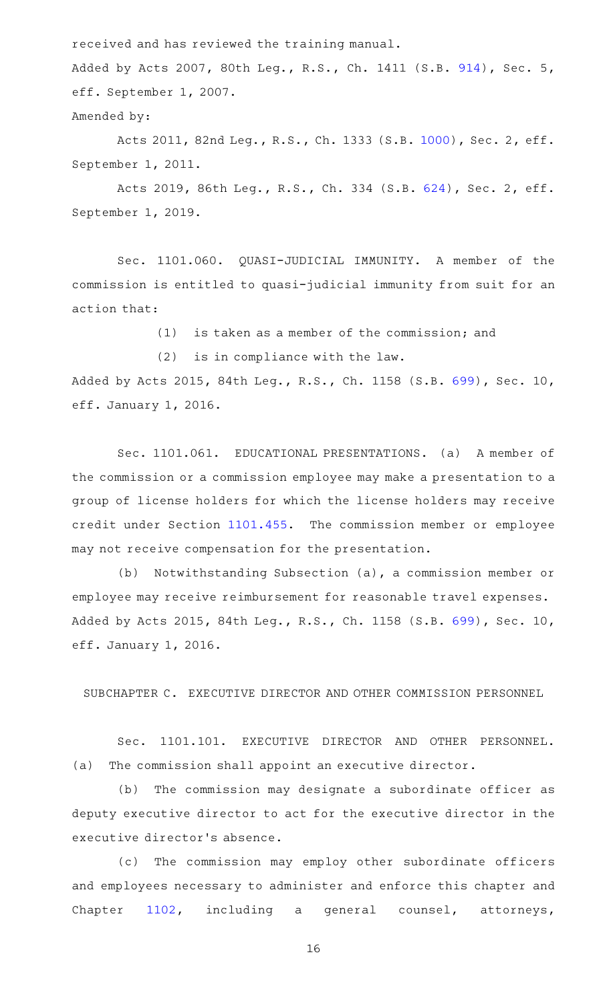received and has reviewed the training manual.

Added by Acts 2007, 80th Leg., R.S., Ch. 1411 (S.B. [914](http://www.legis.state.tx.us/tlodocs/80R/billtext/html/SB00914F.HTM)), Sec. 5, eff. September 1, 2007.

Amended by:

Acts 2011, 82nd Leg., R.S., Ch. 1333 (S.B. [1000](http://www.legis.state.tx.us/tlodocs/82R/billtext/html/SB01000F.HTM)), Sec. 2, eff. September 1, 2011.

Acts 2019, 86th Leg., R.S., Ch. 334 (S.B. [624](http://www.legis.state.tx.us/tlodocs/86R/billtext/html/SB00624F.HTM)), Sec. 2, eff. September 1, 2019.

Sec. 1101.060. QUASI-JUDICIAL IMMUNITY. A member of the commission is entitled to quasi-judicial immunity from suit for an action that:

 $(1)$  is taken as a member of the commission; and

 $(2)$  is in compliance with the law.

Added by Acts 2015, 84th Leg., R.S., Ch. 1158 (S.B. [699\)](http://www.legis.state.tx.us/tlodocs/84R/billtext/html/SB00699F.HTM), Sec. 10, eff. January 1, 2016.

Sec. 1101.061. EDUCATIONAL PRESENTATIONS. (a) A member of the commission or a commission employee may make a presentation to a group of license holders for which the license holders may receive credit under Section [1101.455.](https://statutes.capitol.texas.gov/GetStatute.aspx?Code=OC&Value=1101.455) The commission member or employee may not receive compensation for the presentation.

(b) Notwithstanding Subsection (a), a commission member or employee may receive reimbursement for reasonable travel expenses. Added by Acts 2015, 84th Leg., R.S., Ch. 1158 (S.B. [699\)](http://www.legis.state.tx.us/tlodocs/84R/billtext/html/SB00699F.HTM), Sec. 10, eff. January 1, 2016.

SUBCHAPTER C. EXECUTIVE DIRECTOR AND OTHER COMMISSION PERSONNEL

Sec. 1101.101. EXECUTIVE DIRECTOR AND OTHER PERSONNEL. (a) The commission shall appoint an executive director.

(b) The commission may designate a subordinate officer as deputy executive director to act for the executive director in the executive director 's absence.

(c) The commission may employ other subordinate officers and employees necessary to administer and enforce this chapter and Chapter [1102,](https://statutes.capitol.texas.gov/GetStatute.aspx?Code=OC&Value=1102) including a general counsel, attorneys,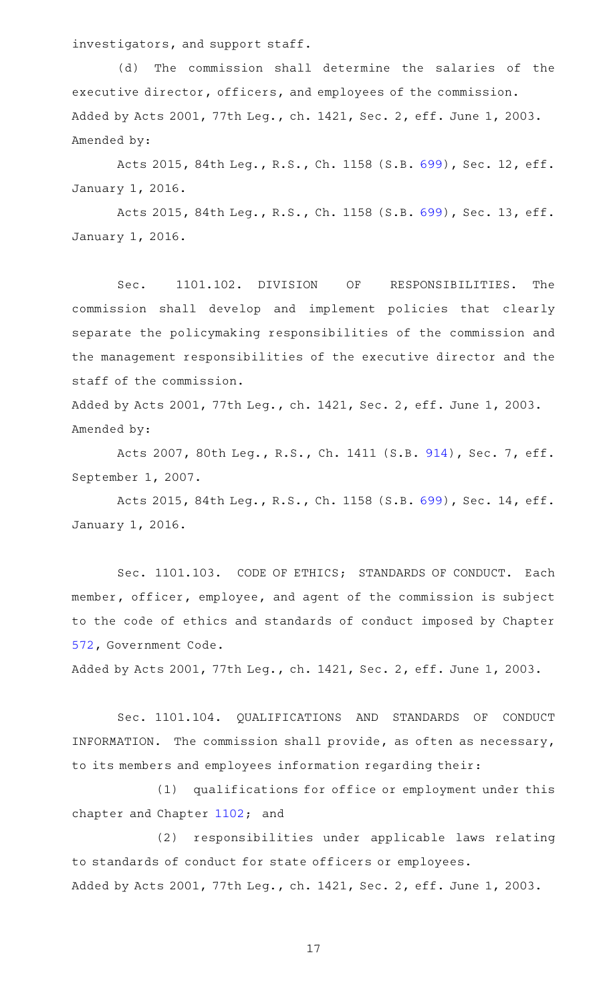investigators, and support staff.

(d) The commission shall determine the salaries of the executive director, officers, and employees of the commission. Added by Acts 2001, 77th Leg., ch. 1421, Sec. 2, eff. June 1, 2003. Amended by:

Acts 2015, 84th Leg., R.S., Ch. 1158 (S.B. [699\)](http://www.legis.state.tx.us/tlodocs/84R/billtext/html/SB00699F.HTM), Sec. 12, eff. January 1, 2016.

Acts 2015, 84th Leg., R.S., Ch. 1158 (S.B. [699\)](http://www.legis.state.tx.us/tlodocs/84R/billtext/html/SB00699F.HTM), Sec. 13, eff. January 1, 2016.

Sec. 1101.102. DIVISION OF RESPONSIBILITIES. The commission shall develop and implement policies that clearly separate the policymaking responsibilities of the commission and the management responsibilities of the executive director and the staff of the commission.

Added by Acts 2001, 77th Leg., ch. 1421, Sec. 2, eff. June 1, 2003. Amended by:

Acts 2007, 80th Leg., R.S., Ch. 1411 (S.B. [914](http://www.legis.state.tx.us/tlodocs/80R/billtext/html/SB00914F.HTM)), Sec. 7, eff. September 1, 2007.

Acts 2015, 84th Leg., R.S., Ch. 1158 (S.B. [699\)](http://www.legis.state.tx.us/tlodocs/84R/billtext/html/SB00699F.HTM), Sec. 14, eff. January 1, 2016.

Sec. 1101.103. CODE OF ETHICS; STANDARDS OF CONDUCT. Each member, officer, employee, and agent of the commission is subject to the code of ethics and standards of conduct imposed by Chapter [572,](https://statutes.capitol.texas.gov/GetStatute.aspx?Code=GV&Value=572) Government Code.

Added by Acts 2001, 77th Leg., ch. 1421, Sec. 2, eff. June 1, 2003.

Sec. 1101.104. QUALIFICATIONS AND STANDARDS OF CONDUCT INFORMATION. The commission shall provide, as often as necessary, to its members and employees information regarding their:

(1) qualifications for office or employment under this chapter and Chapter [1102;](https://statutes.capitol.texas.gov/GetStatute.aspx?Code=OC&Value=1102) and

(2) responsibilities under applicable laws relating to standards of conduct for state officers or employees. Added by Acts 2001, 77th Leg., ch. 1421, Sec. 2, eff. June 1, 2003.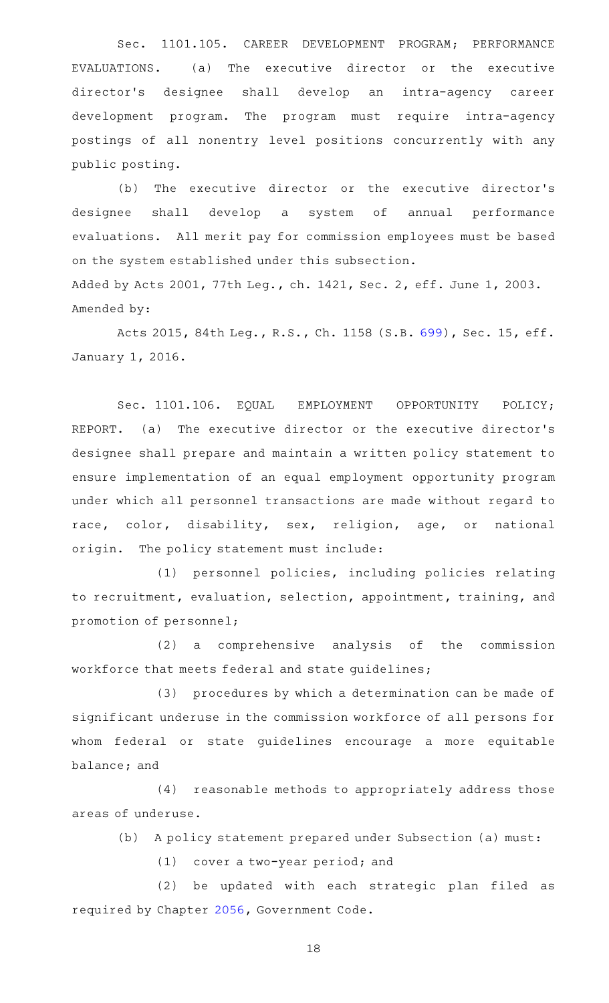Sec. 1101.105. CAREER DEVELOPMENT PROGRAM; PERFORMANCE  $EVALUATIONS.$  (a) The executive director or the executive director 's designee shall develop an intra-agency career development program. The program must require intra-agency postings of all nonentry level positions concurrently with any public posting.

(b) The executive director or the executive director's designee shall develop a system of annual performance evaluations. All merit pay for commission employees must be based on the system established under this subsection. Added by Acts 2001, 77th Leg., ch. 1421, Sec. 2, eff. June 1, 2003. Amended by:

Acts 2015, 84th Leg., R.S., Ch. 1158 (S.B. [699\)](http://www.legis.state.tx.us/tlodocs/84R/billtext/html/SB00699F.HTM), Sec. 15, eff. January 1, 2016.

Sec. 1101.106. EQUAL EMPLOYMENT OPPORTUNITY POLICY; REPORT. (a) The executive director or the executive director's designee shall prepare and maintain a written policy statement to ensure implementation of an equal employment opportunity program under which all personnel transactions are made without regard to race, color, disability, sex, religion, age, or national origin. The policy statement must include:

(1) personnel policies, including policies relating to recruitment, evaluation, selection, appointment, training, and promotion of personnel;

(2) a comprehensive analysis of the commission workforce that meets federal and state guidelines;

(3) procedures by which a determination can be made of significant underuse in the commission workforce of all persons for whom federal or state guidelines encourage a more equitable balance; and

(4) reasonable methods to appropriately address those areas of underuse.

(b) A policy statement prepared under Subsection (a) must:

 $(1)$  cover a two-year period; and

(2) be updated with each strategic plan filed as required by Chapter [2056,](https://statutes.capitol.texas.gov/GetStatute.aspx?Code=GV&Value=2056) Government Code.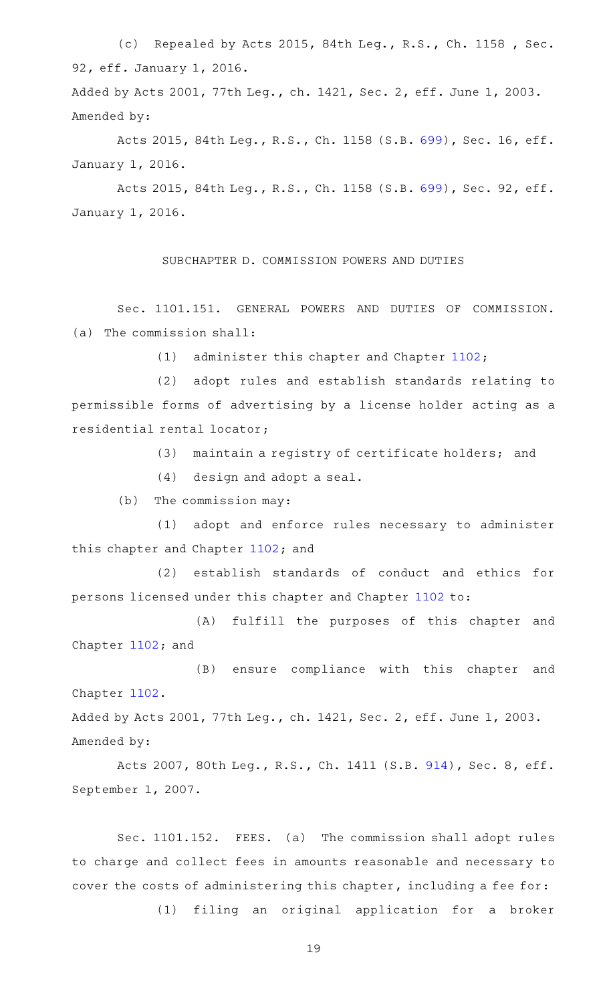(c) Repealed by Acts 2015, 84th Leg., R.S., Ch. 1158, Sec. 92, eff. January 1, 2016.

Added by Acts 2001, 77th Leg., ch. 1421, Sec. 2, eff. June 1, 2003. Amended by:

Acts 2015, 84th Leg., R.S., Ch. 1158 (S.B. [699\)](http://www.legis.state.tx.us/tlodocs/84R/billtext/html/SB00699F.HTM), Sec. 16, eff. January 1, 2016.

Acts 2015, 84th Leg., R.S., Ch. 1158 (S.B. [699\)](http://www.legis.state.tx.us/tlodocs/84R/billtext/html/SB00699F.HTM), Sec. 92, eff. January 1, 2016.

SUBCHAPTER D. COMMISSION POWERS AND DUTIES

Sec. 1101.151. GENERAL POWERS AND DUTIES OF COMMISSION. (a) The commission shall:

(1) administer this chapter and Chapter [1102;](https://statutes.capitol.texas.gov/GetStatute.aspx?Code=OC&Value=1102)

(2) adopt rules and establish standards relating to permissible forms of advertising by a license holder acting as a residential rental locator;

(3) maintain a registry of certificate holders; and

 $(4)$  design and adopt a seal.

 $(b)$  The commission may:

(1) adopt and enforce rules necessary to administer this chapter and Chapter [1102;](https://statutes.capitol.texas.gov/GetStatute.aspx?Code=OC&Value=1102) and

(2) establish standards of conduct and ethics for persons licensed under this chapter and Chapter [1102](https://statutes.capitol.texas.gov/GetStatute.aspx?Code=OC&Value=1102) to:

(A) fulfill the purposes of this chapter and Chapter [1102](https://statutes.capitol.texas.gov/GetStatute.aspx?Code=OC&Value=1102); and

(B) ensure compliance with this chapter and Chapter [1102](https://statutes.capitol.texas.gov/GetStatute.aspx?Code=OC&Value=1102).

Added by Acts 2001, 77th Leg., ch. 1421, Sec. 2, eff. June 1, 2003. Amended by:

Acts 2007, 80th Leg., R.S., Ch. 1411 (S.B. [914](http://www.legis.state.tx.us/tlodocs/80R/billtext/html/SB00914F.HTM)), Sec. 8, eff. September 1, 2007.

Sec. 1101.152. FEES. (a) The commission shall adopt rules to charge and collect fees in amounts reasonable and necessary to cover the costs of administering this chapter, including a fee for:

(1) filing an original application for a broker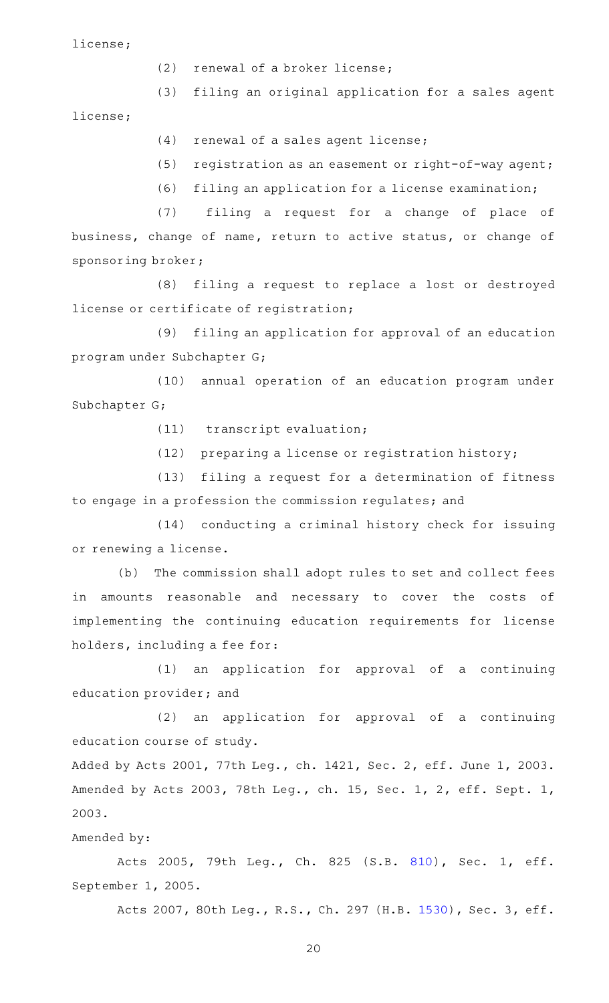license;

- (2) renewal of a broker license;
- (3) filing an original application for a sales agent

license;

- $(4)$  renewal of a sales agent license;
- (5) registration as an easement or right-of-way agent;
- (6) filing an application for a license examination;

(7) filing a request for a change of place of business, change of name, return to active status, or change of sponsoring broker;

(8) filing a request to replace a lost or destroyed license or certificate of registration;

(9) filing an application for approval of an education program under Subchapter G;

(10) annual operation of an education program under Subchapter G;

(11) transcript evaluation;

 $(12)$  preparing a license or registration history;

(13) filing a request for a determination of fitness to engage in a profession the commission regulates; and

(14) conducting a criminal history check for issuing or renewing a license.

(b) The commission shall adopt rules to set and collect fees in amounts reasonable and necessary to cover the costs of implementing the continuing education requirements for license holders, including a fee for:

(1) an application for approval of a continuing education provider; and

(2) an application for approval of a continuing education course of study.

Added by Acts 2001, 77th Leg., ch. 1421, Sec. 2, eff. June 1, 2003. Amended by Acts 2003, 78th Leg., ch. 15, Sec. 1, 2, eff. Sept. 1, 2003.

# Amended by:

Acts 2005, 79th Leg., Ch. 825 (S.B. [810\)](http://www.legis.state.tx.us/tlodocs/79R/billtext/html/SB00810F.HTM), Sec. 1, eff. September 1, 2005.

Acts 2007, 80th Leg., R.S., Ch. 297 (H.B. [1530](http://www.legis.state.tx.us/tlodocs/80R/billtext/html/HB01530F.HTM)), Sec. 3, eff.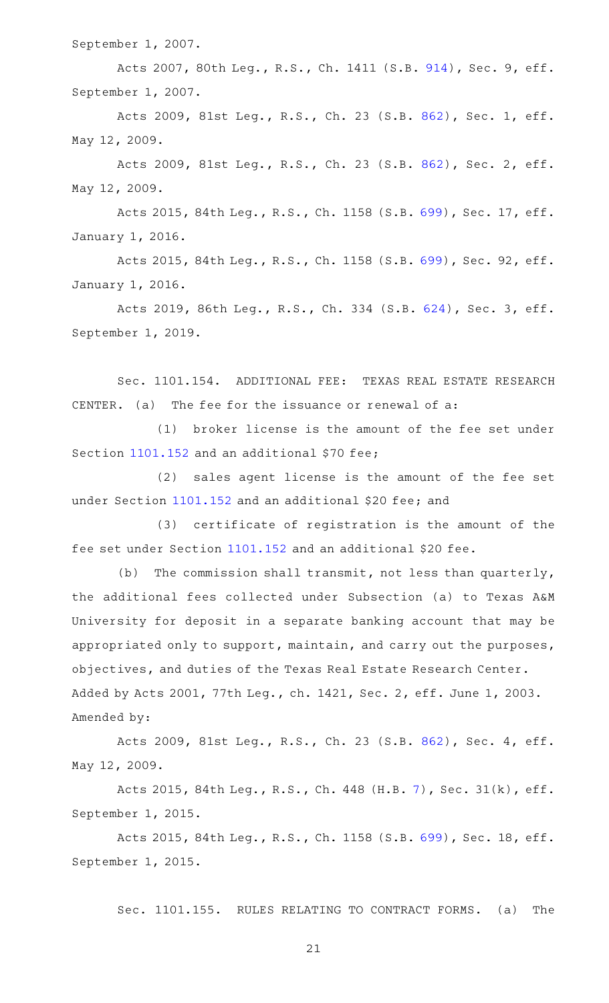September 1, 2007.

Acts 2007, 80th Leg., R.S., Ch. 1411 (S.B. [914](http://www.legis.state.tx.us/tlodocs/80R/billtext/html/SB00914F.HTM)), Sec. 9, eff. September 1, 2007.

Acts 2009, 81st Leg., R.S., Ch. 23 (S.B. [862](http://www.legis.state.tx.us/tlodocs/81R/billtext/html/SB00862F.HTM)), Sec. 1, eff. May 12, 2009.

Acts 2009, 81st Leg., R.S., Ch. 23 (S.B. [862](http://www.legis.state.tx.us/tlodocs/81R/billtext/html/SB00862F.HTM)), Sec. 2, eff. May 12, 2009.

Acts 2015, 84th Leg., R.S., Ch. 1158 (S.B. [699\)](http://www.legis.state.tx.us/tlodocs/84R/billtext/html/SB00699F.HTM), Sec. 17, eff. January 1, 2016.

Acts 2015, 84th Leg., R.S., Ch. 1158 (S.B. [699\)](http://www.legis.state.tx.us/tlodocs/84R/billtext/html/SB00699F.HTM), Sec. 92, eff. January 1, 2016.

Acts 2019, 86th Leg., R.S., Ch. 334 (S.B. [624](http://www.legis.state.tx.us/tlodocs/86R/billtext/html/SB00624F.HTM)), Sec. 3, eff. September 1, 2019.

Sec. 1101.154. ADDITIONAL FEE: TEXAS REAL ESTATE RESEARCH CENTER. (a) The fee for the issuance or renewal of  $a$ :

(1) broker license is the amount of the fee set under Section [1101.152](https://statutes.capitol.texas.gov/GetStatute.aspx?Code=OC&Value=1101.152) and an additional \$70 fee;

(2) sales agent license is the amount of the fee set under Section [1101.152](https://statutes.capitol.texas.gov/GetStatute.aspx?Code=OC&Value=1101.152) and an additional \$20 fee; and

(3) certificate of registration is the amount of the fee set under Section [1101.152](https://statutes.capitol.texas.gov/GetStatute.aspx?Code=OC&Value=1101.152) and an additional \$20 fee.

(b) The commission shall transmit, not less than quarterly, the additional fees collected under Subsection (a) to Texas A&M University for deposit in a separate banking account that may be appropriated only to support, maintain, and carry out the purposes, objectives, and duties of the Texas Real Estate Research Center. Added by Acts 2001, 77th Leg., ch. 1421, Sec. 2, eff. June 1, 2003. Amended by:

Acts 2009, 81st Leg., R.S., Ch. 23 (S.B. [862](http://www.legis.state.tx.us/tlodocs/81R/billtext/html/SB00862F.HTM)), Sec. 4, eff. May 12, 2009.

Acts 2015, 84th Leg., R.S., Ch. 448 (H.B. [7](http://www.legis.state.tx.us/tlodocs/84R/billtext/html/HB00007F.HTM)), Sec. 31(k), eff. September 1, 2015.

Acts 2015, 84th Leg., R.S., Ch. 1158 (S.B. [699\)](http://www.legis.state.tx.us/tlodocs/84R/billtext/html/SB00699F.HTM), Sec. 18, eff. September 1, 2015.

Sec. 1101.155. RULES RELATING TO CONTRACT FORMS. (a) The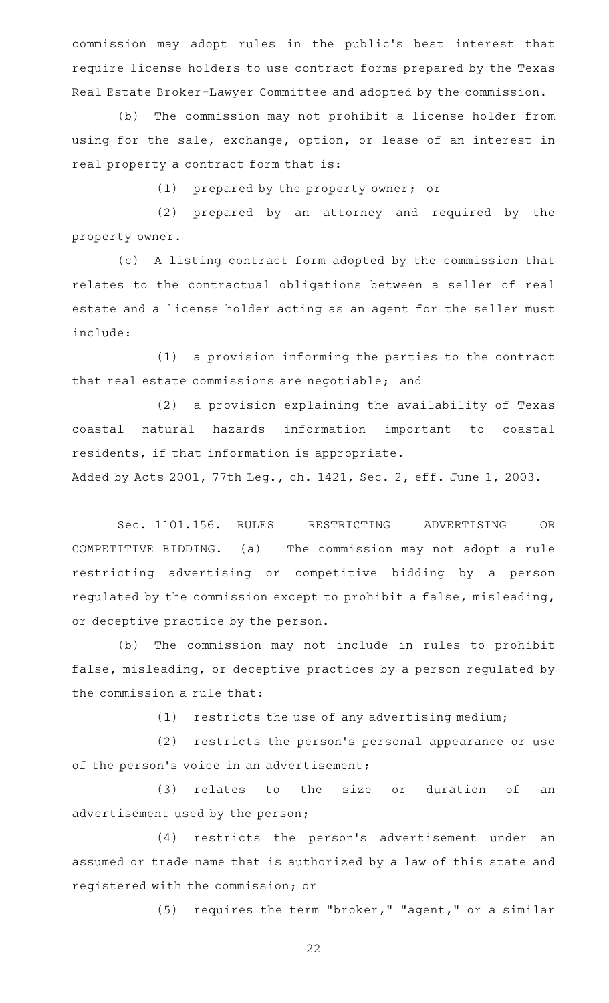commission may adopt rules in the public 's best interest that require license holders to use contract forms prepared by the Texas Real Estate Broker-Lawyer Committee and adopted by the commission.

(b) The commission may not prohibit a license holder from using for the sale, exchange, option, or lease of an interest in real property a contract form that is:

(1) prepared by the property owner; or

(2) prepared by an attorney and required by the property owner.

(c) A listing contract form adopted by the commission that relates to the contractual obligations between a seller of real estate and a license holder acting as an agent for the seller must include:

(1) a provision informing the parties to the contract that real estate commissions are negotiable; and

(2) a provision explaining the availability of Texas coastal natural hazards information important to coastal residents, if that information is appropriate.

Added by Acts 2001, 77th Leg., ch. 1421, Sec. 2, eff. June 1, 2003.

Sec. 1101.156. RULES RESTRICTING ADVERTISING OR COMPETITIVE BIDDING. (a) The commission may not adopt a rule restricting advertising or competitive bidding by a person regulated by the commission except to prohibit a false, misleading, or deceptive practice by the person.

(b) The commission may not include in rules to prohibit false, misleading, or deceptive practices by a person regulated by the commission a rule that:

 $(1)$  restricts the use of any advertising medium;

(2) restricts the person's personal appearance or use of the person's voice in an advertisement;

(3) relates to the size or duration of an advertisement used by the person;

(4) restricts the person's advertisement under an assumed or trade name that is authorized by a law of this state and registered with the commission; or

(5) requires the term "broker," "agent," or a similar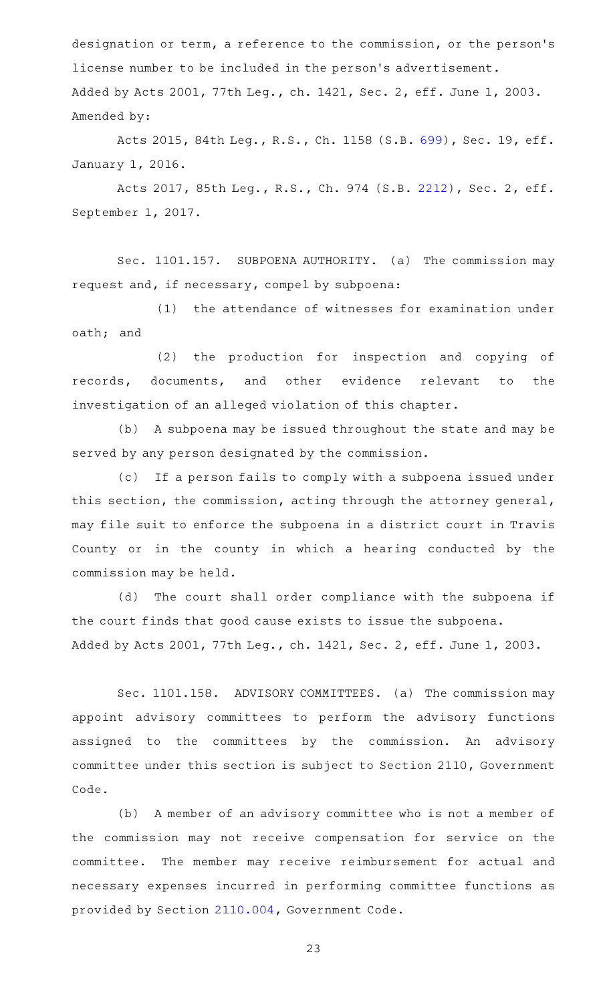designation or term, a reference to the commission, or the person 's license number to be included in the person 's advertisement. Added by Acts 2001, 77th Leg., ch. 1421, Sec. 2, eff. June 1, 2003. Amended by:

Acts 2015, 84th Leg., R.S., Ch. 1158 (S.B. [699\)](http://www.legis.state.tx.us/tlodocs/84R/billtext/html/SB00699F.HTM), Sec. 19, eff. January 1, 2016.

Acts 2017, 85th Leg., R.S., Ch. 974 (S.B. [2212](http://www.legis.state.tx.us/tlodocs/85R/billtext/html/SB02212F.HTM)), Sec. 2, eff. September 1, 2017.

Sec. 1101.157. SUBPOENA AUTHORITY. (a) The commission may request and, if necessary, compel by subpoena:

(1) the attendance of witnesses for examination under oath; and

(2) the production for inspection and copying of records, documents, and other evidence relevant to the investigation of an alleged violation of this chapter.

(b) A subpoena may be issued throughout the state and may be served by any person designated by the commission.

(c) If a person fails to comply with a subpoena issued under this section, the commission, acting through the attorney general, may file suit to enforce the subpoena in a district court in Travis County or in the county in which a hearing conducted by the commission may be held.

(d) The court shall order compliance with the subpoena if the court finds that good cause exists to issue the subpoena. Added by Acts 2001, 77th Leg., ch. 1421, Sec. 2, eff. June 1, 2003.

Sec. 1101.158. ADVISORY COMMITTEES. (a) The commission may appoint advisory committees to perform the advisory functions assigned to the committees by the commission. An advisory committee under this section is subject to Section 2110, Government Code.

(b) A member of an advisory committee who is not a member of the commission may not receive compensation for service on the committee. The member may receive reimbursement for actual and necessary expenses incurred in performing committee functions as provided by Section [2110.004,](https://statutes.capitol.texas.gov/GetStatute.aspx?Code=GV&Value=2110.004) Government Code.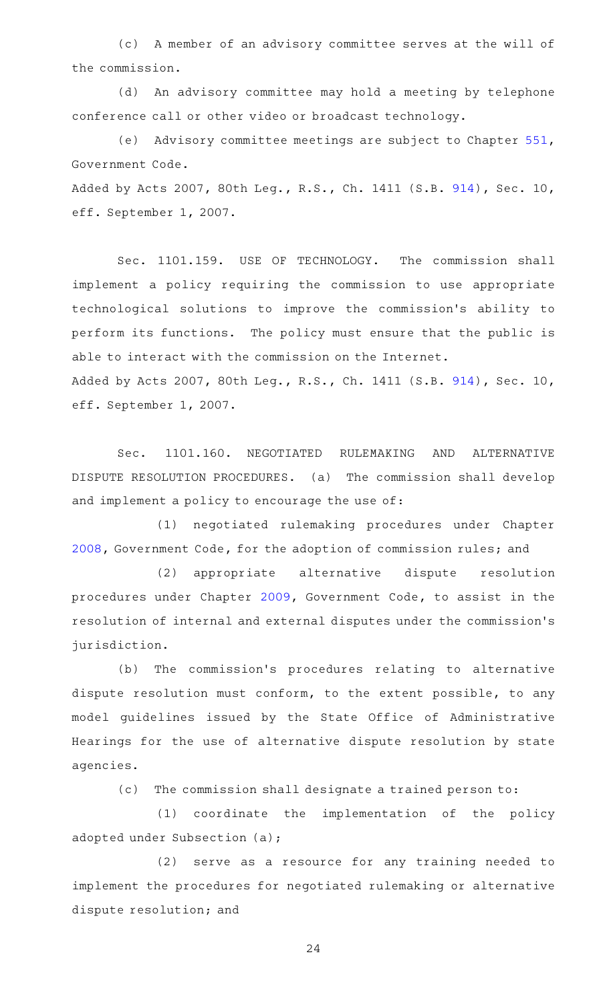(c) A member of an advisory committee serves at the will of the commission.

(d) An advisory committee may hold a meeting by telephone conference call or other video or broadcast technology.

(e) Advisory committee meetings are subject to Chapter [551](https://statutes.capitol.texas.gov/GetStatute.aspx?Code=GV&Value=551), Government Code.

Added by Acts 2007, 80th Leg., R.S., Ch. 1411 (S.B. [914\)](http://www.legis.state.tx.us/tlodocs/80R/billtext/html/SB00914F.HTM), Sec. 10, eff. September 1, 2007.

Sec. 1101.159. USE OF TECHNOLOGY. The commission shall implement a policy requiring the commission to use appropriate technological solutions to improve the commission 's ability to perform its functions. The policy must ensure that the public is able to interact with the commission on the Internet. Added by Acts 2007, 80th Leg., R.S., Ch. 1411 (S.B. [914\)](http://www.legis.state.tx.us/tlodocs/80R/billtext/html/SB00914F.HTM), Sec. 10, eff. September 1, 2007.

Sec. 1101.160. NEGOTIATED RULEMAKING AND ALTERNATIVE DISPUTE RESOLUTION PROCEDURES. (a) The commission shall develop and implement a policy to encourage the use of:

(1) negotiated rulemaking procedures under Chapter [2008](https://statutes.capitol.texas.gov/GetStatute.aspx?Code=GV&Value=2008), Government Code, for the adoption of commission rules; and

(2) appropriate alternative dispute resolution procedures under Chapter [2009,](https://statutes.capitol.texas.gov/GetStatute.aspx?Code=GV&Value=2009) Government Code, to assist in the resolution of internal and external disputes under the commission 's jurisdiction.

(b) The commission's procedures relating to alternative dispute resolution must conform, to the extent possible, to any model guidelines issued by the State Office of Administrative Hearings for the use of alternative dispute resolution by state agencies.

(c) The commission shall designate a trained person to:

(1) coordinate the implementation of the policy adopted under Subsection (a);

(2) serve as a resource for any training needed to implement the procedures for negotiated rulemaking or alternative dispute resolution; and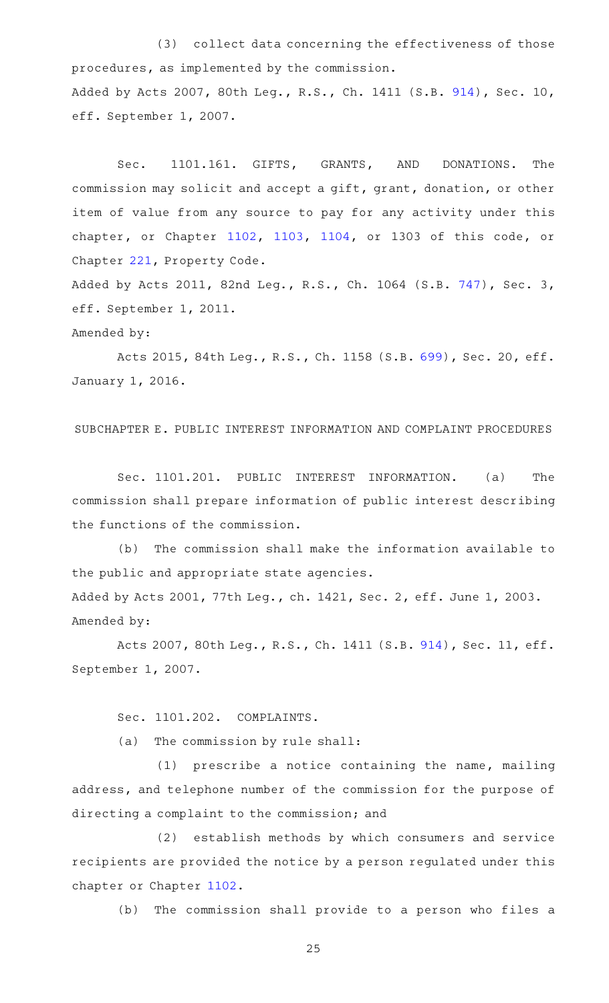(3) collect data concerning the effectiveness of those procedures, as implemented by the commission. Added by Acts 2007, 80th Leg., R.S., Ch. 1411 (S.B. [914\)](http://www.legis.state.tx.us/tlodocs/80R/billtext/html/SB00914F.HTM), Sec. 10, eff. September 1, 2007.

Sec. 1101.161. GIFTS, GRANTS, AND DONATIONS. The commission may solicit and accept a gift, grant, donation, or other item of value from any source to pay for any activity under this chapter, or Chapter [1102](https://statutes.capitol.texas.gov/GetStatute.aspx?Code=OC&Value=1102), [1103,](https://statutes.capitol.texas.gov/GetStatute.aspx?Code=OC&Value=1103) [1104,](https://statutes.capitol.texas.gov/GetStatute.aspx?Code=OC&Value=1104) or 1303 of this code, or Chapter [221,](https://statutes.capitol.texas.gov/GetStatute.aspx?Code=PR&Value=221) Property Code.

Added by Acts 2011, 82nd Leg., R.S., Ch. 1064 (S.B. [747](http://www.legis.state.tx.us/tlodocs/82R/billtext/html/SB00747F.HTM)), Sec. 3, eff. September 1, 2011.

### Amended by:

Acts 2015, 84th Leg., R.S., Ch. 1158 (S.B. [699\)](http://www.legis.state.tx.us/tlodocs/84R/billtext/html/SB00699F.HTM), Sec. 20, eff. January 1, 2016.

SUBCHAPTER E. PUBLIC INTEREST INFORMATION AND COMPLAINT PROCEDURES

Sec. 1101.201. PUBLIC INTEREST INFORMATION. (a) The commission shall prepare information of public interest describing the functions of the commission.

(b) The commission shall make the information available to the public and appropriate state agencies. Added by Acts 2001, 77th Leg., ch. 1421, Sec. 2, eff. June 1, 2003. Amended by:

Acts 2007, 80th Leg., R.S., Ch. 1411 (S.B. [914\)](http://www.legis.state.tx.us/tlodocs/80R/billtext/html/SB00914F.HTM), Sec. 11, eff. September 1, 2007.

Sec. 1101.202. COMPLAINTS.

 $(a)$  The commission by rule shall:

 $(1)$  prescribe a notice containing the name, mailing address, and telephone number of the commission for the purpose of directing a complaint to the commission; and

(2) establish methods by which consumers and service recipients are provided the notice by a person regulated under this chapter or Chapter [1102](https://statutes.capitol.texas.gov/GetStatute.aspx?Code=OC&Value=1102).

(b) The commission shall provide to a person who files a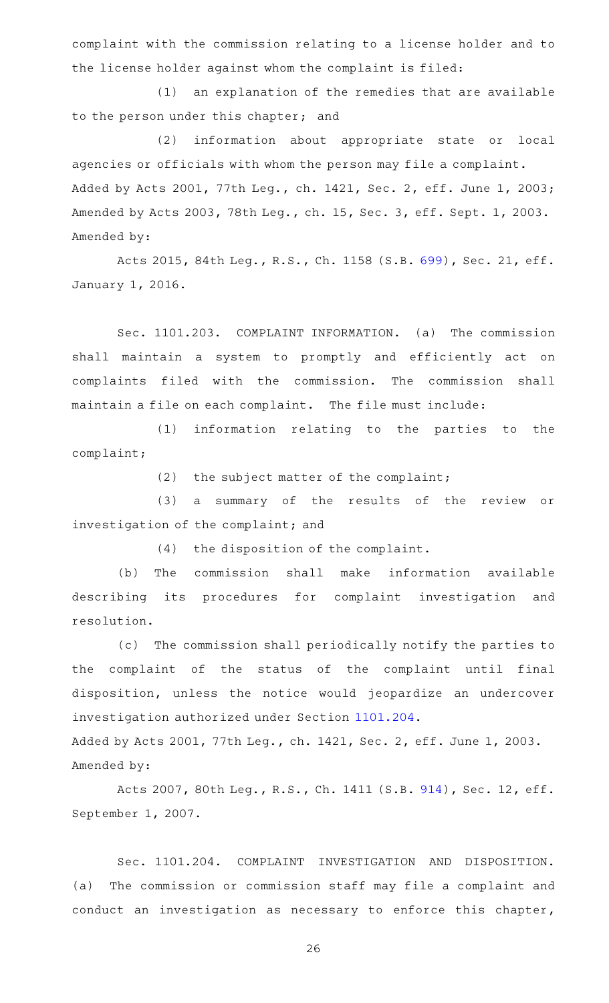complaint with the commission relating to a license holder and to the license holder against whom the complaint is filed:

(1) an explanation of the remedies that are available to the person under this chapter; and

(2) information about appropriate state or local agencies or officials with whom the person may file a complaint. Added by Acts 2001, 77th Leg., ch. 1421, Sec. 2, eff. June 1, 2003; Amended by Acts 2003, 78th Leg., ch. 15, Sec. 3, eff. Sept. 1, 2003. Amended by:

Acts 2015, 84th Leg., R.S., Ch. 1158 (S.B. [699\)](http://www.legis.state.tx.us/tlodocs/84R/billtext/html/SB00699F.HTM), Sec. 21, eff. January 1, 2016.

Sec. 1101.203. COMPLAINT INFORMATION. (a) The commission shall maintain a system to promptly and efficiently act on complaints filed with the commission. The commission shall maintain a file on each complaint. The file must include:

(1) information relating to the parties to the complaint;

(2) the subject matter of the complaint;

(3) a summary of the results of the review or investigation of the complaint; and

 $(4)$  the disposition of the complaint.

(b) The commission shall make information available describing its procedures for complaint investigation and resolution.

(c) The commission shall periodically notify the parties to the complaint of the status of the complaint until final disposition, unless the notice would jeopardize an undercover investigation authorized under Section [1101.204.](https://statutes.capitol.texas.gov/GetStatute.aspx?Code=OC&Value=1101.204) Added by Acts 2001, 77th Leg., ch. 1421, Sec. 2, eff. June 1, 2003. Amended by:

Acts 2007, 80th Leg., R.S., Ch. 1411 (S.B. [914\)](http://www.legis.state.tx.us/tlodocs/80R/billtext/html/SB00914F.HTM), Sec. 12, eff. September 1, 2007.

Sec. 1101.204. COMPLAINT INVESTIGATION AND DISPOSITION. (a) The commission or commission staff may file a complaint and conduct an investigation as necessary to enforce this chapter,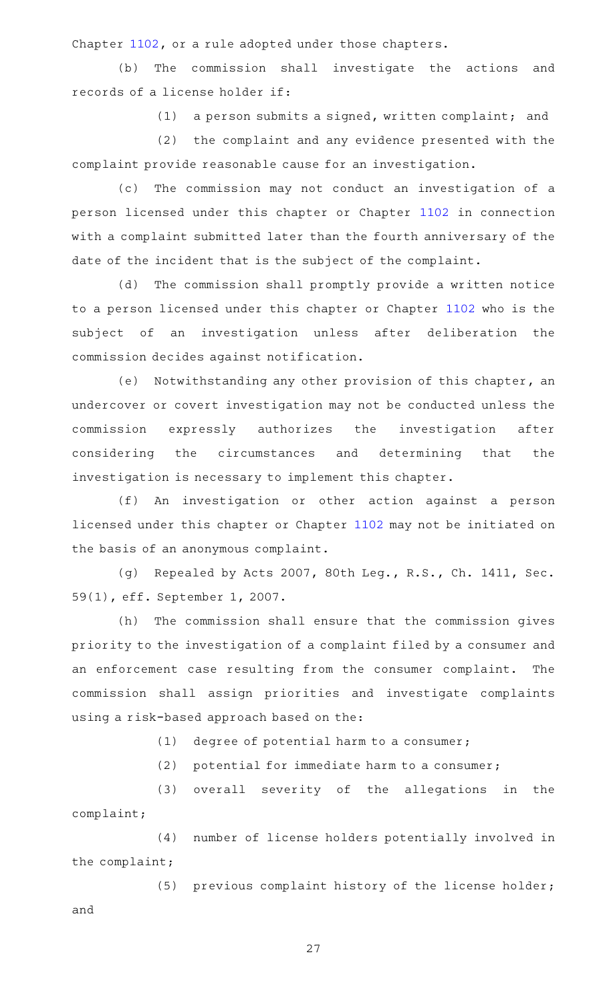Chapter [1102](https://statutes.capitol.texas.gov/GetStatute.aspx?Code=OC&Value=1102), or a rule adopted under those chapters.

(b) The commission shall investigate the actions and records of a license holder if:

 $(1)$  a person submits a signed, written complaint; and

(2) the complaint and any evidence presented with the complaint provide reasonable cause for an investigation.

(c) The commission may not conduct an investigation of a person licensed under this chapter or Chapter [1102](https://statutes.capitol.texas.gov/GetStatute.aspx?Code=OC&Value=1102) in connection with a complaint submitted later than the fourth anniversary of the date of the incident that is the subject of the complaint.

(d) The commission shall promptly provide a written notice to a person licensed under this chapter or Chapter [1102](https://statutes.capitol.texas.gov/GetStatute.aspx?Code=OC&Value=1102) who is the subject of an investigation unless after deliberation the commission decides against notification.

(e) Notwithstanding any other provision of this chapter, an undercover or covert investigation may not be conducted unless the commission expressly authorizes the investigation after considering the circumstances and determining that the investigation is necessary to implement this chapter.

(f) An investigation or other action against a person licensed under this chapter or Chapter [1102](https://statutes.capitol.texas.gov/GetStatute.aspx?Code=OC&Value=1102) may not be initiated on the basis of an anonymous complaint.

(g) Repealed by Acts 2007, 80th Leg., R.S., Ch. 1411, Sec. 59(1), eff. September 1, 2007.

(h) The commission shall ensure that the commission gives priority to the investigation of a complaint filed by a consumer and an enforcement case resulting from the consumer complaint. The commission shall assign priorities and investigate complaints using a risk-based approach based on the:

 $(1)$  degree of potential harm to a consumer;

 $(2)$  potential for immediate harm to a consumer;

(3) overall severity of the allegations in the complaint;

(4) number of license holders potentially involved in the complaint;

(5) previous complaint history of the license holder; and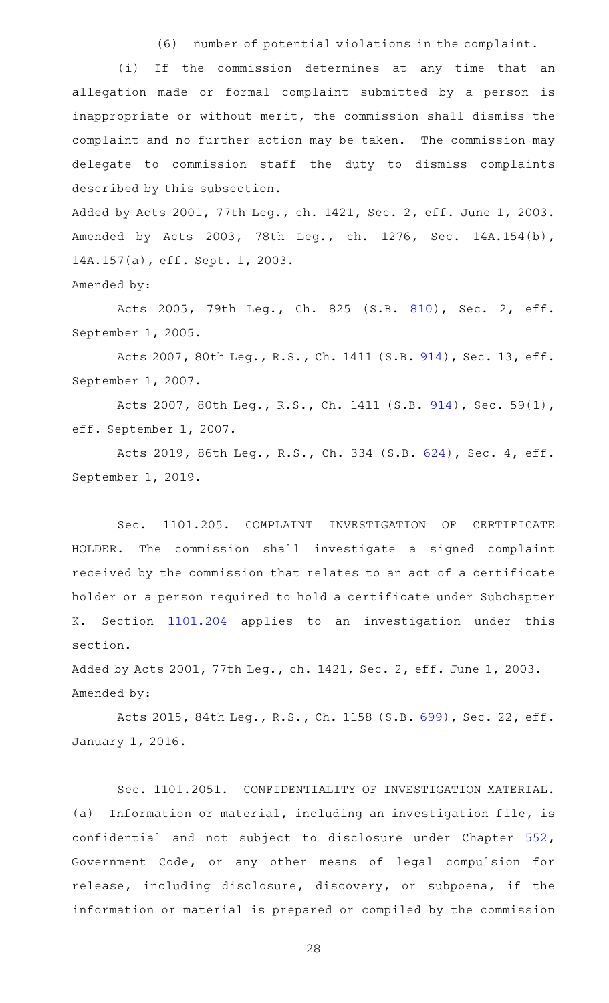(6) number of potential violations in the complaint.

(i) If the commission determines at any time that an allegation made or formal complaint submitted by a person is inappropriate or without merit, the commission shall dismiss the complaint and no further action may be taken. The commission may delegate to commission staff the duty to dismiss complaints described by this subsection.

Added by Acts 2001, 77th Leg., ch. 1421, Sec. 2, eff. June 1, 2003. Amended by Acts 2003, 78th Leg., ch. 1276, Sec. 14A.154(b), 14A.157(a), eff. Sept. 1, 2003.

Amended by:

Acts 2005, 79th Leg., Ch. 825 (S.B. [810\)](http://www.legis.state.tx.us/tlodocs/79R/billtext/html/SB00810F.HTM), Sec. 2, eff. September 1, 2005.

Acts 2007, 80th Leg., R.S., Ch. 1411 (S.B. [914\)](http://www.legis.state.tx.us/tlodocs/80R/billtext/html/SB00914F.HTM), Sec. 13, eff. September 1, 2007.

Acts 2007, 80th Leg., R.S., Ch. 1411 (S.B. [914\)](http://www.legis.state.tx.us/tlodocs/80R/billtext/html/SB00914F.HTM), Sec. 59(1), eff. September 1, 2007.

Acts 2019, 86th Leg., R.S., Ch. 334 (S.B. [624](http://www.legis.state.tx.us/tlodocs/86R/billtext/html/SB00624F.HTM)), Sec. 4, eff. September 1, 2019.

Sec. 1101.205. COMPLAINT INVESTIGATION OF CERTIFICATE HOLDER. The commission shall investigate a signed complaint received by the commission that relates to an act of a certificate holder or a person required to hold a certificate under Subchapter K. Section [1101.204](https://statutes.capitol.texas.gov/GetStatute.aspx?Code=OC&Value=1101.204) applies to an investigation under this section.

Added by Acts 2001, 77th Leg., ch. 1421, Sec. 2, eff. June 1, 2003. Amended by:

Acts 2015, 84th Leg., R.S., Ch. 1158 (S.B. [699\)](http://www.legis.state.tx.us/tlodocs/84R/billtext/html/SB00699F.HTM), Sec. 22, eff. January 1, 2016.

Sec. 1101.2051. CONFIDENTIALITY OF INVESTIGATION MATERIAL. (a) Information or material, including an investigation file, is confidential and not subject to disclosure under Chapter [552](https://statutes.capitol.texas.gov/GetStatute.aspx?Code=GV&Value=552), Government Code, or any other means of legal compulsion for release, including disclosure, discovery, or subpoena, if the information or material is prepared or compiled by the commission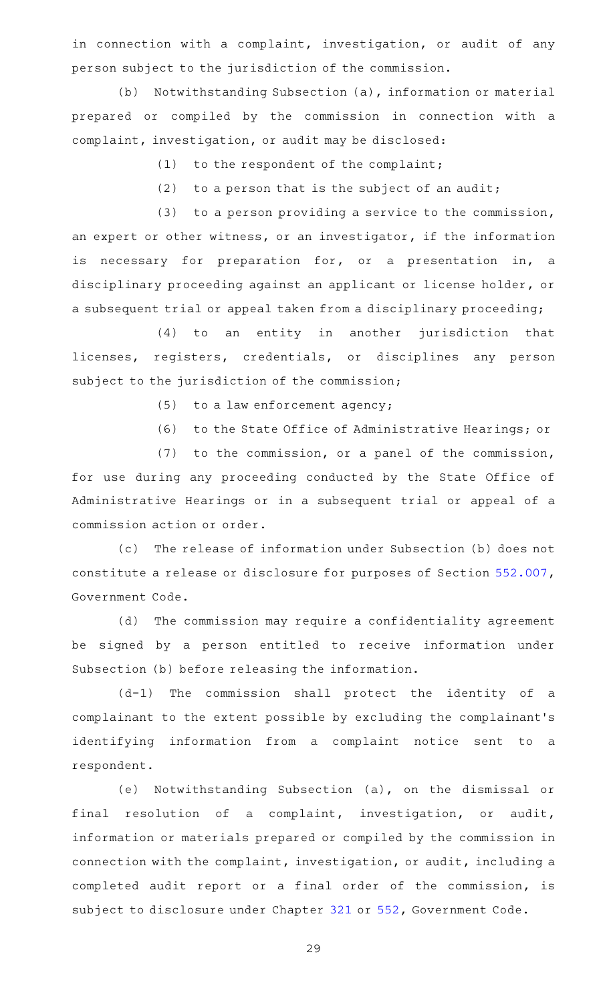in connection with a complaint, investigation, or audit of any person subject to the jurisdiction of the commission.

(b) Notwithstanding Subsection (a), information or material prepared or compiled by the commission in connection with a complaint, investigation, or audit may be disclosed:

(1) to the respondent of the complaint;

 $(2)$  to a person that is the subject of an audit;

 $(3)$  to a person providing a service to the commission, an expert or other witness, or an investigator, if the information is necessary for preparation for, or a presentation in, a disciplinary proceeding against an applicant or license holder, or a subsequent trial or appeal taken from a disciplinary proceeding;

(4) to an entity in another jurisdiction that licenses, registers, credentials, or disciplines any person subject to the jurisdiction of the commission;

 $(5)$  to a law enforcement agency;

(6) to the State Office of Administrative Hearings; or

 $(7)$  to the commission, or a panel of the commission,

for use during any proceeding conducted by the State Office of Administrative Hearings or in a subsequent trial or appeal of a commission action or order.

(c) The release of information under Subsection (b) does not constitute a release or disclosure for purposes of Section [552.007](https://statutes.capitol.texas.gov/GetStatute.aspx?Code=GV&Value=552.007), Government Code.

(d) The commission may require a confidentiality agreement be signed by a person entitled to receive information under Subsection (b) before releasing the information.

(d-1) The commission shall protect the identity of a complainant to the extent possible by excluding the complainant 's identifying information from a complaint notice sent to a respondent.

(e) Notwithstanding Subsection (a), on the dismissal or final resolution of a complaint, investigation, or audit, information or materials prepared or compiled by the commission in connection with the complaint, investigation, or audit, including a completed audit report or a final order of the commission, is subject to disclosure under Chapter [321](https://statutes.capitol.texas.gov/GetStatute.aspx?Code=GV&Value=321) or [552,](https://statutes.capitol.texas.gov/GetStatute.aspx?Code=GV&Value=552) Government Code.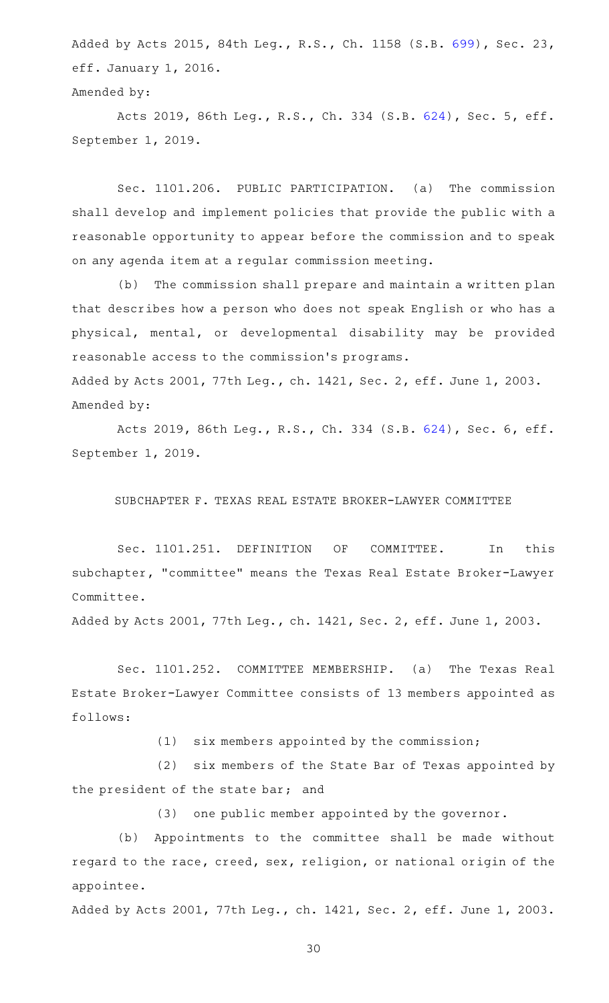Added by Acts 2015, 84th Leg., R.S., Ch. 1158 (S.B. [699\)](http://www.legis.state.tx.us/tlodocs/84R/billtext/html/SB00699F.HTM), Sec. 23, eff. January 1, 2016.

Amended by:

Acts 2019, 86th Leg., R.S., Ch. 334 (S.B. [624](http://www.legis.state.tx.us/tlodocs/86R/billtext/html/SB00624F.HTM)), Sec. 5, eff. September 1, 2019.

Sec. 1101.206. PUBLIC PARTICIPATION. (a) The commission shall develop and implement policies that provide the public with a reasonable opportunity to appear before the commission and to speak on any agenda item at a regular commission meeting.

(b) The commission shall prepare and maintain a written plan that describes how a person who does not speak English or who has a physical, mental, or developmental disability may be provided reasonable access to the commission 's programs. Added by Acts 2001, 77th Leg., ch. 1421, Sec. 2, eff. June 1, 2003. Amended by:

Acts 2019, 86th Leg., R.S., Ch. 334 (S.B. [624](http://www.legis.state.tx.us/tlodocs/86R/billtext/html/SB00624F.HTM)), Sec. 6, eff. September 1, 2019.

SUBCHAPTER F. TEXAS REAL ESTATE BROKER-LAWYER COMMITTEE

Sec. 1101.251. DEFINITION OF COMMITTEE. In this subchapter, "committee" means the Texas Real Estate Broker-Lawyer Committee.

Added by Acts 2001, 77th Leg., ch. 1421, Sec. 2, eff. June 1, 2003.

Sec. 1101.252. COMMITTEE MEMBERSHIP. (a) The Texas Real Estate Broker-Lawyer Committee consists of 13 members appointed as follows:

 $(1)$  six members appointed by the commission;

(2) six members of the State Bar of Texas appointed by the president of the state bar; and

(3) one public member appointed by the governor.

(b) Appointments to the committee shall be made without regard to the race, creed, sex, religion, or national origin of the appointee.

Added by Acts 2001, 77th Leg., ch. 1421, Sec. 2, eff. June 1, 2003.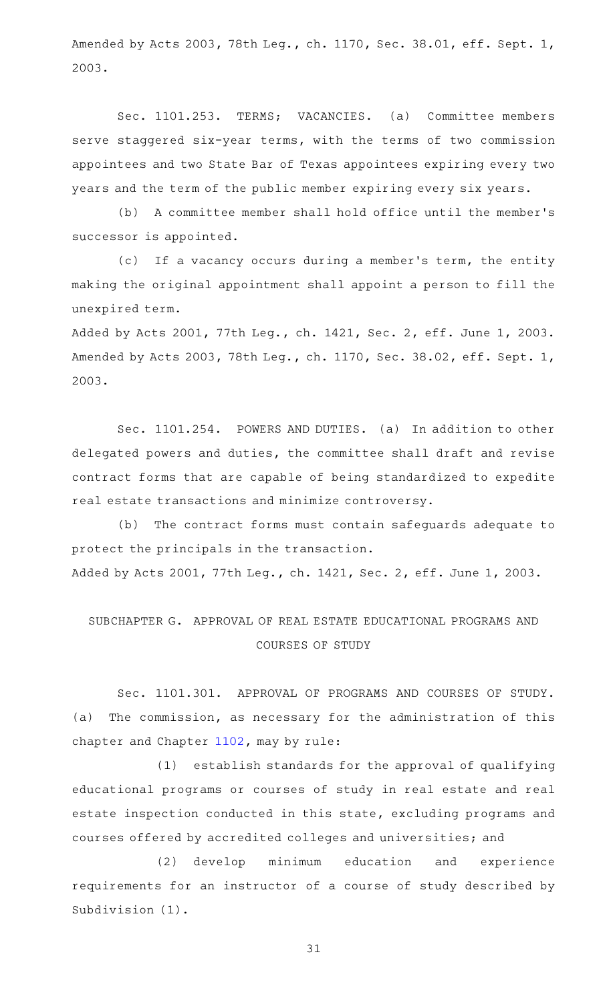Amended by Acts 2003, 78th Leg., ch. 1170, Sec. 38.01, eff. Sept. 1, 2003.

Sec. 1101.253. TERMS; VACANCIES. (a) Committee members serve staggered six-year terms, with the terms of two commission appointees and two State Bar of Texas appointees expiring every two years and the term of the public member expiring every six years.

(b) A committee member shall hold office until the member's successor is appointed.

(c) If a vacancy occurs during a member's term, the entity making the original appointment shall appoint a person to fill the unexpired term.

Added by Acts 2001, 77th Leg., ch. 1421, Sec. 2, eff. June 1, 2003. Amended by Acts 2003, 78th Leg., ch. 1170, Sec. 38.02, eff. Sept. 1, 2003.

Sec. 1101.254. POWERS AND DUTIES. (a) In addition to other delegated powers and duties, the committee shall draft and revise contract forms that are capable of being standardized to expedite real estate transactions and minimize controversy.

(b) The contract forms must contain safeguards adequate to protect the principals in the transaction. Added by Acts 2001, 77th Leg., ch. 1421, Sec. 2, eff. June 1, 2003.

# SUBCHAPTER G. APPROVAL OF REAL ESTATE EDUCATIONAL PROGRAMS AND COURSES OF STUDY

Sec. 1101.301. APPROVAL OF PROGRAMS AND COURSES OF STUDY. (a) The commission, as necessary for the administration of this chapter and Chapter [1102,](https://statutes.capitol.texas.gov/GetStatute.aspx?Code=OC&Value=1102) may by rule:

 $(1)$  establish standards for the approval of qualifying educational programs or courses of study in real estate and real estate inspection conducted in this state, excluding programs and courses offered by accredited colleges and universities; and

(2) develop minimum education and experience requirements for an instructor of a course of study described by Subdivision (1).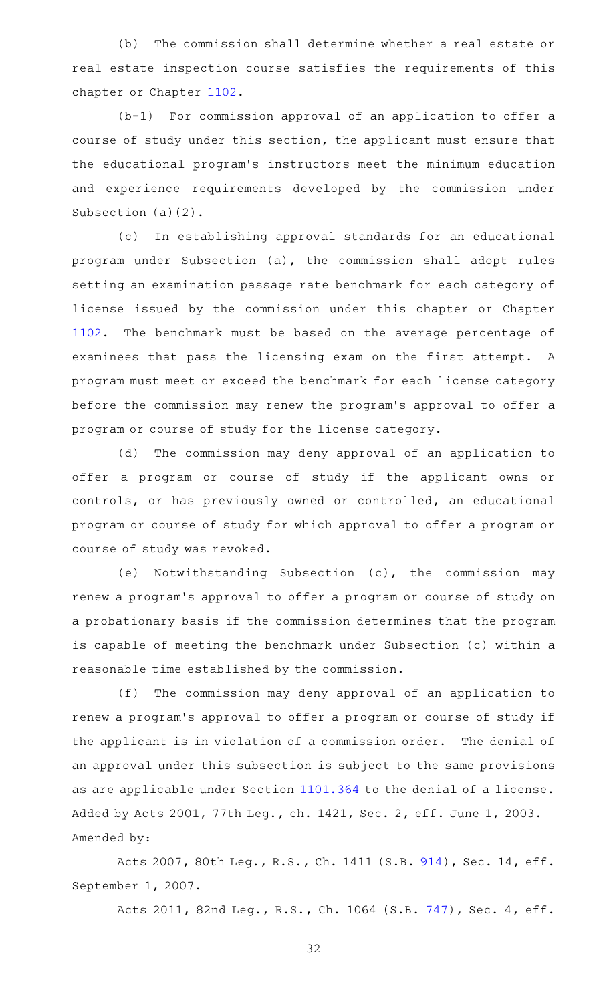(b) The commission shall determine whether a real estate or real estate inspection course satisfies the requirements of this chapter or Chapter [1102](https://statutes.capitol.texas.gov/GetStatute.aspx?Code=OC&Value=1102).

 $(b-1)$  For commission approval of an application to offer a course of study under this section, the applicant must ensure that the educational program 's instructors meet the minimum education and experience requirements developed by the commission under Subsection (a)(2).

(c) In establishing approval standards for an educational program under Subsection (a), the commission shall adopt rules setting an examination passage rate benchmark for each category of license issued by the commission under this chapter or Chapter [1102](https://statutes.capitol.texas.gov/GetStatute.aspx?Code=OC&Value=1102). The benchmark must be based on the average percentage of examinees that pass the licensing exam on the first attempt. A program must meet or exceed the benchmark for each license category before the commission may renew the program 's approval to offer a program or course of study for the license category.

(d) The commission may deny approval of an application to offer a program or course of study if the applicant owns or controls, or has previously owned or controlled, an educational program or course of study for which approval to offer a program or course of study was revoked.

(e) Notwithstanding Subsection (c), the commission may renew a program 's approval to offer a program or course of study on a probationary basis if the commission determines that the program is capable of meeting the benchmark under Subsection (c) within a reasonable time established by the commission.

(f) The commission may deny approval of an application to renew a program 's approval to offer a program or course of study if the applicant is in violation of a commission order. The denial of an approval under this subsection is subject to the same provisions as are applicable under Section [1101.364](https://statutes.capitol.texas.gov/GetStatute.aspx?Code=OC&Value=1101.364) to the denial of a license. Added by Acts 2001, 77th Leg., ch. 1421, Sec. 2, eff. June 1, 2003. Amended by:

Acts 2007, 80th Leg., R.S., Ch. 1411 (S.B. [914\)](http://www.legis.state.tx.us/tlodocs/80R/billtext/html/SB00914F.HTM), Sec. 14, eff. September 1, 2007.

Acts 2011, 82nd Leg., R.S., Ch. 1064 (S.B. [747](http://www.legis.state.tx.us/tlodocs/82R/billtext/html/SB00747F.HTM)), Sec. 4, eff.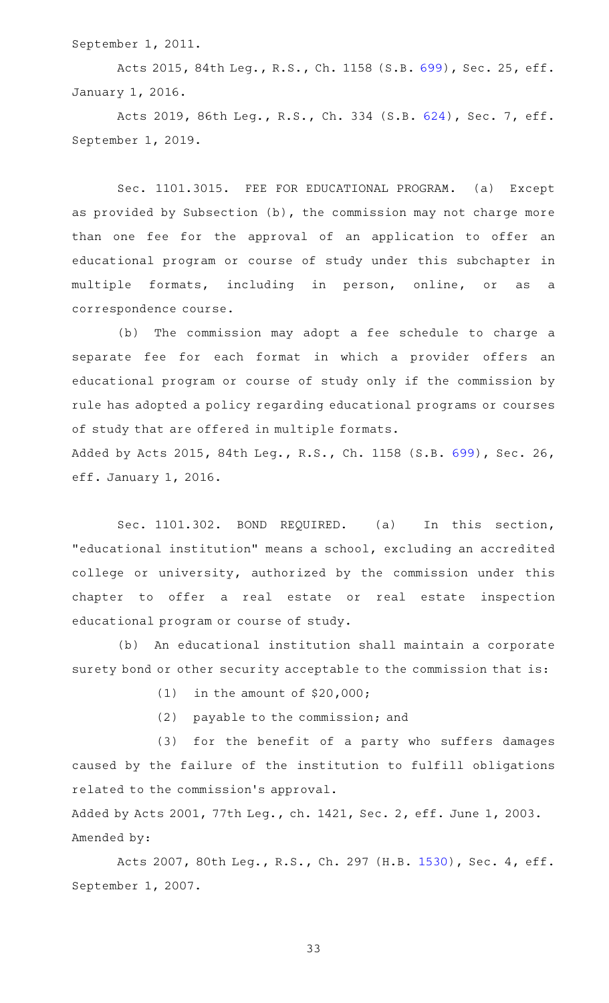September 1, 2011.

Acts 2015, 84th Leg., R.S., Ch. 1158 (S.B. [699\)](http://www.legis.state.tx.us/tlodocs/84R/billtext/html/SB00699F.HTM), Sec. 25, eff. January 1, 2016.

Acts 2019, 86th Leg., R.S., Ch. 334 (S.B. [624](http://www.legis.state.tx.us/tlodocs/86R/billtext/html/SB00624F.HTM)), Sec. 7, eff. September 1, 2019.

Sec. 1101.3015. FEE FOR EDUCATIONAL PROGRAM. (a) Except as provided by Subsection (b), the commission may not charge more than one fee for the approval of an application to offer an educational program or course of study under this subchapter in multiple formats, including in person, online, or as a correspondence course.

(b) The commission may adopt a fee schedule to charge a separate fee for each format in which a provider offers an educational program or course of study only if the commission by rule has adopted a policy regarding educational programs or courses of study that are offered in multiple formats. Added by Acts 2015, 84th Leg., R.S., Ch. 1158 (S.B. [699\)](http://www.legis.state.tx.us/tlodocs/84R/billtext/html/SB00699F.HTM), Sec. 26, eff. January 1, 2016.

Sec. 1101.302. BOND REQUIRED. (a) In this section, "educational institution" means a school, excluding an accredited college or university, authorized by the commission under this chapter to offer a real estate or real estate inspection educational program or course of study.

(b) An educational institution shall maintain a corporate surety bond or other security acceptable to the commission that is:

(1) in the amount of  $$20,000;$ 

(2) payable to the commission; and

(3) for the benefit of a party who suffers damages caused by the failure of the institution to fulfill obligations related to the commission 's approval.

Added by Acts 2001, 77th Leg., ch. 1421, Sec. 2, eff. June 1, 2003. Amended by:

Acts 2007, 80th Leg., R.S., Ch. 297 (H.B. [1530](http://www.legis.state.tx.us/tlodocs/80R/billtext/html/HB01530F.HTM)), Sec. 4, eff. September 1, 2007.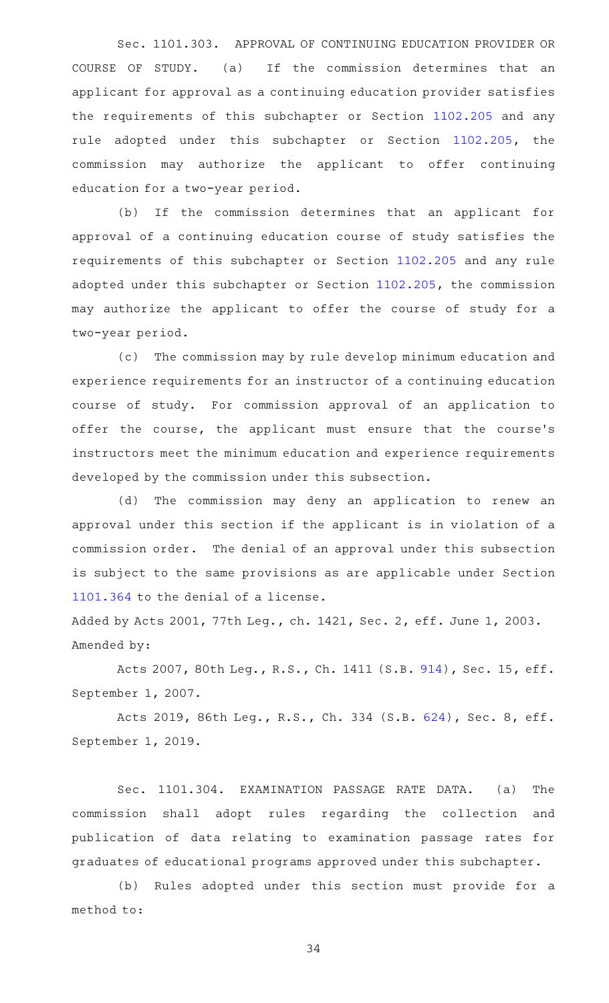Sec. 1101.303. APPROVAL OF CONTINUING EDUCATION PROVIDER OR COURSE OF STUDY. (a) If the commission determines that an applicant for approval as a continuing education provider satisfies the requirements of this subchapter or Section [1102.205](https://statutes.capitol.texas.gov/GetStatute.aspx?Code=OC&Value=1102.205) and any rule adopted under this subchapter or Section [1102.205](https://statutes.capitol.texas.gov/GetStatute.aspx?Code=OC&Value=1102.205), the commission may authorize the applicant to offer continuing education for a two-year period.

(b) If the commission determines that an applicant for approval of a continuing education course of study satisfies the requirements of this subchapter or Section [1102.205](https://statutes.capitol.texas.gov/GetStatute.aspx?Code=OC&Value=1102.205) and any rule adopted under this subchapter or Section [1102.205](https://statutes.capitol.texas.gov/GetStatute.aspx?Code=OC&Value=1102.205), the commission may authorize the applicant to offer the course of study for a two-year period.

(c) The commission may by rule develop minimum education and experience requirements for an instructor of a continuing education course of study. For commission approval of an application to offer the course, the applicant must ensure that the course's instructors meet the minimum education and experience requirements developed by the commission under this subsection.

(d) The commission may deny an application to renew an approval under this section if the applicant is in violation of a commission order. The denial of an approval under this subsection is subject to the same provisions as are applicable under Section [1101.364](https://statutes.capitol.texas.gov/GetStatute.aspx?Code=OC&Value=1101.364) to the denial of a license.

Added by Acts 2001, 77th Leg., ch. 1421, Sec. 2, eff. June 1, 2003. Amended by:

Acts 2007, 80th Leg., R.S., Ch. 1411 (S.B. [914\)](http://www.legis.state.tx.us/tlodocs/80R/billtext/html/SB00914F.HTM), Sec. 15, eff. September 1, 2007.

Acts 2019, 86th Leg., R.S., Ch. 334 (S.B. [624](http://www.legis.state.tx.us/tlodocs/86R/billtext/html/SB00624F.HTM)), Sec. 8, eff. September 1, 2019.

Sec. 1101.304. EXAMINATION PASSAGE RATE DATA. (a) The commission shall adopt rules regarding the collection and publication of data relating to examination passage rates for graduates of educational programs approved under this subchapter.

(b) Rules adopted under this section must provide for a method to: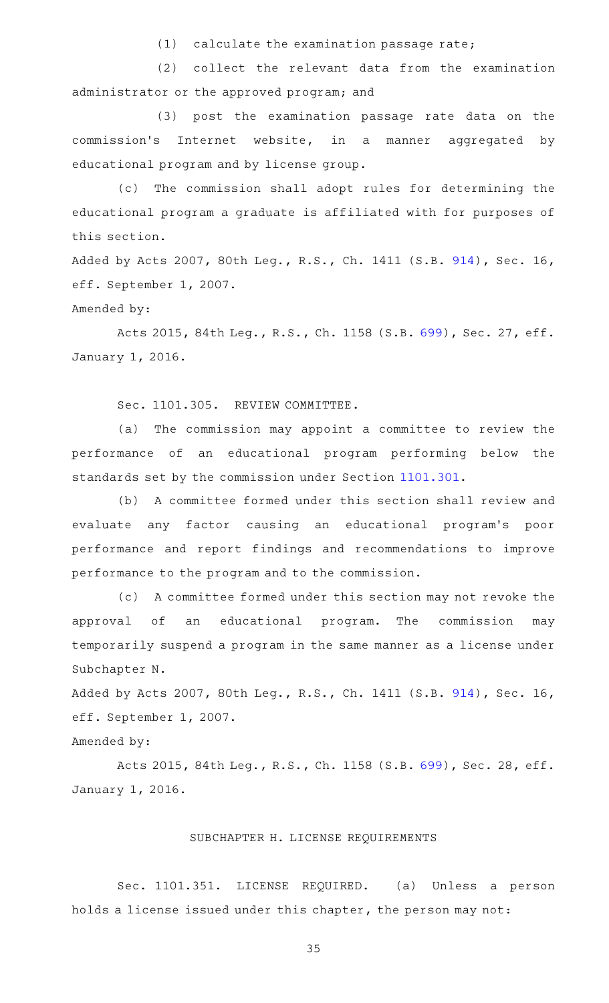$(1)$  calculate the examination passage rate;

(2) collect the relevant data from the examination administrator or the approved program; and

(3) post the examination passage rate data on the commission 's Internet website, in a manner aggregated by educational program and by license group.

(c) The commission shall adopt rules for determining the educational program a graduate is affiliated with for purposes of this section.

Added by Acts 2007, 80th Leg., R.S., Ch. 1411 (S.B. [914\)](http://www.legis.state.tx.us/tlodocs/80R/billtext/html/SB00914F.HTM), Sec. 16, eff. September 1, 2007.

# Amended by:

Acts 2015, 84th Leg., R.S., Ch. 1158 (S.B. [699\)](http://www.legis.state.tx.us/tlodocs/84R/billtext/html/SB00699F.HTM), Sec. 27, eff. January 1, 2016.

Sec. 1101.305. REVIEW COMMITTEE.

(a) The commission may appoint a committee to review the performance of an educational program performing below the standards set by the commission under Section [1101.301.](https://statutes.capitol.texas.gov/GetStatute.aspx?Code=OC&Value=1101.301)

(b) A committee formed under this section shall review and evaluate any factor causing an educational program 's poor performance and report findings and recommendations to improve performance to the program and to the commission.

(c) A committee formed under this section may not revoke the approval of an educational program. The commission may temporarily suspend a program in the same manner as a license under Subchapter N.

Added by Acts 2007, 80th Leg., R.S., Ch. 1411 (S.B. [914\)](http://www.legis.state.tx.us/tlodocs/80R/billtext/html/SB00914F.HTM), Sec. 16, eff. September 1, 2007.

# Amended by:

Acts 2015, 84th Leg., R.S., Ch. 1158 (S.B. [699\)](http://www.legis.state.tx.us/tlodocs/84R/billtext/html/SB00699F.HTM), Sec. 28, eff. January 1, 2016.

### SUBCHAPTER H. LICENSE REQUIREMENTS

Sec. 1101.351. LICENSE REQUIRED. (a) Unless a person holds a license issued under this chapter, the person may not: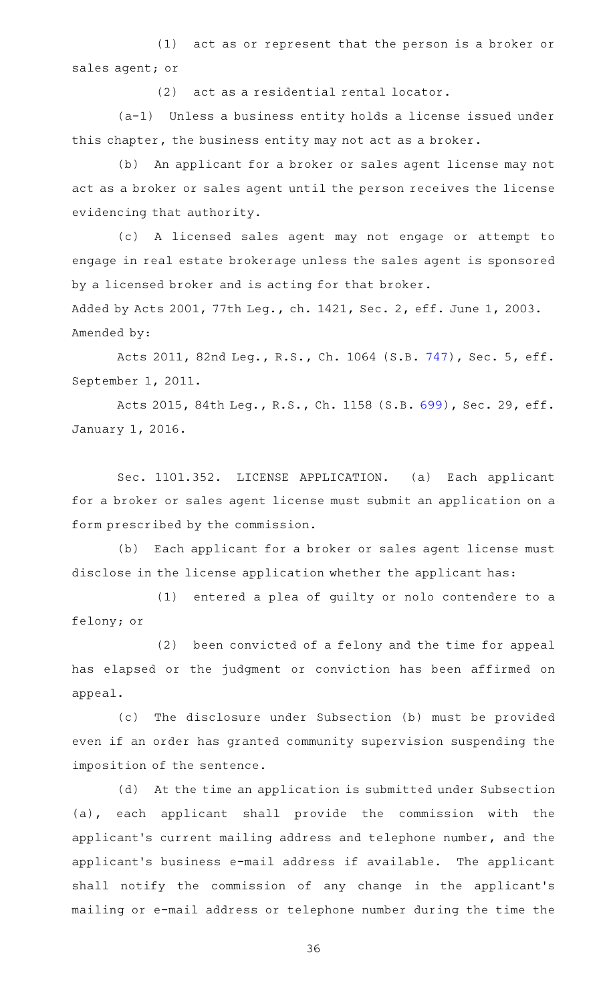$(1)$  act as or represent that the person is a broker or sales agent; or

(2) act as a residential rental locator.

 $(a-1)$  Unless a business entity holds a license issued under this chapter, the business entity may not act as a broker.

(b) An applicant for a broker or sales agent license may not act as a broker or sales agent until the person receives the license evidencing that authority.

(c)AAA licensed sales agent may not engage or attempt to engage in real estate brokerage unless the sales agent is sponsored by a licensed broker and is acting for that broker.

Added by Acts 2001, 77th Leg., ch. 1421, Sec. 2, eff. June 1, 2003. Amended by:

Acts 2011, 82nd Leg., R.S., Ch. 1064 (S.B. [747](http://www.legis.state.tx.us/tlodocs/82R/billtext/html/SB00747F.HTM)), Sec. 5, eff. September 1, 2011.

Acts 2015, 84th Leg., R.S., Ch. 1158 (S.B. [699\)](http://www.legis.state.tx.us/tlodocs/84R/billtext/html/SB00699F.HTM), Sec. 29, eff. January 1, 2016.

Sec. 1101.352. LICENSE APPLICATION. (a) Each applicant for a broker or sales agent license must submit an application on a form prescribed by the commission.

(b) Each applicant for a broker or sales agent license must disclose in the license application whether the applicant has:

(1) entered a plea of guilty or nolo contendere to a felony; or

(2) been convicted of a felony and the time for appeal has elapsed or the judgment or conviction has been affirmed on appeal.

(c) The disclosure under Subsection (b) must be provided even if an order has granted community supervision suspending the imposition of the sentence.

(d) At the time an application is submitted under Subsection (a), each applicant shall provide the commission with the applicant 's current mailing address and telephone number, and the applicant's business e-mail address if available. The applicant shall notify the commission of any change in the applicant 's mailing or e-mail address or telephone number during the time the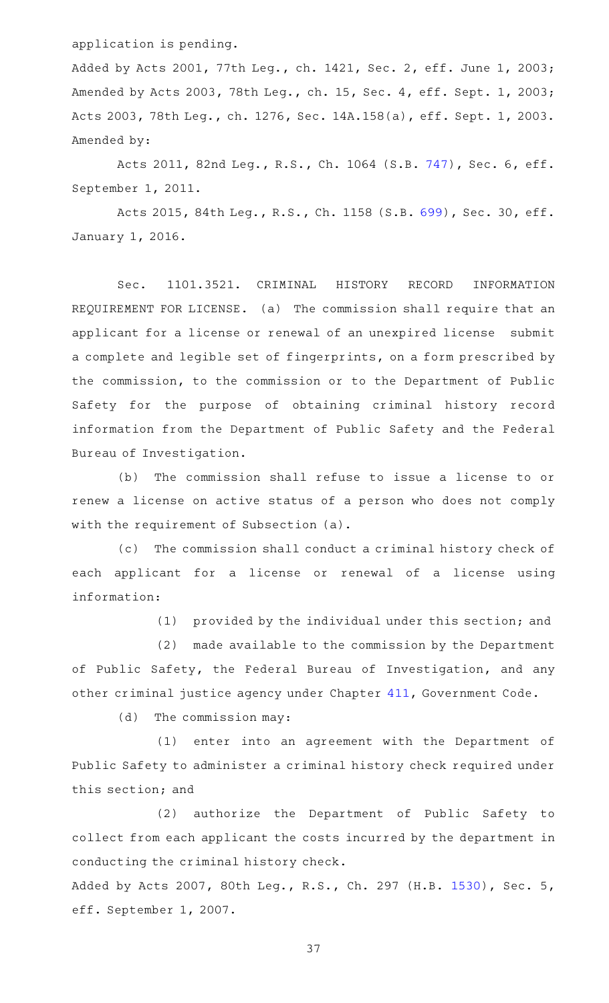application is pending.

Added by Acts 2001, 77th Leg., ch. 1421, Sec. 2, eff. June 1, 2003; Amended by Acts 2003, 78th Leg., ch. 15, Sec. 4, eff. Sept. 1, 2003; Acts 2003, 78th Leg., ch. 1276, Sec. 14A.158(a), eff. Sept. 1, 2003. Amended by:

Acts 2011, 82nd Leg., R.S., Ch. 1064 (S.B. [747](http://www.legis.state.tx.us/tlodocs/82R/billtext/html/SB00747F.HTM)), Sec. 6, eff. September 1, 2011.

Acts 2015, 84th Leg., R.S., Ch. 1158 (S.B. [699\)](http://www.legis.state.tx.us/tlodocs/84R/billtext/html/SB00699F.HTM), Sec. 30, eff. January 1, 2016.

Sec. 1101.3521. CRIMINAL HISTORY RECORD INFORMATION REQUIREMENT FOR LICENSE. (a) The commission shall require that an applicant for a license or renewal of an unexpired license submit a complete and legible set of fingerprints, on a form prescribed by the commission, to the commission or to the Department of Public Safety for the purpose of obtaining criminal history record information from the Department of Public Safety and the Federal Bureau of Investigation.

(b) The commission shall refuse to issue a license to or renew a license on active status of a person who does not comply with the requirement of Subsection (a).

(c) The commission shall conduct a criminal history check of each applicant for a license or renewal of a license using information:

(1) provided by the individual under this section; and

(2) made available to the commission by the Department of Public Safety, the Federal Bureau of Investigation, and any other criminal justice agency under Chapter [411,](https://statutes.capitol.texas.gov/GetStatute.aspx?Code=GV&Value=411) Government Code.

 $(d)$  The commission may:

(1) enter into an agreement with the Department of Public Safety to administer a criminal history check required under this section; and

(2) authorize the Department of Public Safety to collect from each applicant the costs incurred by the department in conducting the criminal history check.

Added by Acts 2007, 80th Leg., R.S., Ch. 297 (H.B. [1530](http://www.legis.state.tx.us/tlodocs/80R/billtext/html/HB01530F.HTM)), Sec. 5, eff. September 1, 2007.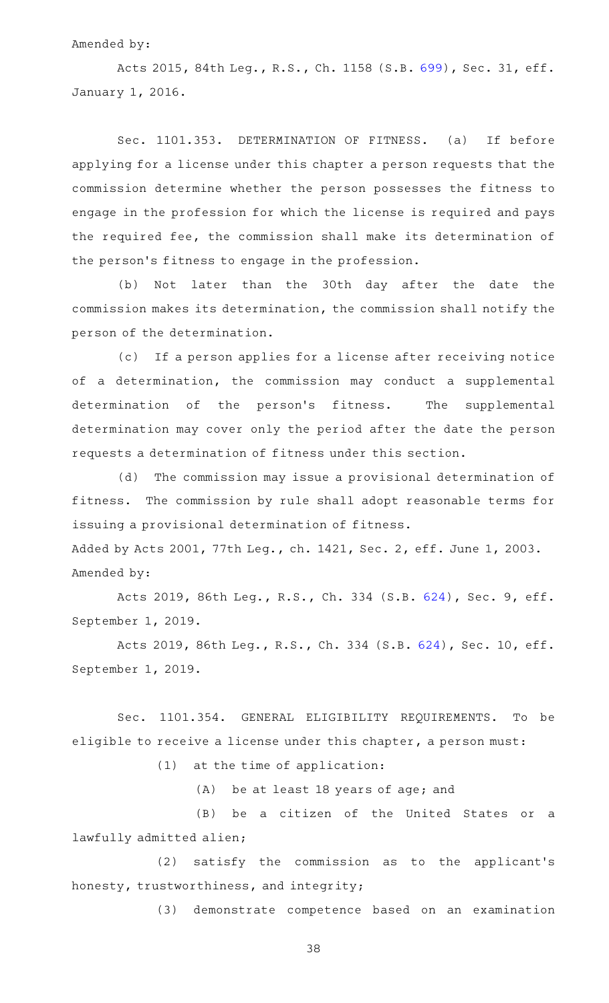#### Amended by:

Acts 2015, 84th Leg., R.S., Ch. 1158 (S.B. [699\)](http://www.legis.state.tx.us/tlodocs/84R/billtext/html/SB00699F.HTM), Sec. 31, eff. January 1, 2016.

Sec. 1101.353. DETERMINATION OF FITNESS. (a) If before applying for a license under this chapter a person requests that the commission determine whether the person possesses the fitness to engage in the profession for which the license is required and pays the required fee, the commission shall make its determination of the person 's fitness to engage in the profession.

(b) Not later than the 30th day after the date the commission makes its determination, the commission shall notify the person of the determination.

(c) If a person applies for a license after receiving notice of a determination, the commission may conduct a supplemental determination of the person's fitness. The supplemental determination may cover only the period after the date the person requests a determination of fitness under this section.

(d) The commission may issue a provisional determination of fitness. The commission by rule shall adopt reasonable terms for issuing a provisional determination of fitness.

Added by Acts 2001, 77th Leg., ch. 1421, Sec. 2, eff. June 1, 2003. Amended by:

Acts 2019, 86th Leg., R.S., Ch. 334 (S.B. [624](http://www.legis.state.tx.us/tlodocs/86R/billtext/html/SB00624F.HTM)), Sec. 9, eff. September 1, 2019.

Acts 2019, 86th Leg., R.S., Ch. 334 (S.B. [624\)](http://www.legis.state.tx.us/tlodocs/86R/billtext/html/SB00624F.HTM), Sec. 10, eff. September 1, 2019.

Sec. 1101.354. GENERAL ELIGIBILITY REQUIREMENTS. To be eligible to receive a license under this chapter, a person must:

 $(1)$  at the time of application:

(A) be at least 18 years of age; and

(B) be a citizen of the United States or a lawfully admitted alien;

(2) satisfy the commission as to the applicant's honesty, trustworthiness, and integrity;

(3) demonstrate competence based on an examination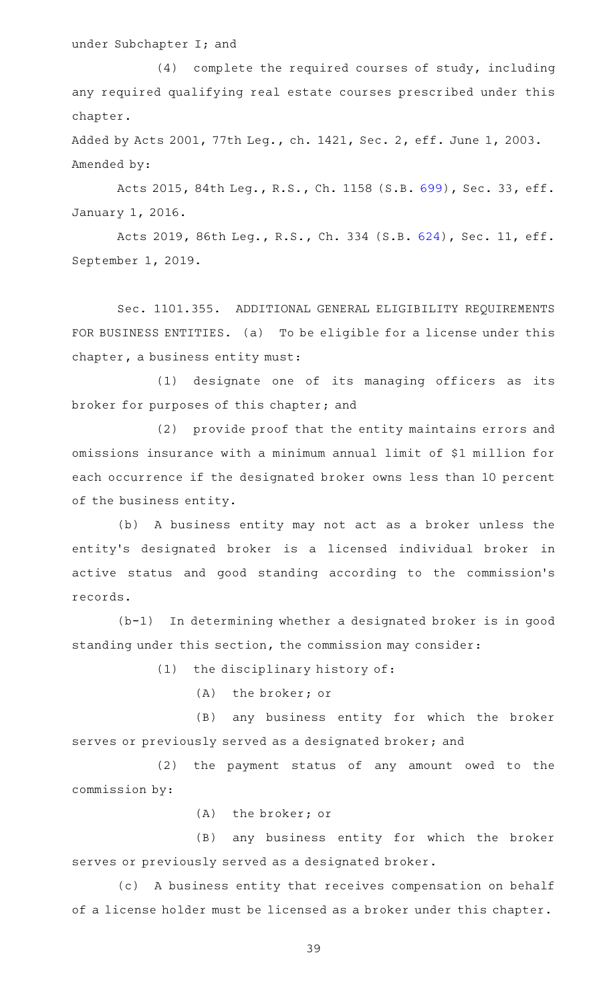## under Subchapter I; and

 $(4)$  complete the required courses of study, including any required qualifying real estate courses prescribed under this chapter.

Added by Acts 2001, 77th Leg., ch. 1421, Sec. 2, eff. June 1, 2003. Amended by:

Acts 2015, 84th Leg., R.S., Ch. 1158 (S.B. [699\)](http://www.legis.state.tx.us/tlodocs/84R/billtext/html/SB00699F.HTM), Sec. 33, eff. January 1, 2016.

Acts 2019, 86th Leg., R.S., Ch. 334 (S.B. [624\)](http://www.legis.state.tx.us/tlodocs/86R/billtext/html/SB00624F.HTM), Sec. 11, eff. September 1, 2019.

Sec. 1101.355. ADDITIONAL GENERAL ELIGIBILITY REQUIREMENTS FOR BUSINESS ENTITIES. (a) To be eligible for a license under this chapter, a business entity must:

(1) designate one of its managing officers as its broker for purposes of this chapter; and

(2) provide proof that the entity maintains errors and omissions insurance with a minimum annual limit of \$1 million for each occurrence if the designated broker owns less than 10 percent of the business entity.

(b) A business entity may not act as a broker unless the entity 's designated broker is a licensed individual broker in active status and good standing according to the commission 's records.

 $(b-1)$  In determining whether a designated broker is in good standing under this section, the commission may consider:

 $(1)$  the disciplinary history of:

(A) the broker; or

(B) any business entity for which the broker serves or previously served as a designated broker; and

(2) the payment status of any amount owed to the commission by:

(A) the broker; or

(B) any business entity for which the broker serves or previously served as a designated broker.

(c) A business entity that receives compensation on behalf of a license holder must be licensed as a broker under this chapter.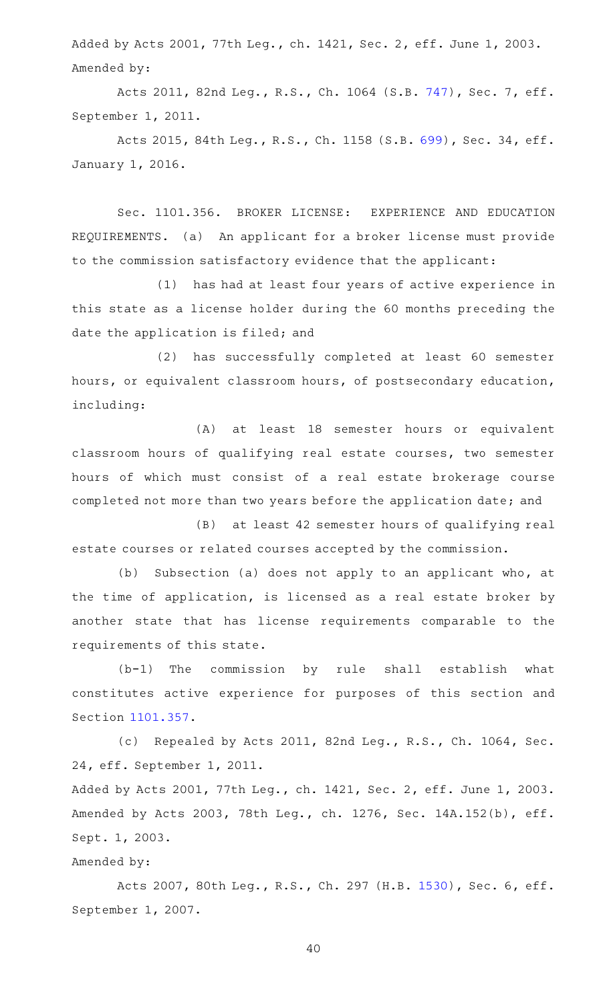Added by Acts 2001, 77th Leg., ch. 1421, Sec. 2, eff. June 1, 2003. Amended by:

Acts 2011, 82nd Leg., R.S., Ch. 1064 (S.B. [747](http://www.legis.state.tx.us/tlodocs/82R/billtext/html/SB00747F.HTM)), Sec. 7, eff. September 1, 2011.

Acts 2015, 84th Leg., R.S., Ch. 1158 (S.B. [699\)](http://www.legis.state.tx.us/tlodocs/84R/billtext/html/SB00699F.HTM), Sec. 34, eff. January 1, 2016.

Sec. 1101.356. BROKER LICENSE: EXPERIENCE AND EDUCATION REQUIREMENTS. (a) An applicant for a broker license must provide to the commission satisfactory evidence that the applicant:

(1) has had at least four years of active experience in this state as a license holder during the 60 months preceding the date the application is filed; and

(2) has successfully completed at least 60 semester hours, or equivalent classroom hours, of postsecondary education, including:

(A) at least 18 semester hours or equivalent classroom hours of qualifying real estate courses, two semester hours of which must consist of a real estate brokerage course completed not more than two years before the application date; and

(B) at least 42 semester hours of qualifying real estate courses or related courses accepted by the commission.

(b) Subsection (a) does not apply to an applicant who, at the time of application, is licensed as a real estate broker by another state that has license requirements comparable to the requirements of this state.

 $(b-1)$  The commission by rule shall establish what constitutes active experience for purposes of this section and Section [1101.357](https://statutes.capitol.texas.gov/GetStatute.aspx?Code=OC&Value=1101.357).

(c) Repealed by Acts 2011, 82nd Leg., R.S., Ch. 1064, Sec. 24, eff. September 1, 2011.

Added by Acts 2001, 77th Leg., ch. 1421, Sec. 2, eff. June 1, 2003. Amended by Acts 2003, 78th Leg., ch. 1276, Sec. 14A.152(b), eff. Sept. 1, 2003.

### Amended by:

Acts 2007, 80th Leg., R.S., Ch. 297 (H.B. [1530](http://www.legis.state.tx.us/tlodocs/80R/billtext/html/HB01530F.HTM)), Sec. 6, eff. September 1, 2007.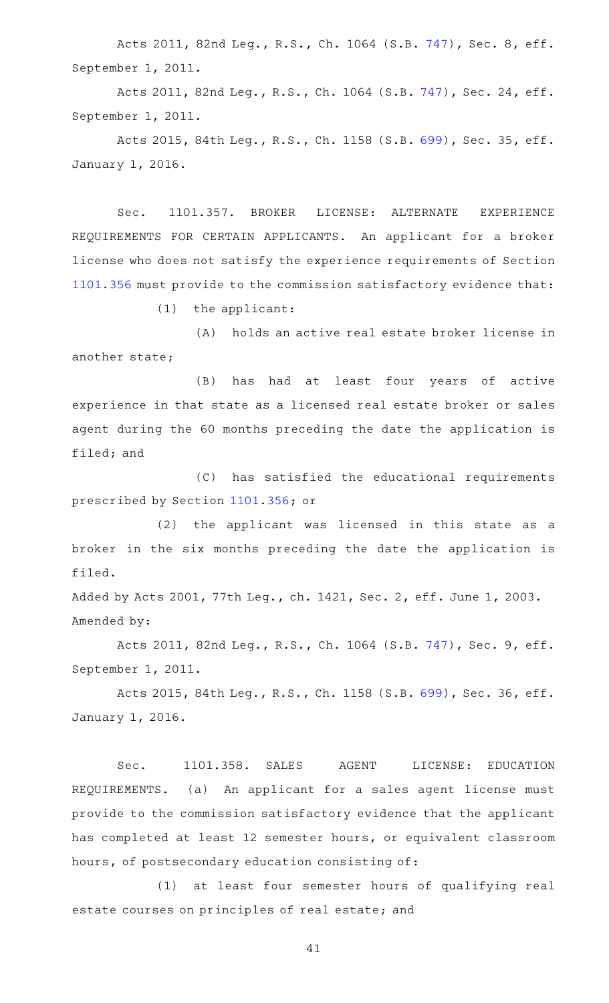Acts 2011, 82nd Leg., R.S., Ch. 1064 (S.B. [747](http://www.legis.state.tx.us/tlodocs/82R/billtext/html/SB00747F.HTM)), Sec. 8, eff. September 1, 2011.

Acts 2011, 82nd Leg., R.S., Ch. 1064 (S.B. [747\)](http://www.legis.state.tx.us/tlodocs/82R/billtext/html/SB00747F.HTM), Sec. 24, eff. September 1, 2011.

Acts 2015, 84th Leg., R.S., Ch. 1158 (S.B. [699\)](http://www.legis.state.tx.us/tlodocs/84R/billtext/html/SB00699F.HTM), Sec. 35, eff. January 1, 2016.

Sec. 1101.357. BROKER LICENSE: ALTERNATE EXPERIENCE REQUIREMENTS FOR CERTAIN APPLICANTS. An applicant for a broker license who does not satisfy the experience requirements of Section [1101.356](https://statutes.capitol.texas.gov/GetStatute.aspx?Code=OC&Value=1101.356) must provide to the commission satisfactory evidence that:

 $(1)$  the applicant:

(A) holds an active real estate broker license in another state;

(B) has had at least four years of active experience in that state as a licensed real estate broker or sales agent during the 60 months preceding the date the application is filed; and

(C) has satisfied the educational requirements prescribed by Section [1101.356;](https://statutes.capitol.texas.gov/GetStatute.aspx?Code=OC&Value=1101.356) or

(2) the applicant was licensed in this state as a broker in the six months preceding the date the application is filed.

Added by Acts 2001, 77th Leg., ch. 1421, Sec. 2, eff. June 1, 2003. Amended by:

Acts 2011, 82nd Leg., R.S., Ch. 1064 (S.B. [747](http://www.legis.state.tx.us/tlodocs/82R/billtext/html/SB00747F.HTM)), Sec. 9, eff. September 1, 2011.

Acts 2015, 84th Leg., R.S., Ch. 1158 (S.B. [699\)](http://www.legis.state.tx.us/tlodocs/84R/billtext/html/SB00699F.HTM), Sec. 36, eff. January 1, 2016.

Sec. 1101.358. SALES AGENT LICENSE: EDUCATION REQUIREMENTS. (a) An applicant for a sales agent license must provide to the commission satisfactory evidence that the applicant has completed at least 12 semester hours, or equivalent classroom hours, of postsecondary education consisting of:

(1) at least four semester hours of qualifying real estate courses on principles of real estate; and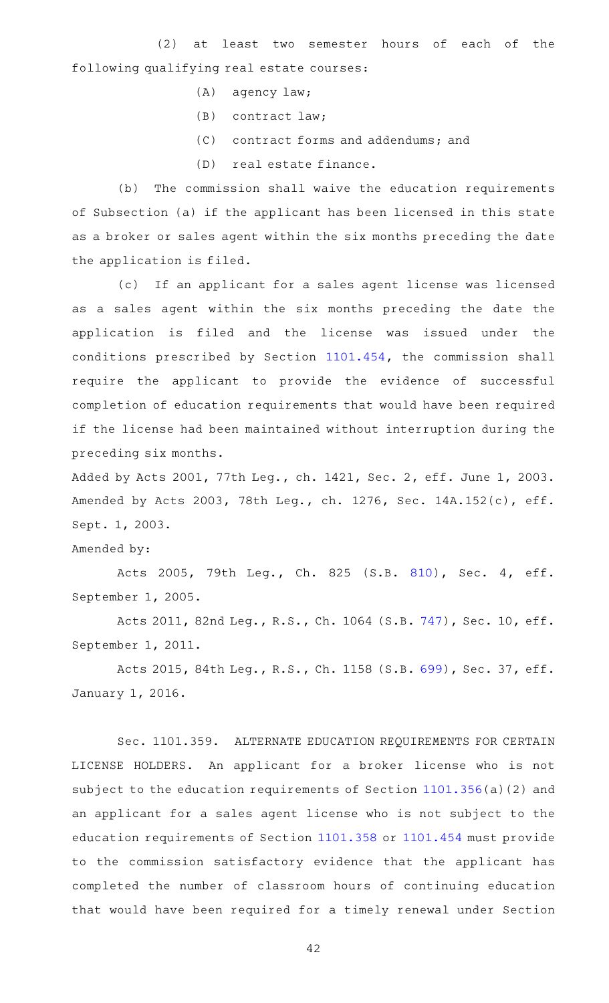(2) at least two semester hours of each of the following qualifying real estate courses:

- $(A)$  agency law;
- $(B)$  contract law;
- (C) contract forms and addendums; and
- (D) real estate finance.

(b) The commission shall waive the education requirements of Subsection (a) if the applicant has been licensed in this state as a broker or sales agent within the six months preceding the date the application is filed.

(c) If an applicant for a sales agent license was licensed as a sales agent within the six months preceding the date the application is filed and the license was issued under the conditions prescribed by Section [1101.454](https://statutes.capitol.texas.gov/GetStatute.aspx?Code=OC&Value=1101.454), the commission shall require the applicant to provide the evidence of successful completion of education requirements that would have been required if the license had been maintained without interruption during the preceding six months.

Added by Acts 2001, 77th Leg., ch. 1421, Sec. 2, eff. June 1, 2003. Amended by Acts 2003, 78th Leg., ch. 1276, Sec. 14A.152(c), eff. Sept. 1, 2003.

Amended by:

Acts 2005, 79th Leg., Ch. 825 (S.B. [810\)](http://www.legis.state.tx.us/tlodocs/79R/billtext/html/SB00810F.HTM), Sec. 4, eff. September 1, 2005.

Acts 2011, 82nd Leg., R.S., Ch. 1064 (S.B. [747\)](http://www.legis.state.tx.us/tlodocs/82R/billtext/html/SB00747F.HTM), Sec. 10, eff. September 1, 2011.

Acts 2015, 84th Leg., R.S., Ch. 1158 (S.B. [699\)](http://www.legis.state.tx.us/tlodocs/84R/billtext/html/SB00699F.HTM), Sec. 37, eff. January 1, 2016.

Sec. 1101.359. ALTERNATE EDUCATION REQUIREMENTS FOR CERTAIN LICENSE HOLDERS. An applicant for a broker license who is not subject to the education requirements of Section [1101.356\(](https://statutes.capitol.texas.gov/GetStatute.aspx?Code=OC&Value=1101.356)a)(2) and an applicant for a sales agent license who is not subject to the education requirements of Section [1101.358](https://statutes.capitol.texas.gov/GetStatute.aspx?Code=OC&Value=1101.358) or [1101.454](https://statutes.capitol.texas.gov/GetStatute.aspx?Code=OC&Value=1101.454) must provide to the commission satisfactory evidence that the applicant has completed the number of classroom hours of continuing education that would have been required for a timely renewal under Section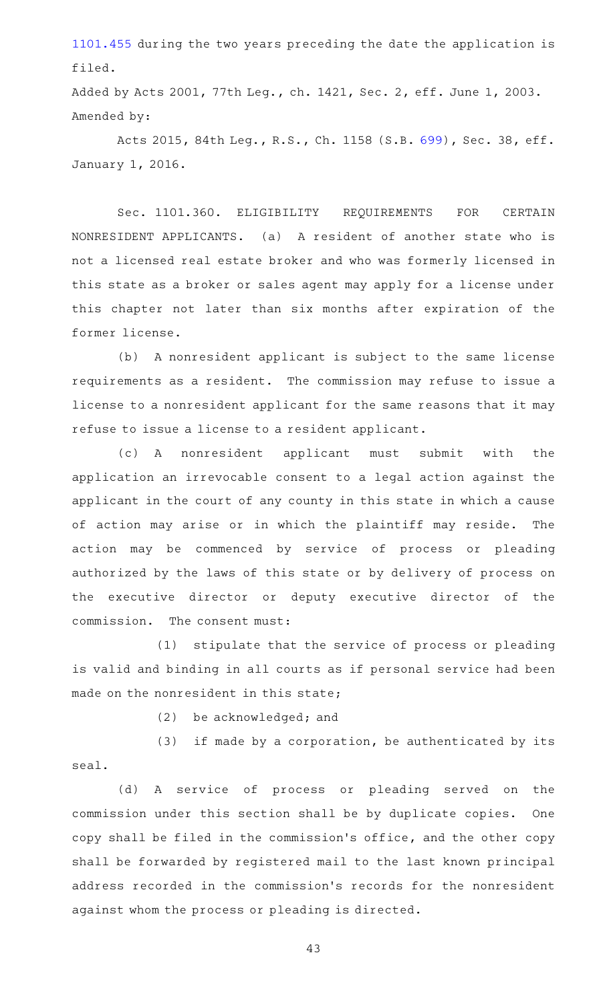[1101.455](https://statutes.capitol.texas.gov/GetStatute.aspx?Code=OC&Value=1101.455) during the two years preceding the date the application is filed.

Added by Acts 2001, 77th Leg., ch. 1421, Sec. 2, eff. June 1, 2003. Amended by:

Acts 2015, 84th Leg., R.S., Ch. 1158 (S.B. [699\)](http://www.legis.state.tx.us/tlodocs/84R/billtext/html/SB00699F.HTM), Sec. 38, eff. January 1, 2016.

Sec. 1101.360. ELIGIBILITY REQUIREMENTS FOR CERTAIN NONRESIDENT APPLICANTS. (a) A resident of another state who is not a licensed real estate broker and who was formerly licensed in this state as a broker or sales agent may apply for a license under this chapter not later than six months after expiration of the former license.

(b) A nonresident applicant is subject to the same license requirements as a resident. The commission may refuse to issue a license to a nonresident applicant for the same reasons that it may refuse to issue a license to a resident applicant.

(c)AAA nonresident applicant must submit with the application an irrevocable consent to a legal action against the applicant in the court of any county in this state in which a cause of action may arise or in which the plaintiff may reside. The action may be commenced by service of process or pleading authorized by the laws of this state or by delivery of process on the executive director or deputy executive director of the commission. The consent must:

(1) stipulate that the service of process or pleading is valid and binding in all courts as if personal service had been made on the nonresident in this state;

 $(2)$  be acknowledged; and

(3) if made by a corporation, be authenticated by its seal.

(d)AAA service of process or pleading served on the commission under this section shall be by duplicate copies. One copy shall be filed in the commission 's office, and the other copy shall be forwarded by registered mail to the last known principal address recorded in the commission 's records for the nonresident against whom the process or pleading is directed.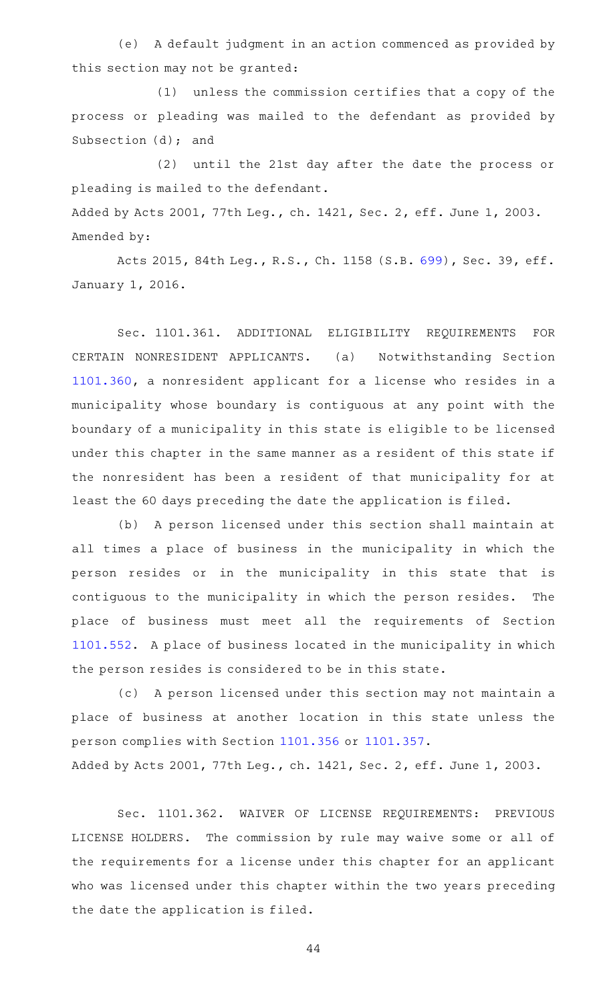(e) A default judgment in an action commenced as provided by this section may not be granted:

(1) unless the commission certifies that a copy of the process or pleading was mailed to the defendant as provided by Subsection (d); and

(2) until the 21st day after the date the process or pleading is mailed to the defendant. Added by Acts 2001, 77th Leg., ch. 1421, Sec. 2, eff. June 1, 2003. Amended by:

Acts 2015, 84th Leg., R.S., Ch. 1158 (S.B. [699\)](http://www.legis.state.tx.us/tlodocs/84R/billtext/html/SB00699F.HTM), Sec. 39, eff. January 1, 2016.

Sec. 1101.361. ADDITIONAL ELIGIBILITY REQUIREMENTS FOR CERTAIN NONRESIDENT APPLICANTS. (a) Notwithstanding Section [1101.360](https://statutes.capitol.texas.gov/GetStatute.aspx?Code=OC&Value=1101.360), a nonresident applicant for a license who resides in a municipality whose boundary is contiguous at any point with the boundary of a municipality in this state is eligible to be licensed under this chapter in the same manner as a resident of this state if the nonresident has been a resident of that municipality for at least the 60 days preceding the date the application is filed.

(b) A person licensed under this section shall maintain at all times a place of business in the municipality in which the person resides or in the municipality in this state that is contiguous to the municipality in which the person resides. The place of business must meet all the requirements of Section [1101.552](https://statutes.capitol.texas.gov/GetStatute.aspx?Code=OC&Value=1101.552). A place of business located in the municipality in which the person resides is considered to be in this state.

(c) A person licensed under this section may not maintain a place of business at another location in this state unless the person complies with Section [1101.356](https://statutes.capitol.texas.gov/GetStatute.aspx?Code=OC&Value=1101.356) or [1101.357.](https://statutes.capitol.texas.gov/GetStatute.aspx?Code=OC&Value=1101.357)

Added by Acts 2001, 77th Leg., ch. 1421, Sec. 2, eff. June 1, 2003.

Sec. 1101.362. WAIVER OF LICENSE REQUIREMENTS: PREVIOUS LICENSE HOLDERS. The commission by rule may waive some or all of the requirements for a license under this chapter for an applicant who was licensed under this chapter within the two years preceding the date the application is filed.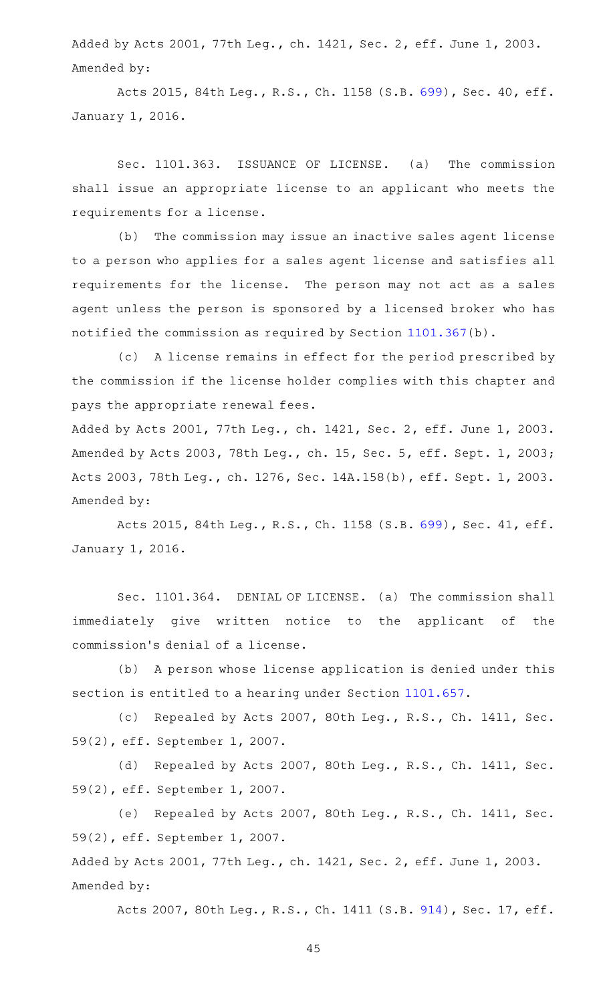Added by Acts 2001, 77th Leg., ch. 1421, Sec. 2, eff. June 1, 2003. Amended by:

Acts 2015, 84th Leg., R.S., Ch. 1158 (S.B. [699\)](http://www.legis.state.tx.us/tlodocs/84R/billtext/html/SB00699F.HTM), Sec. 40, eff. January 1, 2016.

Sec. 1101.363. ISSUANCE OF LICENSE. (a) The commission shall issue an appropriate license to an applicant who meets the requirements for a license.

(b) The commission may issue an inactive sales agent license to a person who applies for a sales agent license and satisfies all requirements for the license. The person may not act as a sales agent unless the person is sponsored by a licensed broker who has notified the commission as required by Section [1101.367\(](https://statutes.capitol.texas.gov/GetStatute.aspx?Code=OC&Value=1101.367)b).

(c) A license remains in effect for the period prescribed by the commission if the license holder complies with this chapter and pays the appropriate renewal fees.

Added by Acts 2001, 77th Leg., ch. 1421, Sec. 2, eff. June 1, 2003. Amended by Acts 2003, 78th Leg., ch. 15, Sec. 5, eff. Sept. 1, 2003; Acts 2003, 78th Leg., ch. 1276, Sec. 14A.158(b), eff. Sept. 1, 2003. Amended by:

Acts 2015, 84th Leg., R.S., Ch. 1158 (S.B. [699\)](http://www.legis.state.tx.us/tlodocs/84R/billtext/html/SB00699F.HTM), Sec. 41, eff. January 1, 2016.

Sec. 1101.364. DENIAL OF LICENSE. (a) The commission shall immediately give written notice to the applicant of the commission 's denial of a license.

(b) A person whose license application is denied under this section is entitled to a hearing under Section [1101.657](https://statutes.capitol.texas.gov/GetStatute.aspx?Code=OC&Value=1101.657).

(c) Repealed by Acts 2007, 80th Leg., R.S., Ch. 1411, Sec. 59(2), eff. September 1, 2007.

(d) Repealed by Acts 2007, 80th Leg., R.S., Ch. 1411, Sec. 59(2), eff. September 1, 2007.

(e) Repealed by Acts 2007, 80th Leg., R.S., Ch. 1411, Sec. 59(2), eff. September 1, 2007.

Added by Acts 2001, 77th Leg., ch. 1421, Sec. 2, eff. June 1, 2003. Amended by:

Acts 2007, 80th Leg., R.S., Ch. 1411 (S.B. [914\)](http://www.legis.state.tx.us/tlodocs/80R/billtext/html/SB00914F.HTM), Sec. 17, eff.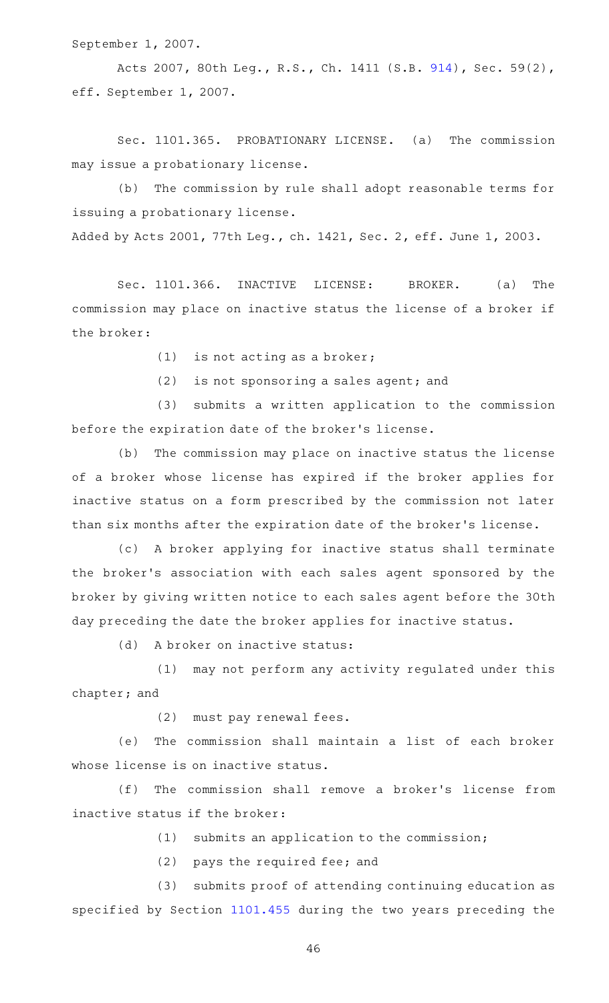September 1, 2007.

Acts 2007, 80th Leg., R.S., Ch. 1411 (S.B. [914\)](http://www.legis.state.tx.us/tlodocs/80R/billtext/html/SB00914F.HTM), Sec. 59(2), eff. September 1, 2007.

Sec. 1101.365. PROBATIONARY LICENSE. (a) The commission may issue a probationary license.

(b) The commission by rule shall adopt reasonable terms for issuing a probationary license.

Added by Acts 2001, 77th Leg., ch. 1421, Sec. 2, eff. June 1, 2003.

Sec. 1101.366. INACTIVE LICENSE: BROKER. (a) The commission may place on inactive status the license of a broker if the broker:

 $(1)$  is not acting as a broker;

 $(2)$  is not sponsoring a sales agent; and

(3) submits a written application to the commission before the expiration date of the broker 's license.

(b) The commission may place on inactive status the license of a broker whose license has expired if the broker applies for inactive status on a form prescribed by the commission not later than six months after the expiration date of the broker 's license.

(c)AAA broker applying for inactive status shall terminate the broker 's association with each sales agent sponsored by the broker by giving written notice to each sales agent before the 30th day preceding the date the broker applies for inactive status.

(d) A broker on inactive status:

(1) may not perform any activity regulated under this chapter; and

(2) must pay renewal fees.

(e) The commission shall maintain a list of each broker whose license is on inactive status.

(f) The commission shall remove a broker's license from inactive status if the broker:

 $(1)$  submits an application to the commission;

(2) pays the required fee; and

(3) submits proof of attending continuing education as specified by Section [1101.455](https://statutes.capitol.texas.gov/GetStatute.aspx?Code=OC&Value=1101.455) during the two years preceding the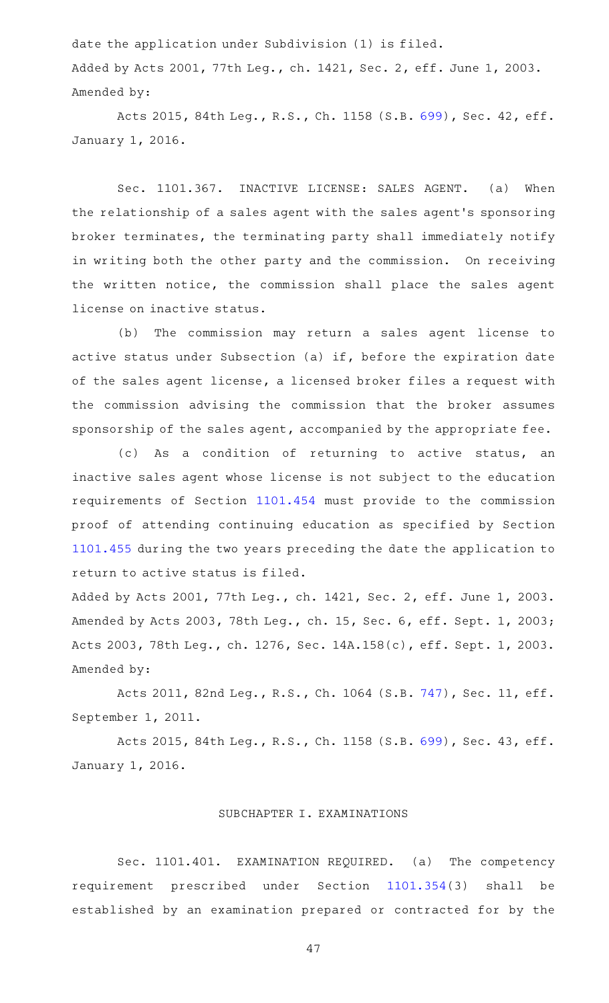date the application under Subdivision (1) is filed. Added by Acts 2001, 77th Leg., ch. 1421, Sec. 2, eff. June 1, 2003. Amended by:

Acts 2015, 84th Leg., R.S., Ch. 1158 (S.B. [699\)](http://www.legis.state.tx.us/tlodocs/84R/billtext/html/SB00699F.HTM), Sec. 42, eff. January 1, 2016.

Sec. 1101.367. INACTIVE LICENSE: SALES AGENT. (a) When the relationship of a sales agent with the sales agent 's sponsoring broker terminates, the terminating party shall immediately notify in writing both the other party and the commission. On receiving the written notice, the commission shall place the sales agent license on inactive status.

(b) The commission may return a sales agent license to active status under Subsection (a) if, before the expiration date of the sales agent license, a licensed broker files a request with the commission advising the commission that the broker assumes sponsorship of the sales agent, accompanied by the appropriate fee.

(c) As a condition of returning to active status, an inactive sales agent whose license is not subject to the education requirements of Section [1101.454](https://statutes.capitol.texas.gov/GetStatute.aspx?Code=OC&Value=1101.454) must provide to the commission proof of attending continuing education as specified by Section [1101.455](https://statutes.capitol.texas.gov/GetStatute.aspx?Code=OC&Value=1101.455) during the two years preceding the date the application to return to active status is filed.

Added by Acts 2001, 77th Leg., ch. 1421, Sec. 2, eff. June 1, 2003. Amended by Acts 2003, 78th Leg., ch. 15, Sec. 6, eff. Sept. 1, 2003; Acts 2003, 78th Leg., ch. 1276, Sec. 14A.158(c), eff. Sept. 1, 2003. Amended by:

Acts 2011, 82nd Leg., R.S., Ch. 1064 (S.B. [747\)](http://www.legis.state.tx.us/tlodocs/82R/billtext/html/SB00747F.HTM), Sec. 11, eff. September 1, 2011.

Acts 2015, 84th Leg., R.S., Ch. 1158 (S.B. [699\)](http://www.legis.state.tx.us/tlodocs/84R/billtext/html/SB00699F.HTM), Sec. 43, eff. January 1, 2016.

### SUBCHAPTER I. EXAMINATIONS

Sec. 1101.401. EXAMINATION REQUIRED. (a) The competency requirement prescribed under Section [1101.354\(](https://statutes.capitol.texas.gov/GetStatute.aspx?Code=OC&Value=1101.354)3) shall be established by an examination prepared or contracted for by the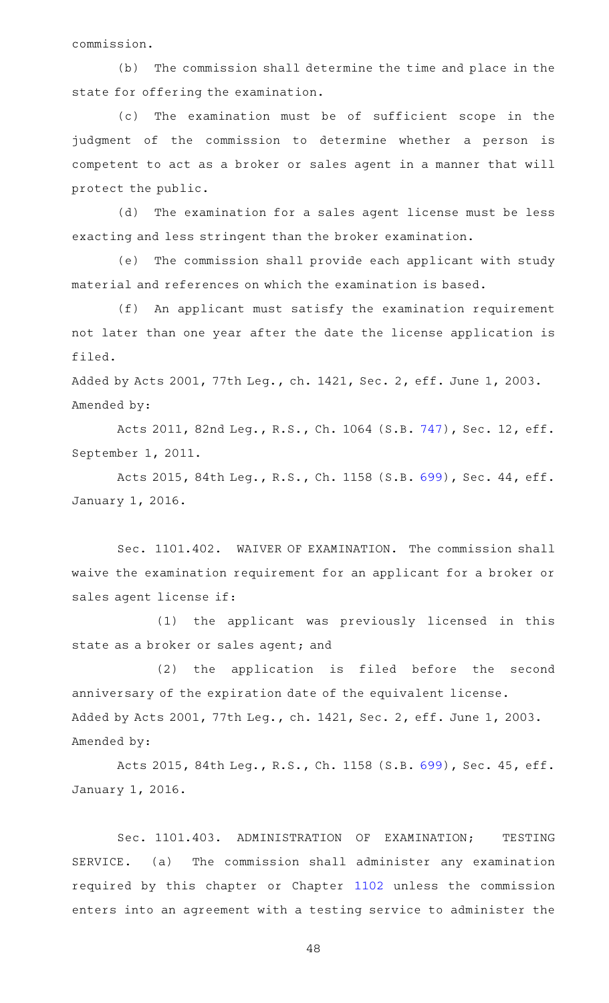commission.

(b) The commission shall determine the time and place in the state for offering the examination.

(c) The examination must be of sufficient scope in the judgment of the commission to determine whether a person is competent to act as a broker or sales agent in a manner that will protect the public.

(d) The examination for a sales agent license must be less exacting and less stringent than the broker examination.

(e) The commission shall provide each applicant with study material and references on which the examination is based.

(f) An applicant must satisfy the examination requirement not later than one year after the date the license application is filed.

Added by Acts 2001, 77th Leg., ch. 1421, Sec. 2, eff. June 1, 2003. Amended by:

Acts 2011, 82nd Leg., R.S., Ch. 1064 (S.B. [747\)](http://www.legis.state.tx.us/tlodocs/82R/billtext/html/SB00747F.HTM), Sec. 12, eff. September 1, 2011.

Acts 2015, 84th Leg., R.S., Ch. 1158 (S.B. [699\)](http://www.legis.state.tx.us/tlodocs/84R/billtext/html/SB00699F.HTM), Sec. 44, eff. January 1, 2016.

Sec. 1101.402. WAIVER OF EXAMINATION. The commission shall waive the examination requirement for an applicant for a broker or sales agent license if:

(1) the applicant was previously licensed in this state as a broker or sales agent; and

 $(2)$  the application is filed before the second anniversary of the expiration date of the equivalent license. Added by Acts 2001, 77th Leg., ch. 1421, Sec. 2, eff. June 1, 2003. Amended by:

Acts 2015, 84th Leg., R.S., Ch. 1158 (S.B. [699\)](http://www.legis.state.tx.us/tlodocs/84R/billtext/html/SB00699F.HTM), Sec. 45, eff. January 1, 2016.

Sec. 1101.403. ADMINISTRATION OF EXAMINATION; TESTING SERVICE. (a) The commission shall administer any examination required by this chapter or Chapter [1102](https://statutes.capitol.texas.gov/GetStatute.aspx?Code=OC&Value=1102) unless the commission enters into an agreement with a testing service to administer the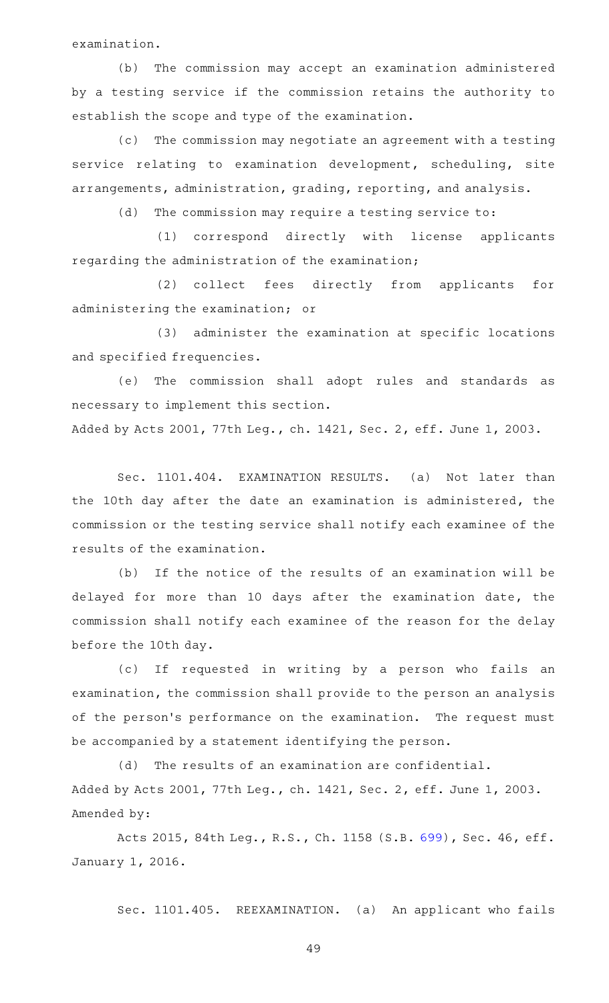examination.

(b) The commission may accept an examination administered by a testing service if the commission retains the authority to establish the scope and type of the examination.

(c) The commission may negotiate an agreement with a testing service relating to examination development, scheduling, site arrangements, administration, grading, reporting, and analysis.

(d) The commission may require a testing service to:

(1) correspond directly with license applicants regarding the administration of the examination;

(2) collect fees directly from applicants for administering the examination; or

(3) administer the examination at specific locations and specified frequencies.

(e) The commission shall adopt rules and standards as necessary to implement this section.

Added by Acts 2001, 77th Leg., ch. 1421, Sec. 2, eff. June 1, 2003.

Sec. 1101.404. EXAMINATION RESULTS. (a) Not later than the 10th day after the date an examination is administered, the commission or the testing service shall notify each examinee of the results of the examination.

(b) If the notice of the results of an examination will be delayed for more than 10 days after the examination date, the commission shall notify each examinee of the reason for the delay before the 10th day.

(c) If requested in writing by a person who fails an examination, the commission shall provide to the person an analysis of the person's performance on the examination. The request must be accompanied by a statement identifying the person.

(d) The results of an examination are confidential. Added by Acts 2001, 77th Leg., ch. 1421, Sec. 2, eff. June 1, 2003. Amended by:

Acts 2015, 84th Leg., R.S., Ch. 1158 (S.B. [699\)](http://www.legis.state.tx.us/tlodocs/84R/billtext/html/SB00699F.HTM), Sec. 46, eff. January 1, 2016.

Sec. 1101.405. REEXAMINATION. (a) An applicant who fails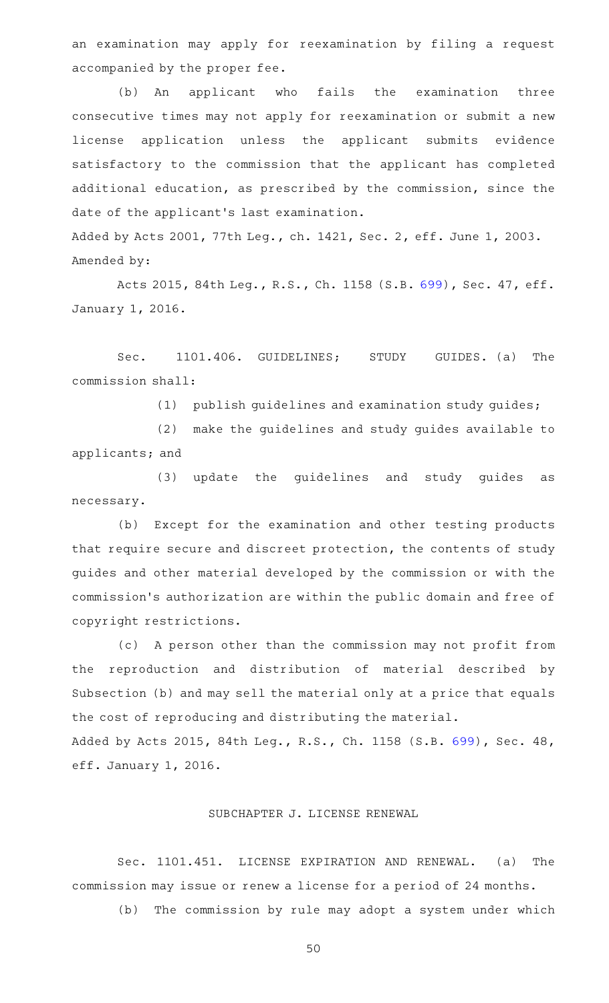an examination may apply for reexamination by filing a request accompanied by the proper fee.

(b) An applicant who fails the examination three consecutive times may not apply for reexamination or submit a new license application unless the applicant submits evidence satisfactory to the commission that the applicant has completed additional education, as prescribed by the commission, since the date of the applicant 's last examination. Added by Acts 2001, 77th Leg., ch. 1421, Sec. 2, eff. June 1, 2003.

Amended by:

Acts 2015, 84th Leg., R.S., Ch. 1158 (S.B. [699\)](http://www.legis.state.tx.us/tlodocs/84R/billtext/html/SB00699F.HTM), Sec. 47, eff. January 1, 2016.

Sec. 1101.406. GUIDELINES; STUDY GUIDES. (a) The commission shall:

(1) publish guidelines and examination study guides;

(2) make the guidelines and study guides available to applicants; and

(3) update the guidelines and study guides as necessary.

(b) Except for the examination and other testing products that require secure and discreet protection, the contents of study guides and other material developed by the commission or with the commission 's authorization are within the public domain and free of copyright restrictions.

(c) A person other than the commission may not profit from the reproduction and distribution of material described by Subsection (b) and may sell the material only at a price that equals the cost of reproducing and distributing the material.

Added by Acts 2015, 84th Leg., R.S., Ch. 1158 (S.B. [699\)](http://www.legis.state.tx.us/tlodocs/84R/billtext/html/SB00699F.HTM), Sec. 48, eff. January 1, 2016.

# SUBCHAPTER J. LICENSE RENEWAL

Sec. 1101.451. LICENSE EXPIRATION AND RENEWAL. (a) The commission may issue or renew a license for a period of 24 months.

(b) The commission by rule may adopt a system under which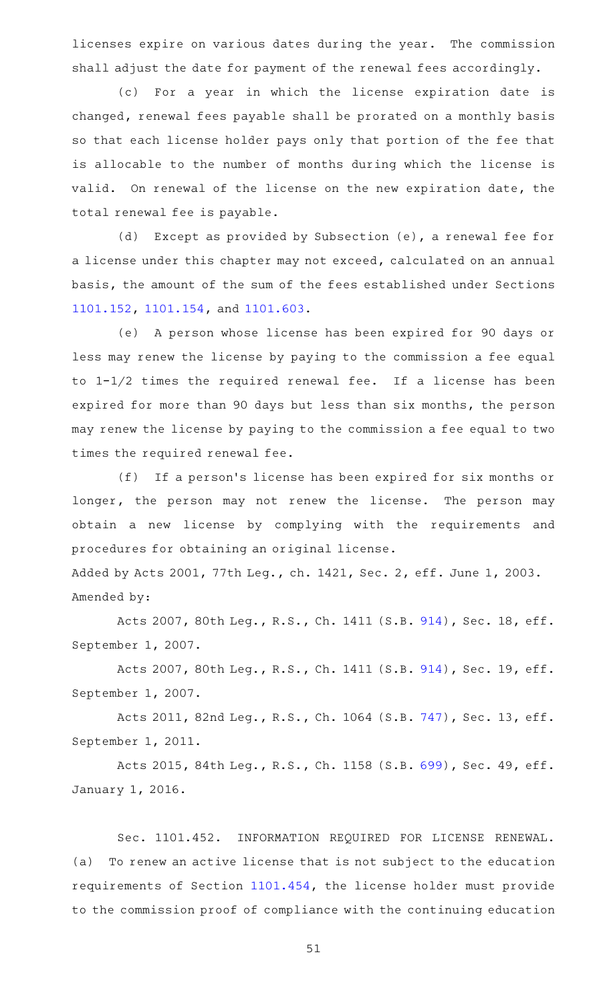licenses expire on various dates during the year. The commission shall adjust the date for payment of the renewal fees accordingly.

(c) For a year in which the license expiration date is changed, renewal fees payable shall be prorated on a monthly basis so that each license holder pays only that portion of the fee that is allocable to the number of months during which the license is valid. On renewal of the license on the new expiration date, the total renewal fee is payable.

(d) Except as provided by Subsection  $(e)$ , a renewal fee for a license under this chapter may not exceed, calculated on an annual basis, the amount of the sum of the fees established under Sections [1101.152](https://statutes.capitol.texas.gov/GetStatute.aspx?Code=OC&Value=1101.152), [1101.154](https://statutes.capitol.texas.gov/GetStatute.aspx?Code=OC&Value=1101.154), and [1101.603.](https://statutes.capitol.texas.gov/GetStatute.aspx?Code=OC&Value=1101.603)

(e) A person whose license has been expired for 90 days or less may renew the license by paying to the commission a fee equal to  $1-1/2$  times the required renewal fee. If a license has been expired for more than 90 days but less than six months, the person may renew the license by paying to the commission a fee equal to two times the required renewal fee.

(f) If a person's license has been expired for six months or longer, the person may not renew the license. The person may obtain a new license by complying with the requirements and procedures for obtaining an original license.

Added by Acts 2001, 77th Leg., ch. 1421, Sec. 2, eff. June 1, 2003. Amended by:

Acts 2007, 80th Leg., R.S., Ch. 1411 (S.B. [914\)](http://www.legis.state.tx.us/tlodocs/80R/billtext/html/SB00914F.HTM), Sec. 18, eff. September 1, 2007.

Acts 2007, 80th Leg., R.S., Ch. 1411 (S.B. [914\)](http://www.legis.state.tx.us/tlodocs/80R/billtext/html/SB00914F.HTM), Sec. 19, eff. September 1, 2007.

Acts 2011, 82nd Leg., R.S., Ch. 1064 (S.B. [747\)](http://www.legis.state.tx.us/tlodocs/82R/billtext/html/SB00747F.HTM), Sec. 13, eff. September 1, 2011.

Acts 2015, 84th Leg., R.S., Ch. 1158 (S.B. [699\)](http://www.legis.state.tx.us/tlodocs/84R/billtext/html/SB00699F.HTM), Sec. 49, eff. January 1, 2016.

Sec. 1101.452. INFORMATION REQUIRED FOR LICENSE RENEWAL. (a) To renew an active license that is not subject to the education requirements of Section [1101.454,](https://statutes.capitol.texas.gov/GetStatute.aspx?Code=OC&Value=1101.454) the license holder must provide to the commission proof of compliance with the continuing education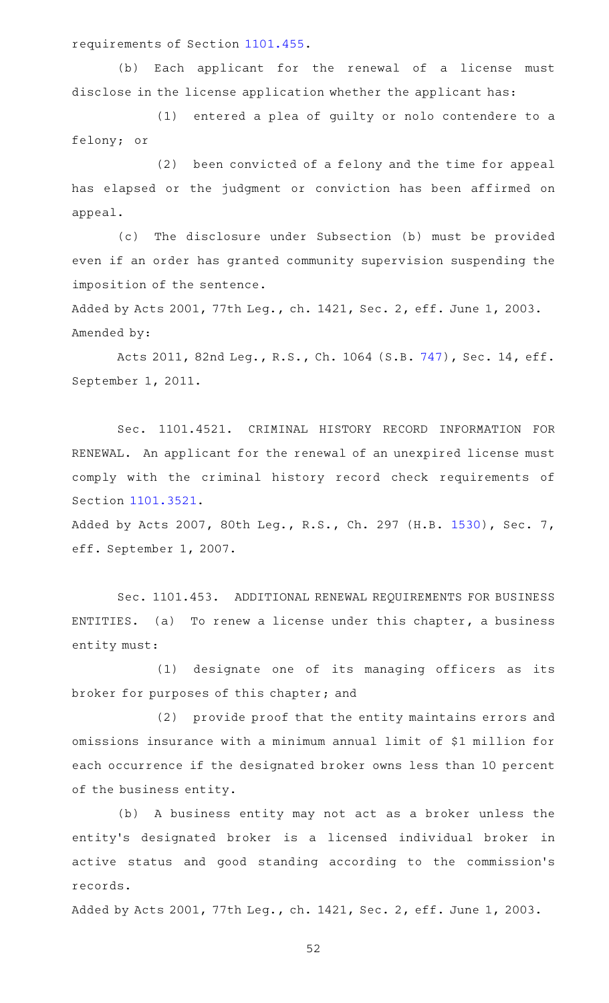requirements of Section [1101.455.](https://statutes.capitol.texas.gov/GetStatute.aspx?Code=OC&Value=1101.455)

(b) Each applicant for the renewal of a license must disclose in the license application whether the applicant has:

(1) entered a plea of guilty or nolo contendere to a felony; or

(2) been convicted of a felony and the time for appeal has elapsed or the judgment or conviction has been affirmed on appeal.

(c) The disclosure under Subsection (b) must be provided even if an order has granted community supervision suspending the imposition of the sentence.

Added by Acts 2001, 77th Leg., ch. 1421, Sec. 2, eff. June 1, 2003. Amended by:

Acts 2011, 82nd Leg., R.S., Ch. 1064 (S.B. [747\)](http://www.legis.state.tx.us/tlodocs/82R/billtext/html/SB00747F.HTM), Sec. 14, eff. September 1, 2011.

Sec. 1101.4521. CRIMINAL HISTORY RECORD INFORMATION FOR RENEWAL. An applicant for the renewal of an unexpired license must comply with the criminal history record check requirements of Section [1101.3521.](https://statutes.capitol.texas.gov/GetStatute.aspx?Code=OC&Value=1101.3521)

Added by Acts 2007, 80th Leg., R.S., Ch. 297 (H.B. [1530](http://www.legis.state.tx.us/tlodocs/80R/billtext/html/HB01530F.HTM)), Sec. 7, eff. September 1, 2007.

Sec. 1101.453. ADDITIONAL RENEWAL REQUIREMENTS FOR BUSINESS ENTITIES. (a) To renew a license under this chapter, a business entity must:

(1) designate one of its managing officers as its broker for purposes of this chapter; and

(2) provide proof that the entity maintains errors and omissions insurance with a minimum annual limit of \$1 million for each occurrence if the designated broker owns less than 10 percent of the business entity.

(b) A business entity may not act as a broker unless the entity 's designated broker is a licensed individual broker in active status and good standing according to the commission 's records.

Added by Acts 2001, 77th Leg., ch. 1421, Sec. 2, eff. June 1, 2003.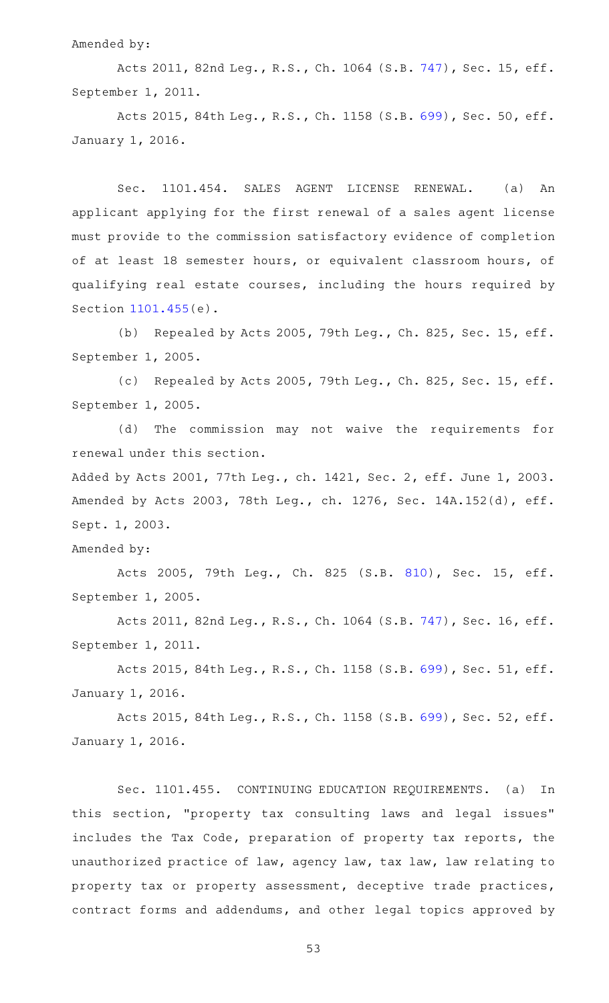### Amended by:

Acts 2011, 82nd Leg., R.S., Ch. 1064 (S.B. [747\)](http://www.legis.state.tx.us/tlodocs/82R/billtext/html/SB00747F.HTM), Sec. 15, eff. September 1, 2011.

Acts 2015, 84th Leg., R.S., Ch. 1158 (S.B. [699\)](http://www.legis.state.tx.us/tlodocs/84R/billtext/html/SB00699F.HTM), Sec. 50, eff. January 1, 2016.

Sec. 1101.454. SALES AGENT LICENSE RENEWAL. (a) An applicant applying for the first renewal of a sales agent license must provide to the commission satisfactory evidence of completion of at least 18 semester hours, or equivalent classroom hours, of qualifying real estate courses, including the hours required by Section [1101.455](https://statutes.capitol.texas.gov/GetStatute.aspx?Code=OC&Value=1101.455)(e).

(b) Repealed by Acts 2005, 79th Leg., Ch. 825, Sec. 15, eff. September 1, 2005.

(c) Repealed by Acts 2005, 79th Leg., Ch. 825, Sec. 15, eff. September 1, 2005.

(d) The commission may not waive the requirements for renewal under this section.

Added by Acts 2001, 77th Leg., ch. 1421, Sec. 2, eff. June 1, 2003. Amended by Acts 2003, 78th Leg., ch. 1276, Sec. 14A.152(d), eff. Sept. 1, 2003.

Amended by:

Acts 2005, 79th Leg., Ch. 825 (S.B. [810\)](http://www.legis.state.tx.us/tlodocs/79R/billtext/html/SB00810F.HTM), Sec. 15, eff. September 1, 2005.

Acts 2011, 82nd Leg., R.S., Ch. 1064 (S.B. [747\)](http://www.legis.state.tx.us/tlodocs/82R/billtext/html/SB00747F.HTM), Sec. 16, eff. September 1, 2011.

Acts 2015, 84th Leg., R.S., Ch. 1158 (S.B. [699\)](http://www.legis.state.tx.us/tlodocs/84R/billtext/html/SB00699F.HTM), Sec. 51, eff. January 1, 2016.

Acts 2015, 84th Leg., R.S., Ch. 1158 (S.B. [699\)](http://www.legis.state.tx.us/tlodocs/84R/billtext/html/SB00699F.HTM), Sec. 52, eff. January 1, 2016.

Sec. 1101.455. CONTINUING EDUCATION REQUIREMENTS. (a) In this section, "property tax consulting laws and legal issues" includes the Tax Code, preparation of property tax reports, the unauthorized practice of law, agency law, tax law, law relating to property tax or property assessment, deceptive trade practices, contract forms and addendums, and other legal topics approved by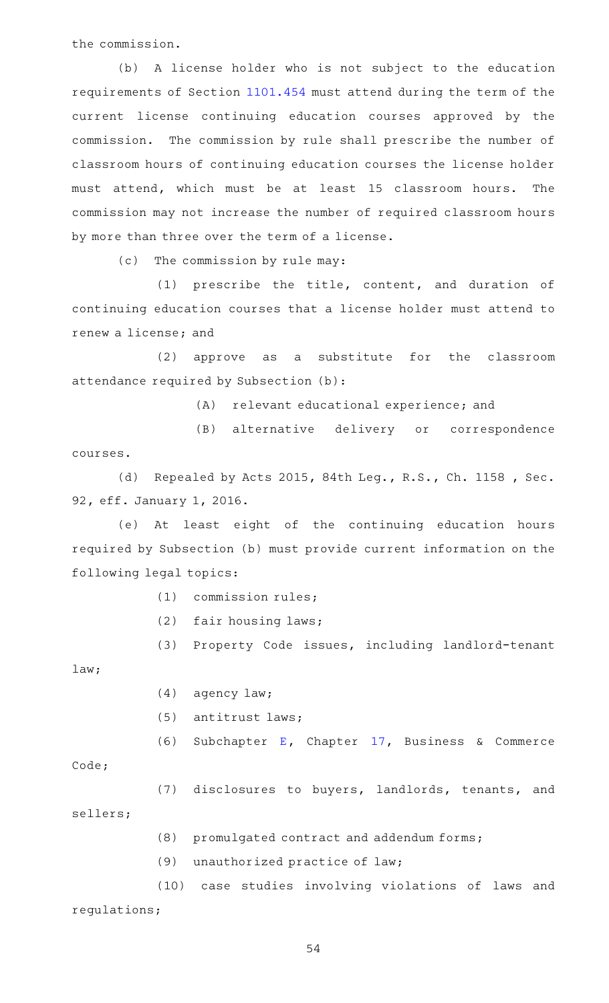the commission.

(b) A license holder who is not subject to the education requirements of Section [1101.454](https://statutes.capitol.texas.gov/GetStatute.aspx?Code=OC&Value=1101.454) must attend during the term of the current license continuing education courses approved by the commission. The commission by rule shall prescribe the number of classroom hours of continuing education courses the license holder must attend, which must be at least 15 classroom hours. The commission may not increase the number of required classroom hours by more than three over the term of a license.

(c) The commission by rule may:

 $(1)$  prescribe the title, content, and duration of continuing education courses that a license holder must attend to renew a license; and

(2) approve as a substitute for the classroom attendance required by Subsection (b):

(A) relevant educational experience; and

(B) alternative delivery or correspondence courses.

(d) Repealed by Acts 2015, 84th Leg., R.S., Ch. 1158, Sec. 92, eff. January 1, 2016.

(e) At least eight of the continuing education hours required by Subsection (b) must provide current information on the following legal topics:

 $(1)$  commission rules;

 $(2)$  fair housing laws;

(3) Property Code issues, including landlord-tenant

law;

- $(4)$  agency law;
- (5) antitrust laws;

(6) Subchapter [E,](https://statutes.capitol.texas.gov/GetStatute.aspx?Code=BC&Value=17.41) Chapter  $17$ , Business & Commerce

Code;

(7) disclosures to buyers, landlords, tenants, and

sellers;

- (8) promulgated contract and addendum forms;
- $(9)$  unauthorized practice of law;

(10) case studies involving violations of laws and regulations;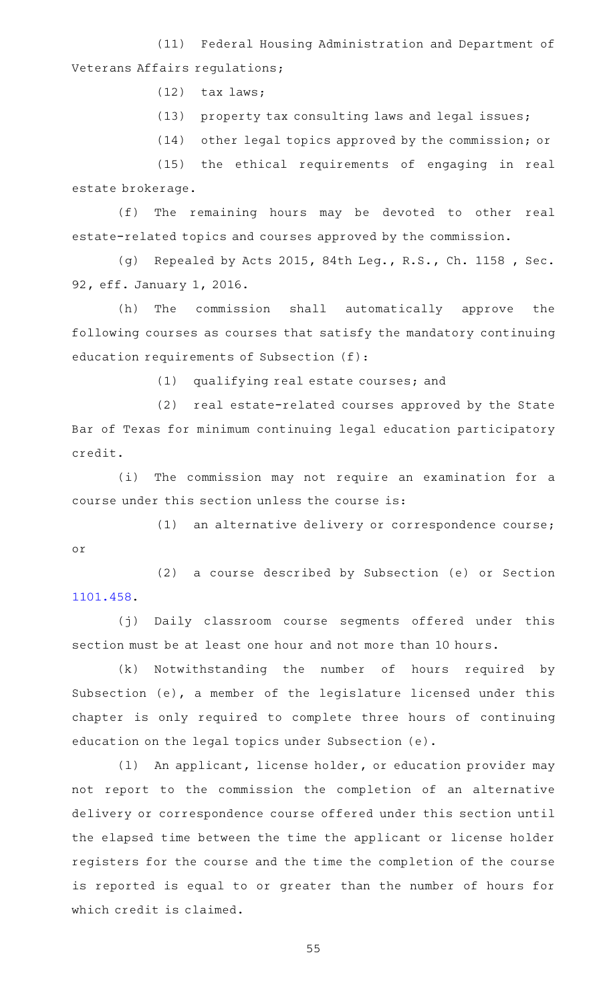(11) Federal Housing Administration and Department of Veterans Affairs regulations;

 $(12)$  tax laws;

(13) property tax consulting laws and legal issues;

(14) other legal topics approved by the commission; or

(15) the ethical requirements of engaging in real estate brokerage.

(f) The remaining hours may be devoted to other real estate-related topics and courses approved by the commission.

(g) Repealed by Acts 2015, 84th Leg., R.S., Ch. 1158, Sec. 92, eff. January 1, 2016.

(h) The commission shall automatically approve the following courses as courses that satisfy the mandatory continuing education requirements of Subsection (f):

(1) qualifying real estate courses; and

(2) real estate-related courses approved by the State Bar of Texas for minimum continuing legal education participatory credit.

(i) The commission may not require an examination for a course under this section unless the course is:

(1) an alternative delivery or correspondence course; or

(2) a course described by Subsection (e) or Section [1101.458](https://statutes.capitol.texas.gov/GetStatute.aspx?Code=OC&Value=1101.458).

(j) Daily classroom course segments offered under this section must be at least one hour and not more than 10 hours.

(k) Notwithstanding the number of hours required by Subsection (e), a member of the legislature licensed under this chapter is only required to complete three hours of continuing education on the legal topics under Subsection (e).

(1) An applicant, license holder, or education provider may not report to the commission the completion of an alternative delivery or correspondence course offered under this section until the elapsed time between the time the applicant or license holder registers for the course and the time the completion of the course is reported is equal to or greater than the number of hours for which credit is claimed.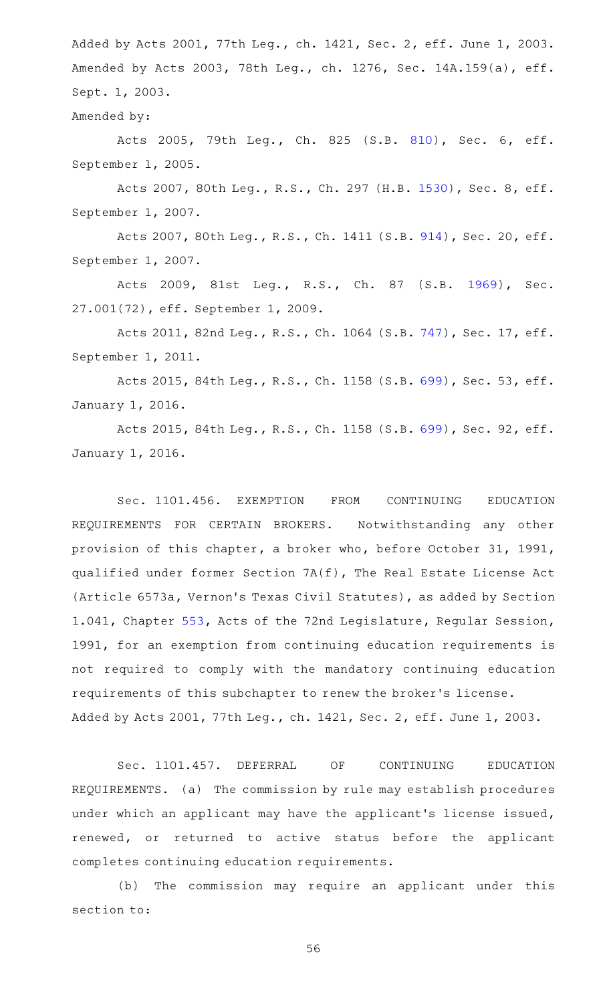Added by Acts 2001, 77th Leg., ch. 1421, Sec. 2, eff. June 1, 2003. Amended by Acts 2003, 78th Leg., ch. 1276, Sec. 14A.159(a), eff. Sept. 1, 2003.

Amended by:

Acts 2005, 79th Leg., Ch. 825 (S.B. [810\)](http://www.legis.state.tx.us/tlodocs/79R/billtext/html/SB00810F.HTM), Sec. 6, eff. September 1, 2005.

Acts 2007, 80th Leg., R.S., Ch. 297 (H.B. [1530](http://www.legis.state.tx.us/tlodocs/80R/billtext/html/HB01530F.HTM)), Sec. 8, eff. September 1, 2007.

Acts 2007, 80th Leg., R.S., Ch. 1411 (S.B. [914\)](http://www.legis.state.tx.us/tlodocs/80R/billtext/html/SB00914F.HTM), Sec. 20, eff. September 1, 2007.

Acts 2009, 81st Leg., R.S., Ch. 87 (S.B. [1969\)](http://www.legis.state.tx.us/tlodocs/81R/billtext/html/SB01969F.HTM), Sec. 27.001(72), eff. September 1, 2009.

Acts 2011, 82nd Leg., R.S., Ch. 1064 (S.B. [747\)](http://www.legis.state.tx.us/tlodocs/82R/billtext/html/SB00747F.HTM), Sec. 17, eff. September 1, 2011.

Acts 2015, 84th Leg., R.S., Ch. 1158 (S.B. [699\)](http://www.legis.state.tx.us/tlodocs/84R/billtext/html/SB00699F.HTM), Sec. 53, eff. January 1, 2016.

Acts 2015, 84th Leg., R.S., Ch. 1158 (S.B. [699\)](http://www.legis.state.tx.us/tlodocs/84R/billtext/html/SB00699F.HTM), Sec. 92, eff. January 1, 2016.

Sec. 1101.456. EXEMPTION FROM CONTINUING EDUCATION REQUIREMENTS FOR CERTAIN BROKERS. Notwithstanding any other provision of this chapter, a broker who, before October 31, 1991, qualified under former Section 7A(f), The Real Estate License Act (Article 6573a, Vernon 's Texas Civil Statutes), as added by Section 1.041, Chapter [553](https://statutes.capitol.texas.gov/GetStatute.aspx?Code=OC&Value=553), Acts of the 72nd Legislature, Regular Session, 1991, for an exemption from continuing education requirements is not required to comply with the mandatory continuing education requirements of this subchapter to renew the broker 's license. Added by Acts 2001, 77th Leg., ch. 1421, Sec. 2, eff. June 1, 2003.

Sec. 1101.457. DEFERRAL OF CONTINUING EDUCATION REQUIREMENTS. (a) The commission by rule may establish procedures under which an applicant may have the applicant 's license issued, renewed, or returned to active status before the applicant completes continuing education requirements.

(b) The commission may require an applicant under this section to: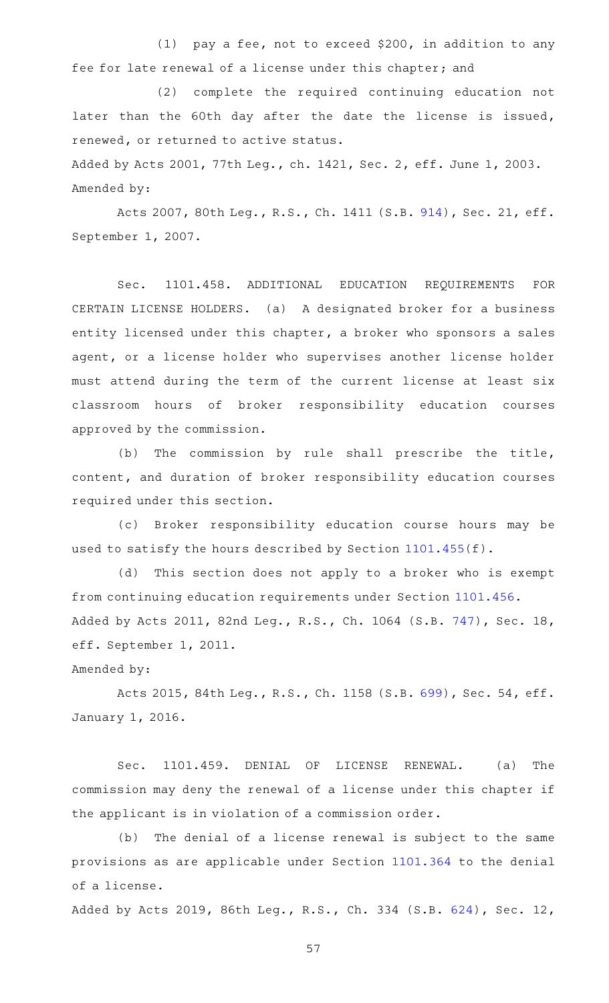(1) pay a fee, not to exceed \$200, in addition to any fee for late renewal of a license under this chapter; and

(2) complete the required continuing education not later than the 60th day after the date the license is issued, renewed, or returned to active status.

Added by Acts 2001, 77th Leg., ch. 1421, Sec. 2, eff. June 1, 2003. Amended by:

Acts 2007, 80th Leg., R.S., Ch. 1411 (S.B. [914\)](http://www.legis.state.tx.us/tlodocs/80R/billtext/html/SB00914F.HTM), Sec. 21, eff. September 1, 2007.

Sec. 1101.458. ADDITIONAL EDUCATION REQUIREMENTS FOR CERTAIN LICENSE HOLDERS. (a) A designated broker for a business entity licensed under this chapter, a broker who sponsors a sales agent, or a license holder who supervises another license holder must attend during the term of the current license at least six classroom hours of broker responsibility education courses approved by the commission.

(b) The commission by rule shall prescribe the title, content, and duration of broker responsibility education courses required under this section.

(c) Broker responsibility education course hours may be used to satisfy the hours described by Section [1101.455](https://statutes.capitol.texas.gov/GetStatute.aspx?Code=OC&Value=1101.455)(f).

(d) This section does not apply to a broker who is exempt from continuing education requirements under Section [1101.456](https://statutes.capitol.texas.gov/GetStatute.aspx?Code=OC&Value=1101.456). Added by Acts 2011, 82nd Leg., R.S., Ch. 1064 (S.B. [747\)](http://www.legis.state.tx.us/tlodocs/82R/billtext/html/SB00747F.HTM), Sec. 18, eff. September 1, 2011.

Amended by:

Acts 2015, 84th Leg., R.S., Ch. 1158 (S.B. [699\)](http://www.legis.state.tx.us/tlodocs/84R/billtext/html/SB00699F.HTM), Sec. 54, eff. January 1, 2016.

Sec. 1101.459. DENIAL OF LICENSE RENEWAL. (a) The commission may deny the renewal of a license under this chapter if the applicant is in violation of a commission order.

(b) The denial of a license renewal is subject to the same provisions as are applicable under Section [1101.364](https://statutes.capitol.texas.gov/GetStatute.aspx?Code=OC&Value=1101.364) to the denial of a license.

Added by Acts 2019, 86th Leg., R.S., Ch. 334 (S.B. [624\)](http://www.legis.state.tx.us/tlodocs/86R/billtext/html/SB00624F.HTM), Sec. 12,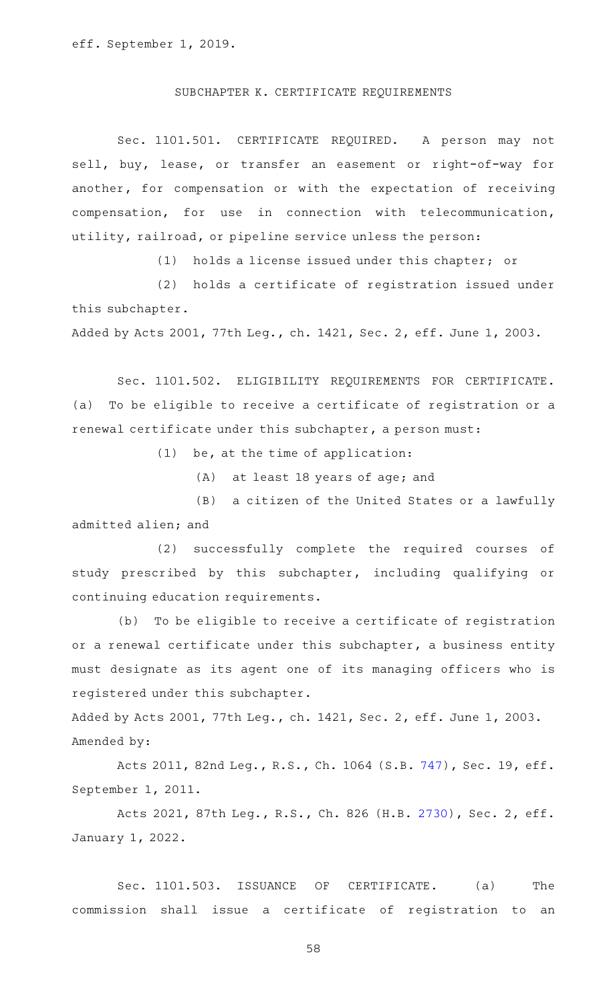### SUBCHAPTER K. CERTIFICATE REQUIREMENTS

Sec. 1101.501. CERTIFICATE REQUIRED. A person may not sell, buy, lease, or transfer an easement or right-of-way for another, for compensation or with the expectation of receiving compensation, for use in connection with telecommunication, utility, railroad, or pipeline service unless the person:

 $(1)$  holds a license issued under this chapter; or

(2) holds a certificate of registration issued under this subchapter.

Added by Acts 2001, 77th Leg., ch. 1421, Sec. 2, eff. June 1, 2003.

Sec. 1101.502. ELIGIBILITY REQUIREMENTS FOR CERTIFICATE. (a) To be eligible to receive a certificate of registration or a renewal certificate under this subchapter, a person must:

 $(1)$  be, at the time of application:

(A) at least 18 years of age; and

(B) a citizen of the United States or a lawfully admitted alien; and

(2) successfully complete the required courses of study prescribed by this subchapter, including qualifying or continuing education requirements.

(b) To be eligible to receive a certificate of registration or a renewal certificate under this subchapter, a business entity must designate as its agent one of its managing officers who is registered under this subchapter.

Added by Acts 2001, 77th Leg., ch. 1421, Sec. 2, eff. June 1, 2003. Amended by:

Acts 2011, 82nd Leg., R.S., Ch. 1064 (S.B. [747\)](http://www.legis.state.tx.us/tlodocs/82R/billtext/html/SB00747F.HTM), Sec. 19, eff. September 1, 2011.

Acts 2021, 87th Leg., R.S., Ch. 826 (H.B. [2730](http://www.legis.state.tx.us/tlodocs/87R/billtext/html/HB02730F.HTM)), Sec. 2, eff. January 1, 2022.

Sec. 1101.503. ISSUANCE OF CERTIFICATE. (a) The commission shall issue a certificate of registration to an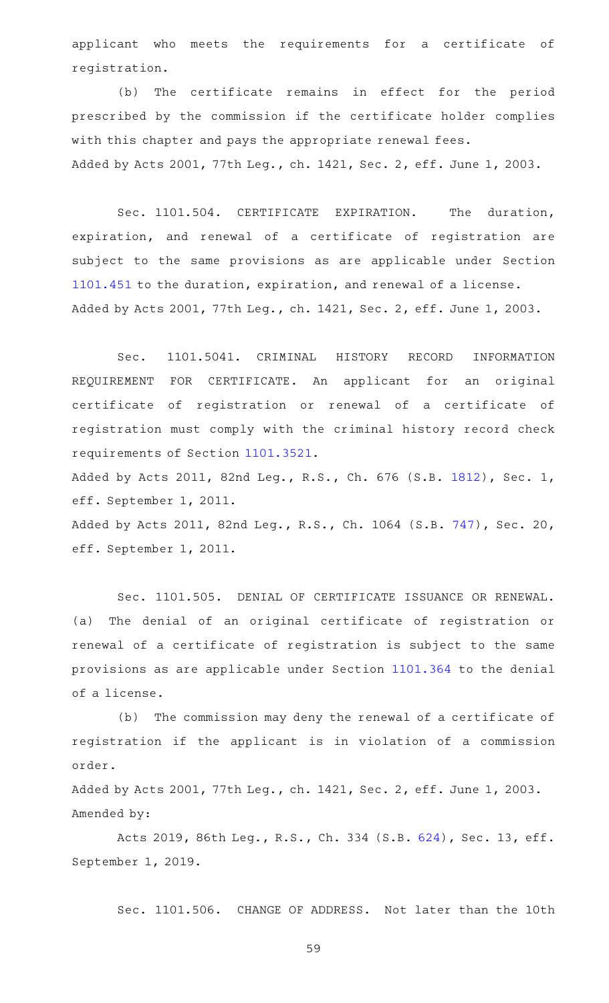applicant who meets the requirements for a certificate of registration.

(b) The certificate remains in effect for the period prescribed by the commission if the certificate holder complies with this chapter and pays the appropriate renewal fees. Added by Acts 2001, 77th Leg., ch. 1421, Sec. 2, eff. June 1, 2003.

Sec. 1101.504. CERTIFICATE EXPIRATION. The duration, expiration, and renewal of a certificate of registration are subject to the same provisions as are applicable under Section [1101.451](https://statutes.capitol.texas.gov/GetStatute.aspx?Code=OC&Value=1101.451) to the duration, expiration, and renewal of a license. Added by Acts 2001, 77th Leg., ch. 1421, Sec. 2, eff. June 1, 2003.

Sec. 1101.5041. CRIMINAL HISTORY RECORD INFORMATION REQUIREMENT FOR CERTIFICATE. An applicant for an original certificate of registration or renewal of a certificate of registration must comply with the criminal history record check requirements of Section [1101.3521.](https://statutes.capitol.texas.gov/GetStatute.aspx?Code=OC&Value=1101.3521) Added by Acts 2011, 82nd Leg., R.S., Ch. 676 (S.B. [1812](http://www.legis.state.tx.us/tlodocs/82R/billtext/html/SB01812F.HTM)), Sec. 1, eff. September 1, 2011. Added by Acts 2011, 82nd Leg., R.S., Ch. 1064 (S.B. [747\)](http://www.legis.state.tx.us/tlodocs/82R/billtext/html/SB00747F.HTM), Sec. 20,

eff. September 1, 2011.

Sec. 1101.505. DENIAL OF CERTIFICATE ISSUANCE OR RENEWAL. (a) The denial of an original certificate of registration or renewal of a certificate of registration is subject to the same provisions as are applicable under Section [1101.364](https://statutes.capitol.texas.gov/GetStatute.aspx?Code=OC&Value=1101.364) to the denial of a license.

(b) The commission may deny the renewal of a certificate of registration if the applicant is in violation of a commission order.

Added by Acts 2001, 77th Leg., ch. 1421, Sec. 2, eff. June 1, 2003. Amended by:

Acts 2019, 86th Leg., R.S., Ch. 334 (S.B. [624\)](http://www.legis.state.tx.us/tlodocs/86R/billtext/html/SB00624F.HTM), Sec. 13, eff. September 1, 2019.

Sec. 1101.506. CHANGE OF ADDRESS. Not later than the 10th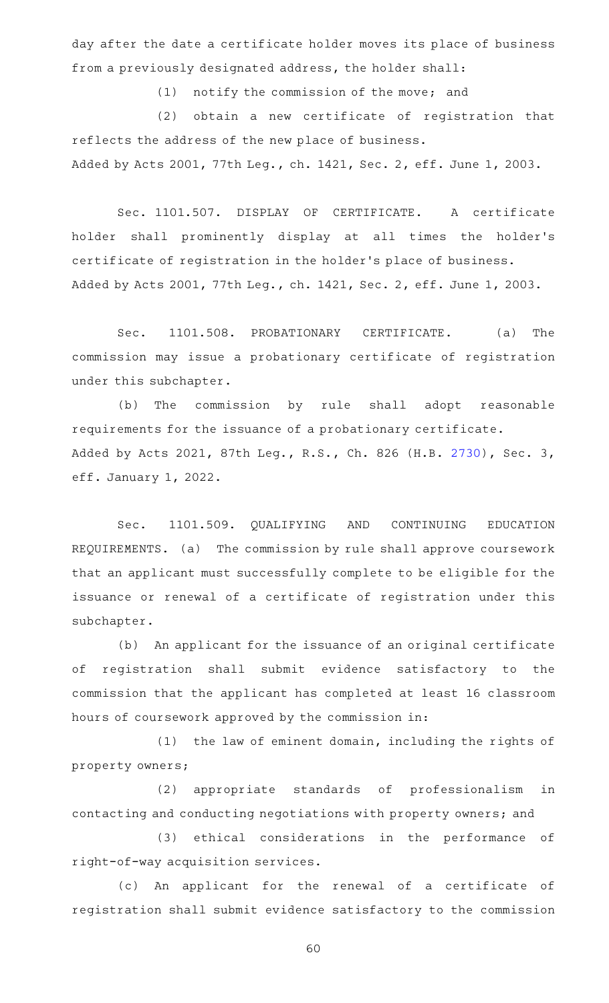day after the date a certificate holder moves its place of business from a previously designated address, the holder shall:

(1) notify the commission of the move; and

(2) obtain a new certificate of registration that reflects the address of the new place of business. Added by Acts 2001, 77th Leg., ch. 1421, Sec. 2, eff. June 1, 2003.

Sec. 1101.507. DISPLAY OF CERTIFICATE. A certificate holder shall prominently display at all times the holder 's certificate of registration in the holder 's place of business. Added by Acts 2001, 77th Leg., ch. 1421, Sec. 2, eff. June 1, 2003.

Sec. 1101.508. PROBATIONARY CERTIFICATE. (a) The commission may issue a probationary certificate of registration under this subchapter.

(b) The commission by rule shall adopt reasonable requirements for the issuance of a probationary certificate. Added by Acts 2021, 87th Leg., R.S., Ch. 826 (H.B. [2730](http://www.legis.state.tx.us/tlodocs/87R/billtext/html/HB02730F.HTM)), Sec. 3, eff. January 1, 2022.

Sec. 1101.509. QUALIFYING AND CONTINUING EDUCATION REQUIREMENTS. (a) The commission by rule shall approve coursework that an applicant must successfully complete to be eligible for the issuance or renewal of a certificate of registration under this subchapter.

(b) An applicant for the issuance of an original certificate of registration shall submit evidence satisfactory to the commission that the applicant has completed at least 16 classroom hours of coursework approved by the commission in:

 $(1)$  the law of eminent domain, including the rights of property owners;

(2) appropriate standards of professionalism in contacting and conducting negotiations with property owners; and

(3) ethical considerations in the performance of right-of-way acquisition services.

(c) An applicant for the renewal of a certificate of registration shall submit evidence satisfactory to the commission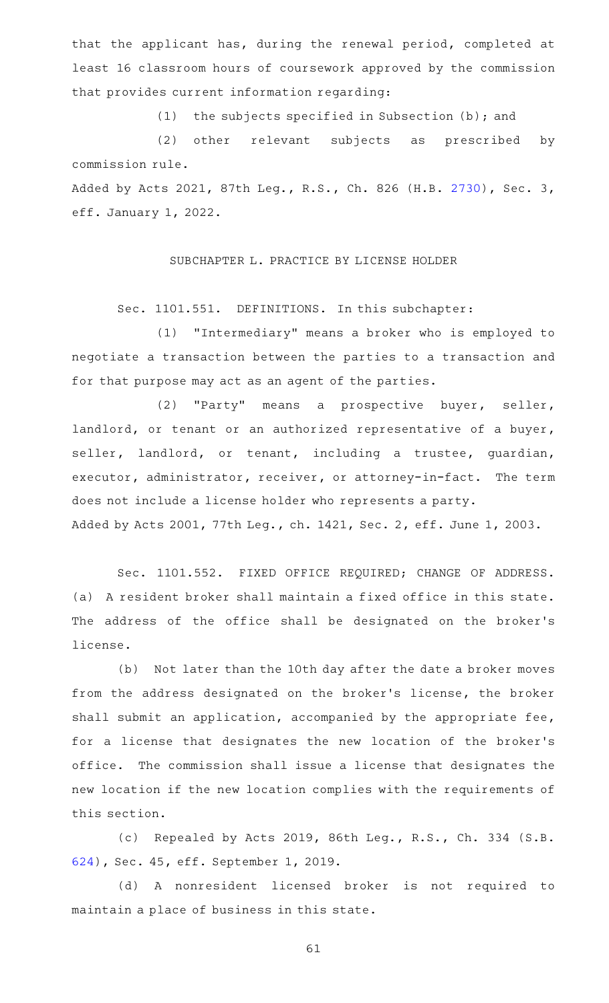that the applicant has, during the renewal period, completed at least 16 classroom hours of coursework approved by the commission that provides current information regarding:

(1) the subjects specified in Subsection (b); and

(2) other relevant subjects as prescribed by commission rule. Added by Acts 2021, 87th Leg., R.S., Ch. 826 (H.B. [2730](http://www.legis.state.tx.us/tlodocs/87R/billtext/html/HB02730F.HTM)), Sec. 3,

eff. January 1, 2022.

SUBCHAPTER L. PRACTICE BY LICENSE HOLDER

Sec. 1101.551. DEFINITIONS. In this subchapter:

(1) "Intermediary" means a broker who is employed to negotiate a transaction between the parties to a transaction and for that purpose may act as an agent of the parties.

(2) "Party" means a prospective buyer, seller, landlord, or tenant or an authorized representative of a buyer, seller, landlord, or tenant, including a trustee, guardian, executor, administrator, receiver, or attorney-in-fact. The term does not include a license holder who represents a party. Added by Acts 2001, 77th Leg., ch. 1421, Sec. 2, eff. June 1, 2003.

Sec. 1101.552. FIXED OFFICE REQUIRED; CHANGE OF ADDRESS. (a) A resident broker shall maintain a fixed office in this state. The address of the office shall be designated on the broker's license.

(b) Not later than the 10th day after the date a broker moves from the address designated on the broker 's license, the broker shall submit an application, accompanied by the appropriate fee, for a license that designates the new location of the broker 's office. The commission shall issue a license that designates the new location if the new location complies with the requirements of this section.

(c) Repealed by Acts 2019, 86th Leg., R.S., Ch. 334 (S.B. [624\)](http://www.legis.state.tx.us/tlodocs/86R/billtext/html/SB00624F.HTM), Sec. 45, eff. September 1, 2019.

(d)AAA nonresident licensed broker is not required to maintain a place of business in this state.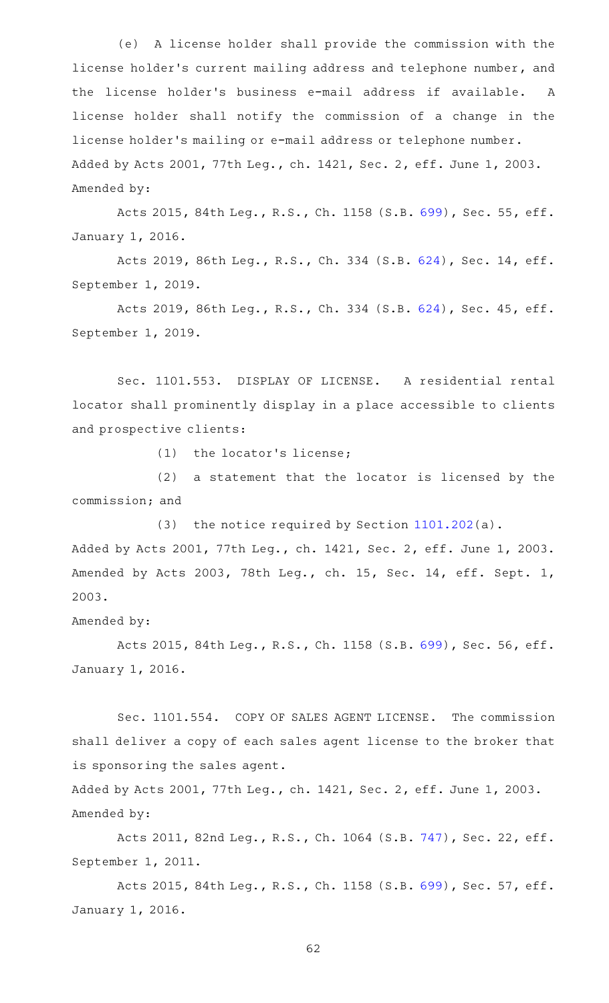(e) A license holder shall provide the commission with the license holder 's current mailing address and telephone number, and the license holder 's business e-mail address if available. A license holder shall notify the commission of a change in the license holder 's mailing or e-mail address or telephone number. Added by Acts 2001, 77th Leg., ch. 1421, Sec. 2, eff. June 1, 2003. Amended by:

Acts 2015, 84th Leg., R.S., Ch. 1158 (S.B. [699\)](http://www.legis.state.tx.us/tlodocs/84R/billtext/html/SB00699F.HTM), Sec. 55, eff. January 1, 2016.

Acts 2019, 86th Leg., R.S., Ch. 334 (S.B. [624\)](http://www.legis.state.tx.us/tlodocs/86R/billtext/html/SB00624F.HTM), Sec. 14, eff. September 1, 2019.

Acts 2019, 86th Leg., R.S., Ch. 334 (S.B. [624\)](http://www.legis.state.tx.us/tlodocs/86R/billtext/html/SB00624F.HTM), Sec. 45, eff. September 1, 2019.

Sec. 1101.553. DISPLAY OF LICENSE. A residential rental locator shall prominently display in a place accessible to clients and prospective clients:

 $(1)$  the locator's license;

 $(2)$  a statement that the locator is licensed by the commission; and

(3) the notice required by Section  $1101.202(a)$  $1101.202(a)$ . Added by Acts 2001, 77th Leg., ch. 1421, Sec. 2, eff. June 1, 2003. Amended by Acts 2003, 78th Leg., ch. 15, Sec. 14, eff. Sept. 1, 2003.

Amended by:

Acts 2015, 84th Leg., R.S., Ch. 1158 (S.B. [699\)](http://www.legis.state.tx.us/tlodocs/84R/billtext/html/SB00699F.HTM), Sec. 56, eff. January 1, 2016.

Sec. 1101.554. COPY OF SALES AGENT LICENSE. The commission shall deliver a copy of each sales agent license to the broker that is sponsoring the sales agent.

Added by Acts 2001, 77th Leg., ch. 1421, Sec. 2, eff. June 1, 2003. Amended by:

Acts 2011, 82nd Leg., R.S., Ch. 1064 (S.B. [747\)](http://www.legis.state.tx.us/tlodocs/82R/billtext/html/SB00747F.HTM), Sec. 22, eff. September 1, 2011.

Acts 2015, 84th Leg., R.S., Ch. 1158 (S.B. [699\)](http://www.legis.state.tx.us/tlodocs/84R/billtext/html/SB00699F.HTM), Sec. 57, eff. January 1, 2016.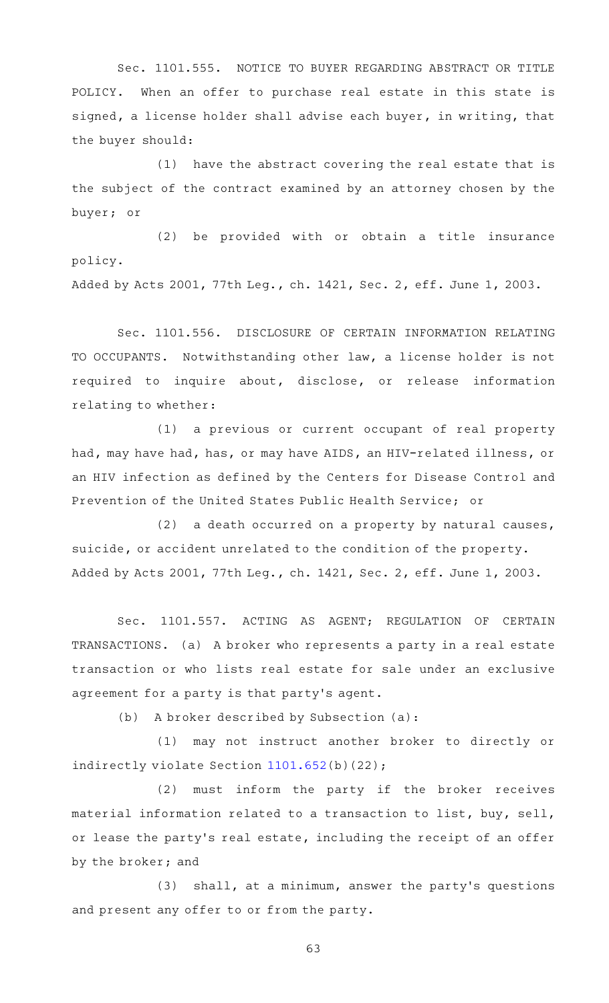Sec. 1101.555. NOTICE TO BUYER REGARDING ABSTRACT OR TITLE POLICY. When an offer to purchase real estate in this state is signed, a license holder shall advise each buyer, in writing, that the buyer should:

 $(1)$  have the abstract covering the real estate that is the subject of the contract examined by an attorney chosen by the buyer; or

(2) be provided with or obtain a title insurance policy.

Added by Acts 2001, 77th Leg., ch. 1421, Sec. 2, eff. June 1, 2003.

Sec. 1101.556. DISCLOSURE OF CERTAIN INFORMATION RELATING TO OCCUPANTS. Notwithstanding other law, a license holder is not required to inquire about, disclose, or release information relating to whether:

(1) a previous or current occupant of real property had, may have had, has, or may have AIDS, an HIV-related illness, or an HIV infection as defined by the Centers for Disease Control and Prevention of the United States Public Health Service; or

(2) a death occurred on a property by natural causes, suicide, or accident unrelated to the condition of the property. Added by Acts 2001, 77th Leg., ch. 1421, Sec. 2, eff. June 1, 2003.

Sec. 1101.557. ACTING AS AGENT; REGULATION OF CERTAIN TRANSACTIONS. (a) A broker who represents a party in a real estate transaction or who lists real estate for sale under an exclusive agreement for a party is that party 's agent.

(b) A broker described by Subsection  $(a):$ 

(1) may not instruct another broker to directly or indirectly violate Section [1101.652\(](https://statutes.capitol.texas.gov/GetStatute.aspx?Code=OC&Value=1101.652)b)(22);

(2) must inform the party if the broker receives material information related to a transaction to list, buy, sell, or lease the party's real estate, including the receipt of an offer by the broker; and

(3) shall, at a minimum, answer the party's questions and present any offer to or from the party.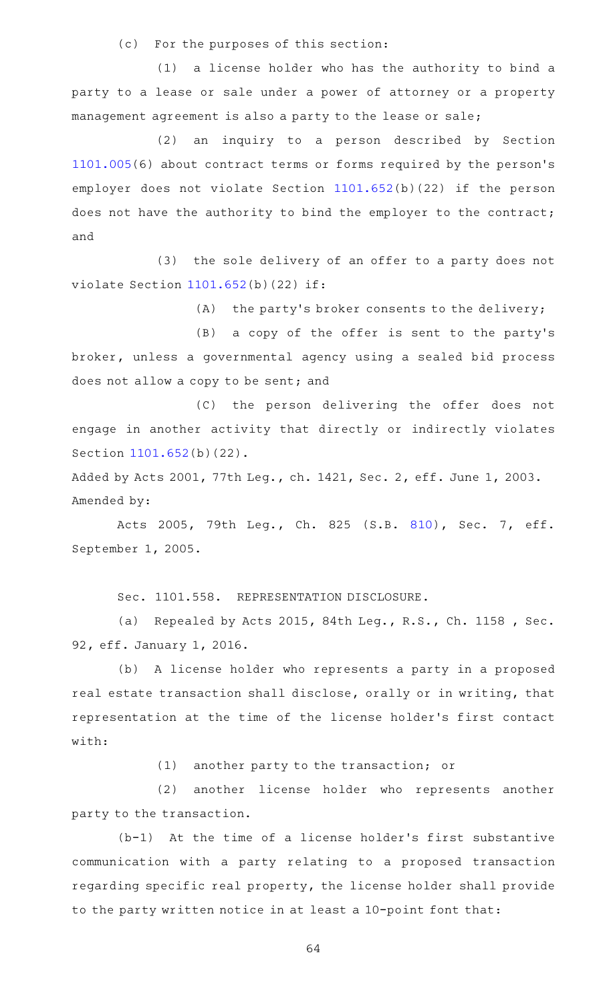(c) For the purposes of this section:

(1) a license holder who has the authority to bind a party to a lease or sale under a power of attorney or a property management agreement is also a party to the lease or sale;

(2) an inquiry to a person described by Section [1101.005](https://statutes.capitol.texas.gov/GetStatute.aspx?Code=OC&Value=1101.005)(6) about contract terms or forms required by the person 's employer does not violate Section [1101.652\(](https://statutes.capitol.texas.gov/GetStatute.aspx?Code=OC&Value=1101.652)b)(22) if the person does not have the authority to bind the employer to the contract; and

(3) the sole delivery of an offer to a party does not violate Section [1101.652](https://statutes.capitol.texas.gov/GetStatute.aspx?Code=OC&Value=1101.652)(b)(22) if:

(A) the party's broker consents to the delivery;

(B) a copy of the offer is sent to the party's broker, unless a governmental agency using a sealed bid process does not allow a copy to be sent; and

(C) the person delivering the offer does not engage in another activity that directly or indirectly violates Section [1101.652](https://statutes.capitol.texas.gov/GetStatute.aspx?Code=OC&Value=1101.652)(b)(22).

Added by Acts 2001, 77th Leg., ch. 1421, Sec. 2, eff. June 1, 2003. Amended by:

Acts 2005, 79th Leg., Ch. 825 (S.B. [810\)](http://www.legis.state.tx.us/tlodocs/79R/billtext/html/SB00810F.HTM), Sec. 7, eff. September 1, 2005.

Sec. 1101.558. REPRESENTATION DISCLOSURE.

(a) Repealed by Acts 2015, 84th Leg., R.S., Ch. 1158, Sec. 92, eff. January 1, 2016.

(b) A license holder who represents a party in a proposed real estate transaction shall disclose, orally or in writing, that representation at the time of the license holder 's first contact with:

 $(1)$  another party to the transaction; or

(2) another license holder who represents another party to the transaction.

 $(b-1)$  At the time of a license holder's first substantive communication with a party relating to a proposed transaction regarding specific real property, the license holder shall provide to the party written notice in at least a 10-point font that: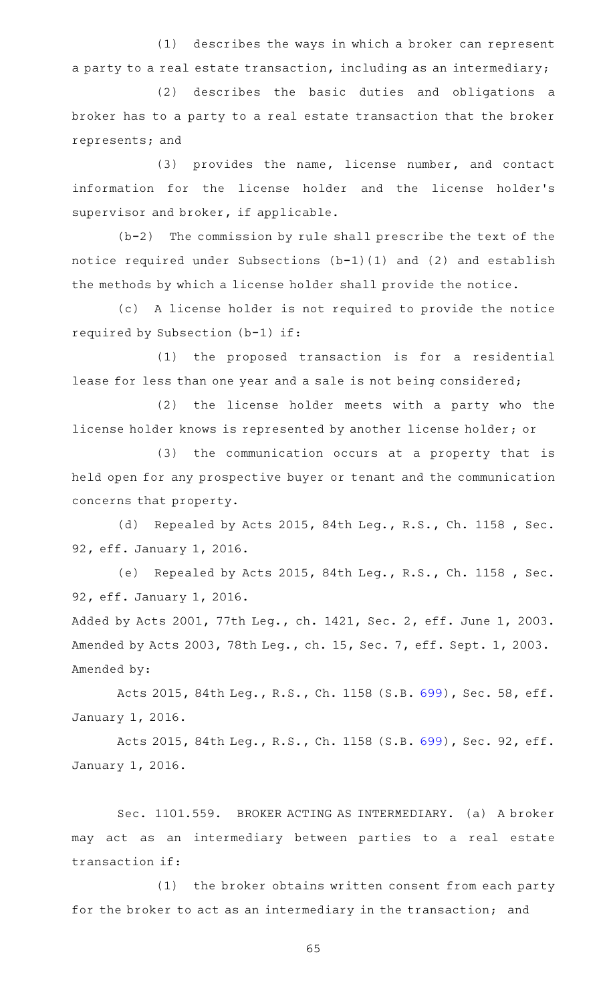(1) describes the ways in which a broker can represent a party to a real estate transaction, including as an intermediary;

(2) describes the basic duties and obligations a broker has to a party to a real estate transaction that the broker represents; and

(3) provides the name, license number, and contact information for the license holder and the license holder 's supervisor and broker, if applicable.

 $(b-2)$  The commission by rule shall prescribe the text of the notice required under Subsections (b-1)(1) and (2) and establish the methods by which a license holder shall provide the notice.

(c)AAA license holder is not required to provide the notice required by Subsection (b-1) if:

(1) the proposed transaction is for a residential lease for less than one year and a sale is not being considered;

(2) the license holder meets with a party who the license holder knows is represented by another license holder; or

(3) the communication occurs at a property that is held open for any prospective buyer or tenant and the communication concerns that property.

(d) Repealed by Acts 2015, 84th Leg., R.S., Ch. 1158, Sec. 92, eff. January 1, 2016.

(e) Repealed by Acts 2015, 84th Leg., R.S., Ch. 1158 , Sec. 92, eff. January 1, 2016.

Added by Acts 2001, 77th Leg., ch. 1421, Sec. 2, eff. June 1, 2003. Amended by Acts 2003, 78th Leg., ch. 15, Sec. 7, eff. Sept. 1, 2003. Amended by:

Acts 2015, 84th Leg., R.S., Ch. 1158 (S.B. [699\)](http://www.legis.state.tx.us/tlodocs/84R/billtext/html/SB00699F.HTM), Sec. 58, eff. January 1, 2016.

Acts 2015, 84th Leg., R.S., Ch. 1158 (S.B. [699\)](http://www.legis.state.tx.us/tlodocs/84R/billtext/html/SB00699F.HTM), Sec. 92, eff. January 1, 2016.

Sec. 1101.559. BROKER ACTING AS INTERMEDIARY. (a) A broker may act as an intermediary between parties to a real estate transaction if:

(1) the broker obtains written consent from each party for the broker to act as an intermediary in the transaction; and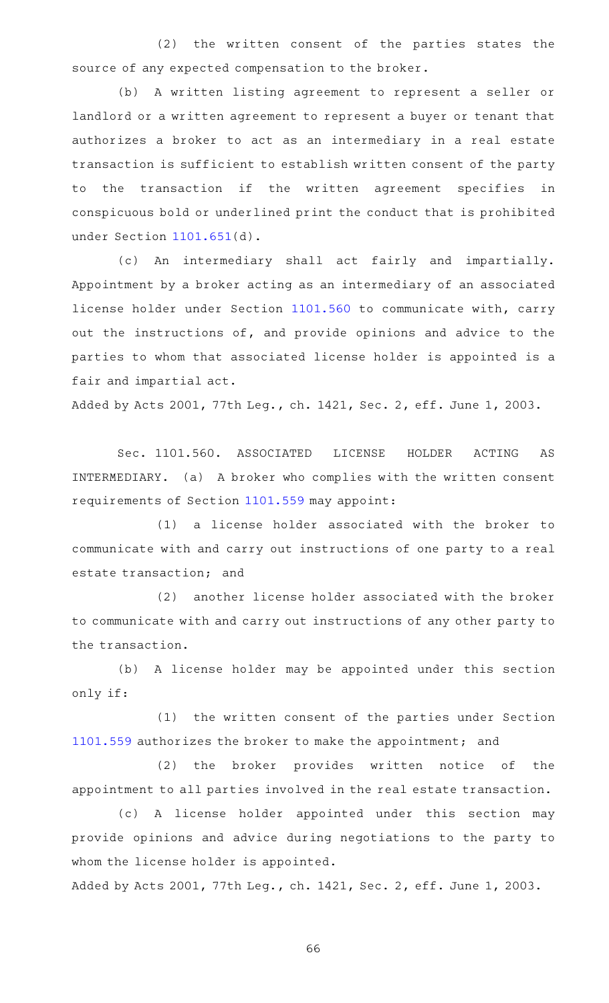(2) the written consent of the parties states the source of any expected compensation to the broker.

(b)AAA written listing agreement to represent a seller or landlord or a written agreement to represent a buyer or tenant that authorizes a broker to act as an intermediary in a real estate transaction is sufficient to establish written consent of the party to the transaction if the written agreement specifies in conspicuous bold or underlined print the conduct that is prohibited under Section [1101.651](https://statutes.capitol.texas.gov/GetStatute.aspx?Code=OC&Value=1101.651)(d).

(c) An intermediary shall act fairly and impartially. Appointment by a broker acting as an intermediary of an associated license holder under Section [1101.560](https://statutes.capitol.texas.gov/GetStatute.aspx?Code=OC&Value=1101.560) to communicate with, carry out the instructions of, and provide opinions and advice to the parties to whom that associated license holder is appointed is a fair and impartial act.

Added by Acts 2001, 77th Leg., ch. 1421, Sec. 2, eff. June 1, 2003.

Sec. 1101.560. ASSOCIATED LICENSE HOLDER ACTING AS INTERMEDIARY. (a) A broker who complies with the written consent requirements of Section [1101.559](https://statutes.capitol.texas.gov/GetStatute.aspx?Code=OC&Value=1101.559) may appoint:

(1) a license holder associated with the broker to communicate with and carry out instructions of one party to a real estate transaction; and

(2) another license holder associated with the broker to communicate with and carry out instructions of any other party to the transaction.

(b) A license holder may be appointed under this section only if:

(1) the written consent of the parties under Section [1101.559](https://statutes.capitol.texas.gov/GetStatute.aspx?Code=OC&Value=1101.559) authorizes the broker to make the appointment; and

(2) the broker provides written notice of the appointment to all parties involved in the real estate transaction.

(c)AAA license holder appointed under this section may provide opinions and advice during negotiations to the party to whom the license holder is appointed.

Added by Acts 2001, 77th Leg., ch. 1421, Sec. 2, eff. June 1, 2003.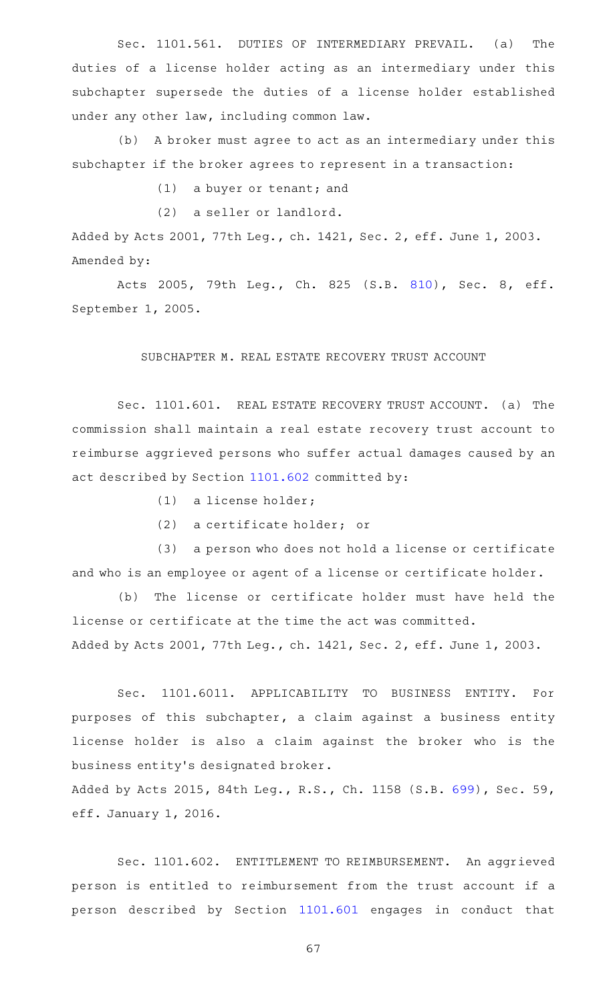Sec. 1101.561. DUTIES OF INTERMEDIARY PREVAIL. (a) The duties of a license holder acting as an intermediary under this subchapter supersede the duties of a license holder established under any other law, including common law.

(b) A broker must agree to act as an intermediary under this subchapter if the broker agrees to represent in a transaction:

 $(1)$  a buyer or tenant; and

(2) a seller or landlord.

Added by Acts 2001, 77th Leg., ch. 1421, Sec. 2, eff. June 1, 2003. Amended by:

Acts 2005, 79th Leg., Ch. 825 (S.B. [810\)](http://www.legis.state.tx.us/tlodocs/79R/billtext/html/SB00810F.HTM), Sec. 8, eff. September 1, 2005.

#### SUBCHAPTER M. REAL ESTATE RECOVERY TRUST ACCOUNT

Sec. 1101.601. REAL ESTATE RECOVERY TRUST ACCOUNT. (a) The commission shall maintain a real estate recovery trust account to reimburse aggrieved persons who suffer actual damages caused by an act described by Section [1101.602](https://statutes.capitol.texas.gov/GetStatute.aspx?Code=OC&Value=1101.602) committed by:

- $(1)$  a license holder;
- (2) a certificate holder; or

(3) a person who does not hold a license or certificate and who is an employee or agent of a license or certificate holder.

(b) The license or certificate holder must have held the license or certificate at the time the act was committed. Added by Acts 2001, 77th Leg., ch. 1421, Sec. 2, eff. June 1, 2003.

Sec. 1101.6011. APPLICABILITY TO BUSINESS ENTITY. For purposes of this subchapter, a claim against a business entity license holder is also a claim against the broker who is the business entity 's designated broker.

Added by Acts 2015, 84th Leg., R.S., Ch. 1158 (S.B. [699\)](http://www.legis.state.tx.us/tlodocs/84R/billtext/html/SB00699F.HTM), Sec. 59, eff. January 1, 2016.

Sec. 1101.602. ENTITLEMENT TO REIMBURSEMENT. An aggrieved person is entitled to reimbursement from the trust account if a person described by Section [1101.601](https://statutes.capitol.texas.gov/GetStatute.aspx?Code=OC&Value=1101.601) engages in conduct that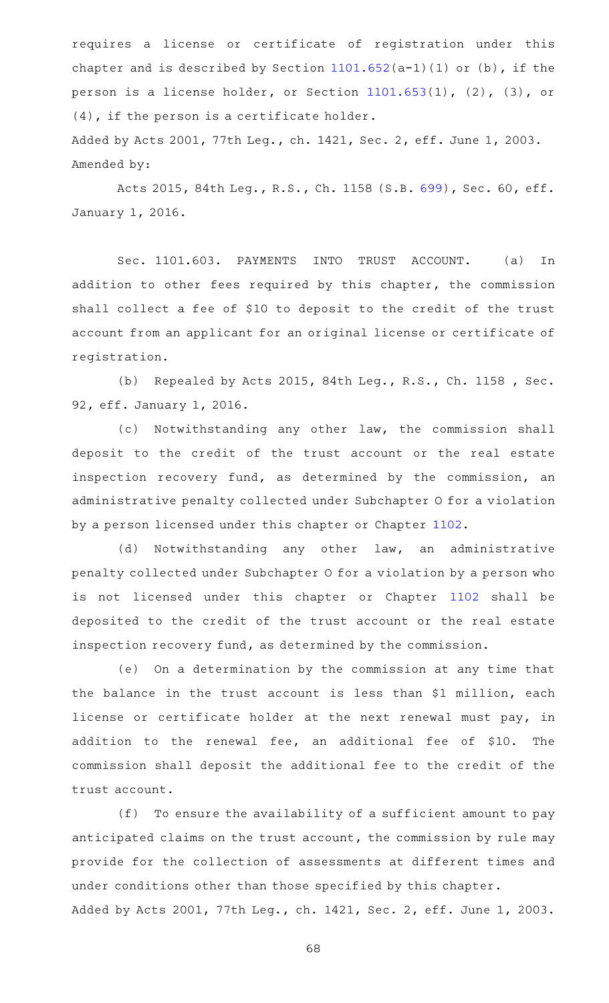requires a license or certificate of registration under this chapter and is described by Section  $1101.652(a-1)(1)$  $1101.652(a-1)(1)$  or (b), if the person is a license holder, or Section [1101.653\(](https://statutes.capitol.texas.gov/GetStatute.aspx?Code=OC&Value=1101.653)1), (2), (3), or (4), if the person is a certificate holder.

Added by Acts 2001, 77th Leg., ch. 1421, Sec. 2, eff. June 1, 2003. Amended by:

Acts 2015, 84th Leg., R.S., Ch. 1158 (S.B. [699\)](http://www.legis.state.tx.us/tlodocs/84R/billtext/html/SB00699F.HTM), Sec. 60, eff. January 1, 2016.

Sec. 1101.603. PAYMENTS INTO TRUST ACCOUNT. (a) In addition to other fees required by this chapter, the commission shall collect a fee of \$10 to deposit to the credit of the trust account from an applicant for an original license or certificate of registration.

(b) Repealed by Acts 2015, 84th Leg., R.S., Ch. 1158, Sec. 92, eff. January 1, 2016.

(c) Notwithstanding any other law, the commission shall deposit to the credit of the trust account or the real estate inspection recovery fund, as determined by the commission, an administrative penalty collected under Subchapter O for a violation by a person licensed under this chapter or Chapter [1102](https://statutes.capitol.texas.gov/GetStatute.aspx?Code=OC&Value=1102).

(d) Notwithstanding any other law, an administrative penalty collected under Subchapter O for a violation by a person who is not licensed under this chapter or Chapter [1102](https://statutes.capitol.texas.gov/GetStatute.aspx?Code=OC&Value=1102) shall be deposited to the credit of the trust account or the real estate inspection recovery fund, as determined by the commission.

(e) On a determination by the commission at any time that the balance in the trust account is less than \$1 million, each license or certificate holder at the next renewal must pay, in addition to the renewal fee, an additional fee of \$10. The commission shall deposit the additional fee to the credit of the trust account.

 $(f)$  To ensure the availability of a sufficient amount to pay anticipated claims on the trust account, the commission by rule may provide for the collection of assessments at different times and under conditions other than those specified by this chapter. Added by Acts 2001, 77th Leg., ch. 1421, Sec. 2, eff. June 1, 2003.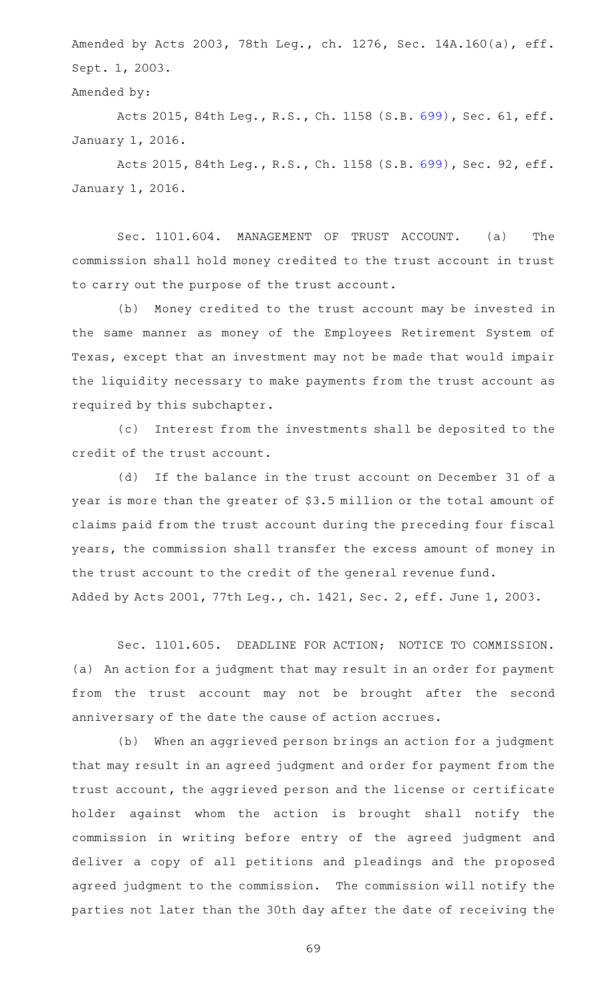Amended by Acts 2003, 78th Leg., ch. 1276, Sec. 14A.160(a), eff. Sept. 1, 2003.

Amended by:

Acts 2015, 84th Leg., R.S., Ch. 1158 (S.B. [699\)](http://www.legis.state.tx.us/tlodocs/84R/billtext/html/SB00699F.HTM), Sec. 61, eff. January 1, 2016.

Acts 2015, 84th Leg., R.S., Ch. 1158 (S.B. [699\)](http://www.legis.state.tx.us/tlodocs/84R/billtext/html/SB00699F.HTM), Sec. 92, eff. January 1, 2016.

Sec. 1101.604. MANAGEMENT OF TRUST ACCOUNT. (a) The commission shall hold money credited to the trust account in trust to carry out the purpose of the trust account.

(b) Money credited to the trust account may be invested in the same manner as money of the Employees Retirement System of Texas, except that an investment may not be made that would impair the liquidity necessary to make payments from the trust account as required by this subchapter.

(c) Interest from the investments shall be deposited to the credit of the trust account.

(d) If the balance in the trust account on December 31 of a year is more than the greater of \$3.5 million or the total amount of claims paid from the trust account during the preceding four fiscal years, the commission shall transfer the excess amount of money in the trust account to the credit of the general revenue fund. Added by Acts 2001, 77th Leg., ch. 1421, Sec. 2, eff. June 1, 2003.

Sec. 1101.605. DEADLINE FOR ACTION; NOTICE TO COMMISSION. (a) An action for a judgment that may result in an order for payment from the trust account may not be brought after the second anniversary of the date the cause of action accrues.

(b) When an aggrieved person brings an action for a judgment that may result in an agreed judgment and order for payment from the trust account, the aggrieved person and the license or certificate holder against whom the action is brought shall notify the commission in writing before entry of the agreed judgment and deliver a copy of all petitions and pleadings and the proposed agreed judgment to the commission. The commission will notify the parties not later than the 30th day after the date of receiving the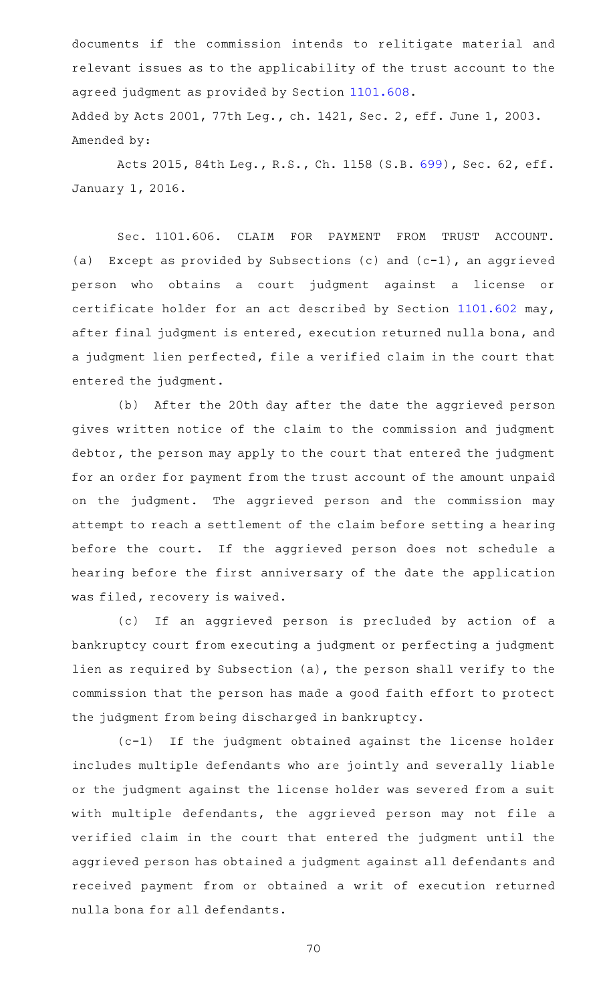documents if the commission intends to relitigate material and relevant issues as to the applicability of the trust account to the agreed judgment as provided by Section [1101.608.](https://statutes.capitol.texas.gov/GetStatute.aspx?Code=OC&Value=1101.608) Added by Acts 2001, 77th Leg., ch. 1421, Sec. 2, eff. June 1, 2003. Amended by:

Acts 2015, 84th Leg., R.S., Ch. 1158 (S.B. [699\)](http://www.legis.state.tx.us/tlodocs/84R/billtext/html/SB00699F.HTM), Sec. 62, eff. January 1, 2016.

Sec. 1101.606. CLAIM FOR PAYMENT FROM TRUST ACCOUNT. (a) Except as provided by Subsections (c) and  $(c-1)$ , an aggrieved person who obtains a court judgment against a license or certificate holder for an act described by Section [1101.602](https://statutes.capitol.texas.gov/GetStatute.aspx?Code=OC&Value=1101.602) may, after final judgment is entered, execution returned nulla bona, and a judgment lien perfected, file a verified claim in the court that entered the judgment.

(b) After the 20th day after the date the aggrieved person gives written notice of the claim to the commission and judgment debtor, the person may apply to the court that entered the judgment for an order for payment from the trust account of the amount unpaid on the judgment. The aggrieved person and the commission may attempt to reach a settlement of the claim before setting a hearing before the court. If the aggrieved person does not schedule a hearing before the first anniversary of the date the application was filed, recovery is waived.

(c) If an aggrieved person is precluded by action of a bankruptcy court from executing a judgment or perfecting a judgment lien as required by Subsection (a), the person shall verify to the commission that the person has made a good faith effort to protect the judgment from being discharged in bankruptcy.

 $(c-1)$  If the judgment obtained against the license holder includes multiple defendants who are jointly and severally liable or the judgment against the license holder was severed from a suit with multiple defendants, the aggrieved person may not file a verified claim in the court that entered the judgment until the aggrieved person has obtained a judgment against all defendants and received payment from or obtained a writ of execution returned nulla bona for all defendants.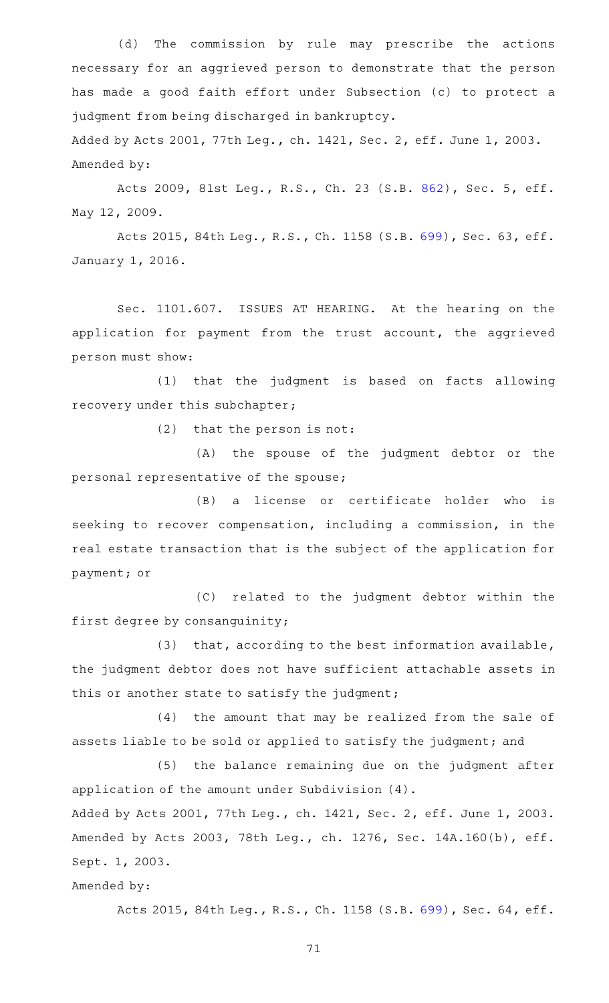(d) The commission by rule may prescribe the actions necessary for an aggrieved person to demonstrate that the person has made a good faith effort under Subsection (c) to protect a judgment from being discharged in bankruptcy.

Added by Acts 2001, 77th Leg., ch. 1421, Sec. 2, eff. June 1, 2003. Amended by:

Acts 2009, 81st Leg., R.S., Ch. 23 (S.B. [862](http://www.legis.state.tx.us/tlodocs/81R/billtext/html/SB00862F.HTM)), Sec. 5, eff. May 12, 2009.

Acts 2015, 84th Leg., R.S., Ch. 1158 (S.B. [699\)](http://www.legis.state.tx.us/tlodocs/84R/billtext/html/SB00699F.HTM), Sec. 63, eff. January 1, 2016.

Sec. 1101.607. ISSUES AT HEARING. At the hearing on the application for payment from the trust account, the aggrieved person must show:

(1) that the judgment is based on facts allowing recovery under this subchapter;

 $(2)$  that the person is not:

(A) the spouse of the judgment debtor or the personal representative of the spouse;

(B) a license or certificate holder who is seeking to recover compensation, including a commission, in the real estate transaction that is the subject of the application for payment; or

(C) related to the judgment debtor within the first degree by consanguinity;

(3) that, according to the best information available, the judgment debtor does not have sufficient attachable assets in this or another state to satisfy the judgment;

(4) the amount that may be realized from the sale of assets liable to be sold or applied to satisfy the judgment; and

(5) the balance remaining due on the judgment after application of the amount under Subdivision (4).

Added by Acts 2001, 77th Leg., ch. 1421, Sec. 2, eff. June 1, 2003. Amended by Acts 2003, 78th Leg., ch. 1276, Sec. 14A.160(b), eff. Sept. 1, 2003.

Amended by:

Acts 2015, 84th Leg., R.S., Ch. 1158 (S.B. [699\)](http://www.legis.state.tx.us/tlodocs/84R/billtext/html/SB00699F.HTM), Sec. 64, eff.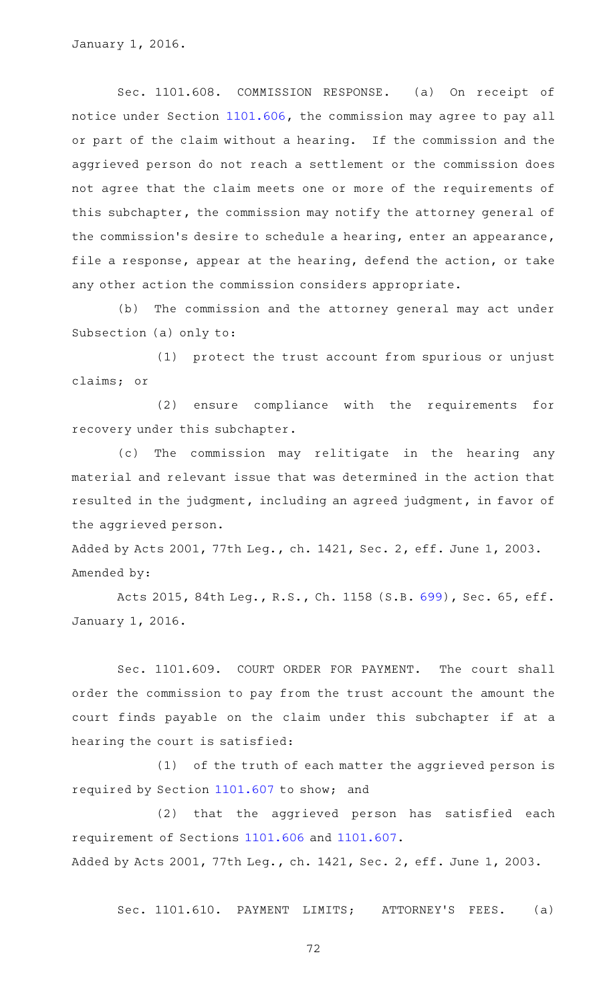Sec. 1101.608. COMMISSION RESPONSE. (a) On receipt of notice under Section [1101.606](https://statutes.capitol.texas.gov/GetStatute.aspx?Code=OC&Value=1101.606), the commission may agree to pay all or part of the claim without a hearing. If the commission and the aggrieved person do not reach a settlement or the commission does not agree that the claim meets one or more of the requirements of this subchapter, the commission may notify the attorney general of the commission 's desire to schedule a hearing, enter an appearance, file a response, appear at the hearing, defend the action, or take any other action the commission considers appropriate.

(b) The commission and the attorney general may act under Subsection (a) only to:

(1) protect the trust account from spurious or unjust claims; or

(2) ensure compliance with the requirements for recovery under this subchapter.

(c) The commission may relitigate in the hearing any material and relevant issue that was determined in the action that resulted in the judgment, including an agreed judgment, in favor of the aggrieved person.

Added by Acts 2001, 77th Leg., ch. 1421, Sec. 2, eff. June 1, 2003. Amended by:

Acts 2015, 84th Leg., R.S., Ch. 1158 (S.B. [699\)](http://www.legis.state.tx.us/tlodocs/84R/billtext/html/SB00699F.HTM), Sec. 65, eff. January 1, 2016.

Sec. 1101.609. COURT ORDER FOR PAYMENT. The court shall order the commission to pay from the trust account the amount the court finds payable on the claim under this subchapter if at a hearing the court is satisfied:

 $(1)$  of the truth of each matter the aggrieved person is required by Section [1101.607](https://statutes.capitol.texas.gov/GetStatute.aspx?Code=OC&Value=1101.607) to show; and

(2) that the aggrieved person has satisfied each requirement of Sections [1101.606](https://statutes.capitol.texas.gov/GetStatute.aspx?Code=OC&Value=1101.606) and [1101.607](https://statutes.capitol.texas.gov/GetStatute.aspx?Code=OC&Value=1101.607). Added by Acts 2001, 77th Leg., ch. 1421, Sec. 2, eff. June 1, 2003.

Sec. 1101.610. PAYMENT LIMITS; ATTORNEY'S FEES. (a)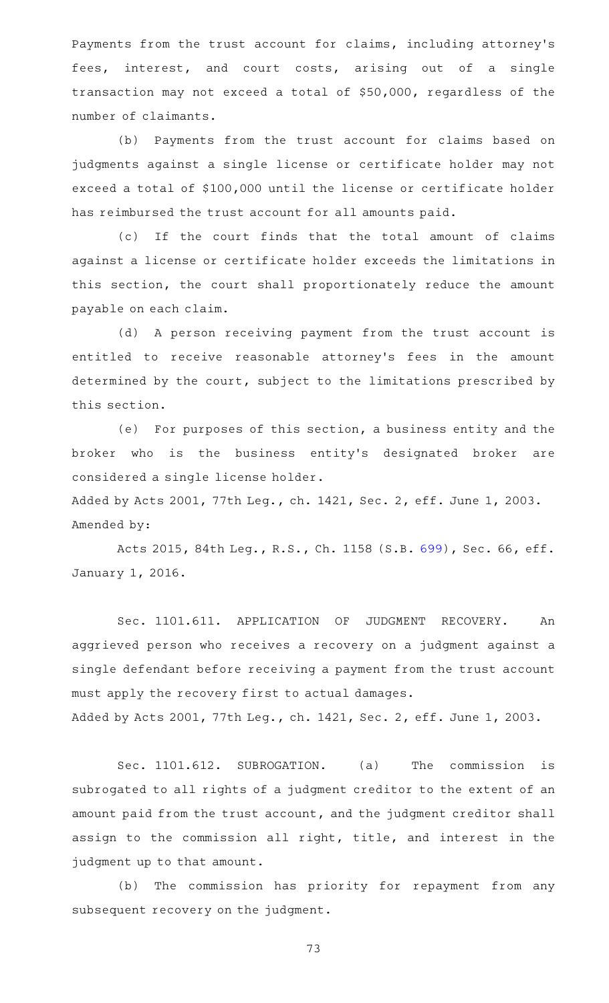Payments from the trust account for claims, including attorney 's fees, interest, and court costs, arising out of a single transaction may not exceed a total of \$50,000, regardless of the number of claimants.

(b) Payments from the trust account for claims based on judgments against a single license or certificate holder may not exceed a total of \$100,000 until the license or certificate holder has reimbursed the trust account for all amounts paid.

(c) If the court finds that the total amount of claims against a license or certificate holder exceeds the limitations in this section, the court shall proportionately reduce the amount payable on each claim.

(d) A person receiving payment from the trust account is entitled to receive reasonable attorney's fees in the amount determined by the court, subject to the limitations prescribed by this section.

(e) For purposes of this section, a business entity and the broker who is the business entity's designated broker are considered a single license holder.

Added by Acts 2001, 77th Leg., ch. 1421, Sec. 2, eff. June 1, 2003. Amended by:

Acts 2015, 84th Leg., R.S., Ch. 1158 (S.B. [699\)](http://www.legis.state.tx.us/tlodocs/84R/billtext/html/SB00699F.HTM), Sec. 66, eff. January 1, 2016.

Sec. 1101.611. APPLICATION OF JUDGMENT RECOVERY. An aggrieved person who receives a recovery on a judgment against a single defendant before receiving a payment from the trust account must apply the recovery first to actual damages. Added by Acts 2001, 77th Leg., ch. 1421, Sec. 2, eff. June 1, 2003.

Sec. 1101.612. SUBROGATION. (a) The commission is subrogated to all rights of a judgment creditor to the extent of an amount paid from the trust account, and the judgment creditor shall assign to the commission all right, title, and interest in the judgment up to that amount.

(b) The commission has priority for repayment from any subsequent recovery on the judgment.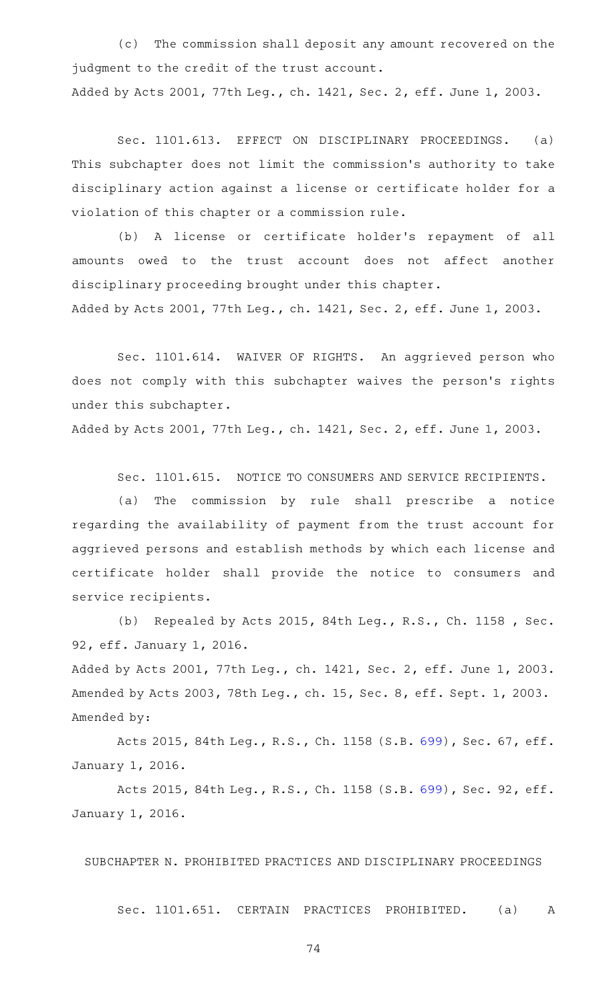(c) The commission shall deposit any amount recovered on the judgment to the credit of the trust account. Added by Acts 2001, 77th Leg., ch. 1421, Sec. 2, eff. June 1, 2003.

Sec. 1101.613. EFFECT ON DISCIPLINARY PROCEEDINGS. (a) This subchapter does not limit the commission 's authority to take disciplinary action against a license or certificate holder for a violation of this chapter or a commission rule.

(b) A license or certificate holder's repayment of all amounts owed to the trust account does not affect another disciplinary proceeding brought under this chapter.

Added by Acts 2001, 77th Leg., ch. 1421, Sec. 2, eff. June 1, 2003.

Sec. 1101.614. WAIVER OF RIGHTS. An aggrieved person who does not comply with this subchapter waives the person's rights under this subchapter.

Added by Acts 2001, 77th Leg., ch. 1421, Sec. 2, eff. June 1, 2003.

Sec. 1101.615. NOTICE TO CONSUMERS AND SERVICE RECIPIENTS.

(a) The commission by rule shall prescribe a notice regarding the availability of payment from the trust account for aggrieved persons and establish methods by which each license and certificate holder shall provide the notice to consumers and service recipients.

(b) Repealed by Acts 2015, 84th Leg., R.S., Ch. 1158, Sec. 92, eff. January 1, 2016.

Added by Acts 2001, 77th Leg., ch. 1421, Sec. 2, eff. June 1, 2003. Amended by Acts 2003, 78th Leg., ch. 15, Sec. 8, eff. Sept. 1, 2003. Amended by:

Acts 2015, 84th Leg., R.S., Ch. 1158 (S.B. [699\)](http://www.legis.state.tx.us/tlodocs/84R/billtext/html/SB00699F.HTM), Sec. 67, eff. January 1, 2016.

Acts 2015, 84th Leg., R.S., Ch. 1158 (S.B. [699\)](http://www.legis.state.tx.us/tlodocs/84R/billtext/html/SB00699F.HTM), Sec. 92, eff. January 1, 2016.

SUBCHAPTER N. PROHIBITED PRACTICES AND DISCIPLINARY PROCEEDINGS

Sec. 1101.651. CERTAIN PRACTICES PROHIBITED. (a) A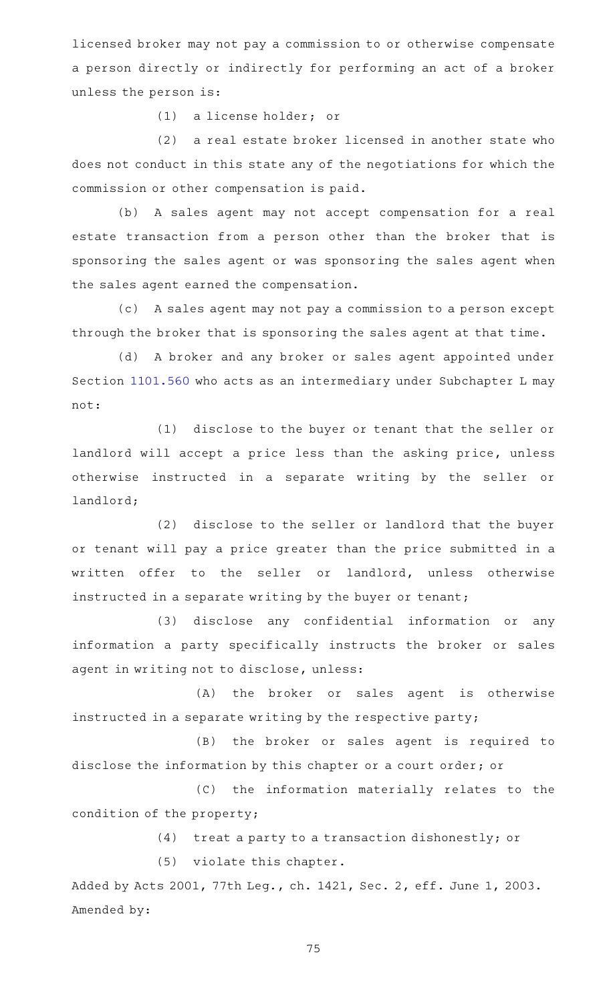licensed broker may not pay a commission to or otherwise compensate a person directly or indirectly for performing an act of a broker unless the person is:

(1) a license holder; or

(2) a real estate broker licensed in another state who does not conduct in this state any of the negotiations for which the commission or other compensation is paid.

(b) A sales agent may not accept compensation for a real estate transaction from a person other than the broker that is sponsoring the sales agent or was sponsoring the sales agent when the sales agent earned the compensation.

(c) A sales agent may not pay a commission to a person except through the broker that is sponsoring the sales agent at that time.

(d) A broker and any broker or sales agent appointed under Section [1101.560](https://statutes.capitol.texas.gov/GetStatute.aspx?Code=OC&Value=1101.560) who acts as an intermediary under Subchapter L may not:

(1) disclose to the buyer or tenant that the seller or landlord will accept a price less than the asking price, unless otherwise instructed in a separate writing by the seller or landlord;

(2) disclose to the seller or landlord that the buyer or tenant will pay a price greater than the price submitted in a written offer to the seller or landlord, unless otherwise instructed in a separate writing by the buyer or tenant;

(3) disclose any confidential information or any information a party specifically instructs the broker or sales agent in writing not to disclose, unless:

(A) the broker or sales agent is otherwise instructed in a separate writing by the respective party;

(B) the broker or sales agent is required to disclose the information by this chapter or a court order; or

(C) the information materially relates to the condition of the property;

(4) treat a party to a transaction dishonestly; or

 $(5)$  violate this chapter.

Added by Acts 2001, 77th Leg., ch. 1421, Sec. 2, eff. June 1, 2003. Amended by: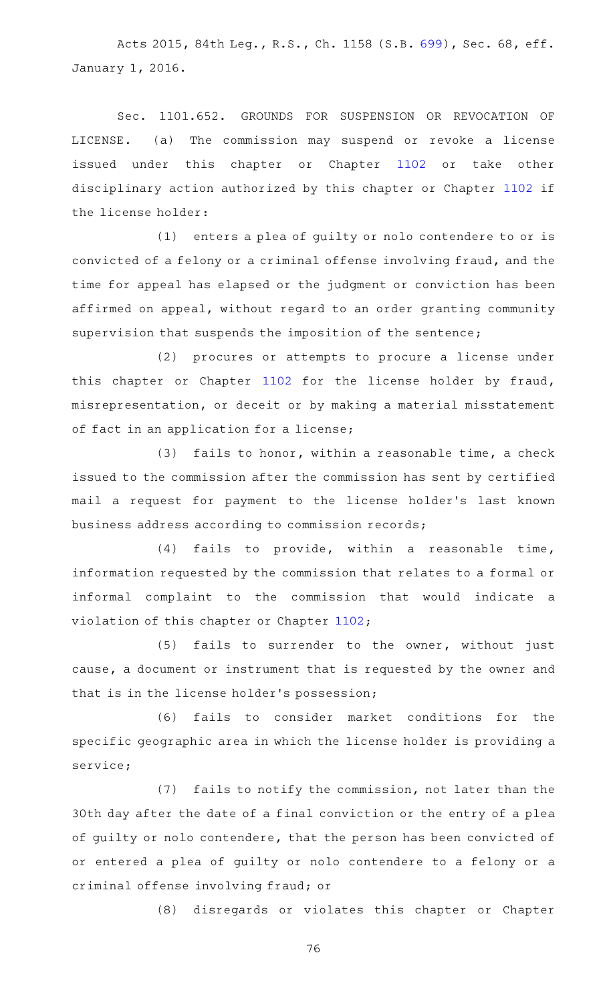Acts 2015, 84th Leg., R.S., Ch. 1158 (S.B. [699\)](http://www.legis.state.tx.us/tlodocs/84R/billtext/html/SB00699F.HTM), Sec. 68, eff. January 1, 2016.

Sec. 1101.652. GROUNDS FOR SUSPENSION OR REVOCATION OF LICENSE. (a) The commission may suspend or revoke a license issued under this chapter or Chapter [1102](https://statutes.capitol.texas.gov/GetStatute.aspx?Code=OC&Value=1102) or take other disciplinary action authorized by this chapter or Chapter [1102](https://statutes.capitol.texas.gov/GetStatute.aspx?Code=OC&Value=1102) if the license holder:

 $(1)$  enters a plea of quilty or nolo contendere to or is convicted of a felony or a criminal offense involving fraud, and the time for appeal has elapsed or the judgment or conviction has been affirmed on appeal, without regard to an order granting community supervision that suspends the imposition of the sentence;

(2) procures or attempts to procure a license under this chapter or Chapter [1102](https://statutes.capitol.texas.gov/GetStatute.aspx?Code=OC&Value=1102) for the license holder by fraud, misrepresentation, or deceit or by making a material misstatement of fact in an application for a license;

(3) fails to honor, within a reasonable time, a check issued to the commission after the commission has sent by certified mail a request for payment to the license holder 's last known business address according to commission records;

 $(4)$  fails to provide, within a reasonable time, information requested by the commission that relates to a formal or informal complaint to the commission that would indicate a violation of this chapter or Chapter [1102](https://statutes.capitol.texas.gov/GetStatute.aspx?Code=OC&Value=1102);

(5) fails to surrender to the owner, without just cause, a document or instrument that is requested by the owner and that is in the license holder 's possession;

(6) fails to consider market conditions for the specific geographic area in which the license holder is providing a service;

(7) fails to notify the commission, not later than the 30th day after the date of a final conviction or the entry of a plea of guilty or nolo contendere, that the person has been convicted of or entered a plea of guilty or nolo contendere to a felony or a criminal offense involving fraud; or

(8) disregards or violates this chapter or Chapter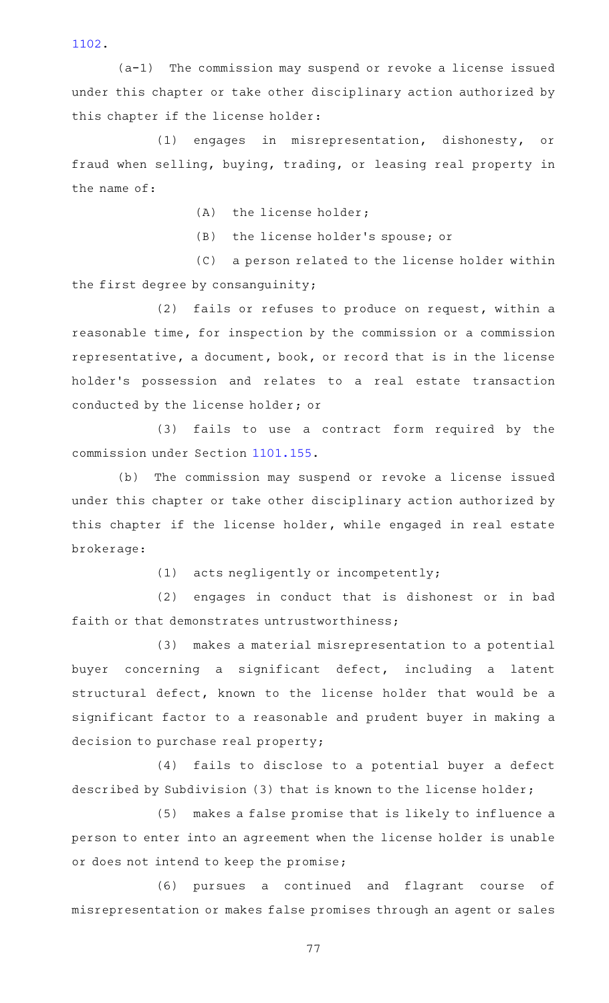[1102](https://statutes.capitol.texas.gov/GetStatute.aspx?Code=OC&Value=1102).

 $(a-1)$  The commission may suspend or revoke a license issued under this chapter or take other disciplinary action authorized by this chapter if the license holder:

(1) engages in misrepresentation, dishonesty, or fraud when selling, buying, trading, or leasing real property in the name of:

 $(A)$  the license holder;

(B) the license holder's spouse; or

(C) a person related to the license holder within the first degree by consanguinity;

(2) fails or refuses to produce on request, within a reasonable time, for inspection by the commission or a commission representative, a document, book, or record that is in the license holder 's possession and relates to a real estate transaction conducted by the license holder; or

(3) fails to use a contract form required by the commission under Section [1101.155.](https://statutes.capitol.texas.gov/GetStatute.aspx?Code=OC&Value=1101.155)

(b) The commission may suspend or revoke a license issued under this chapter or take other disciplinary action authorized by this chapter if the license holder, while engaged in real estate brokerage:

 $(1)$  acts negligently or incompetently;

(2) engages in conduct that is dishonest or in bad faith or that demonstrates untrustworthiness;

(3) makes a material misrepresentation to a potential buyer concerning a significant defect, including a latent structural defect, known to the license holder that would be a significant factor to a reasonable and prudent buyer in making a decision to purchase real property;

(4) fails to disclose to a potential buyer a defect described by Subdivision (3) that is known to the license holder;

(5) makes a false promise that is likely to influence a person to enter into an agreement when the license holder is unable or does not intend to keep the promise;

(6) pursues a continued and flagrant course of misrepresentation or makes false promises through an agent or sales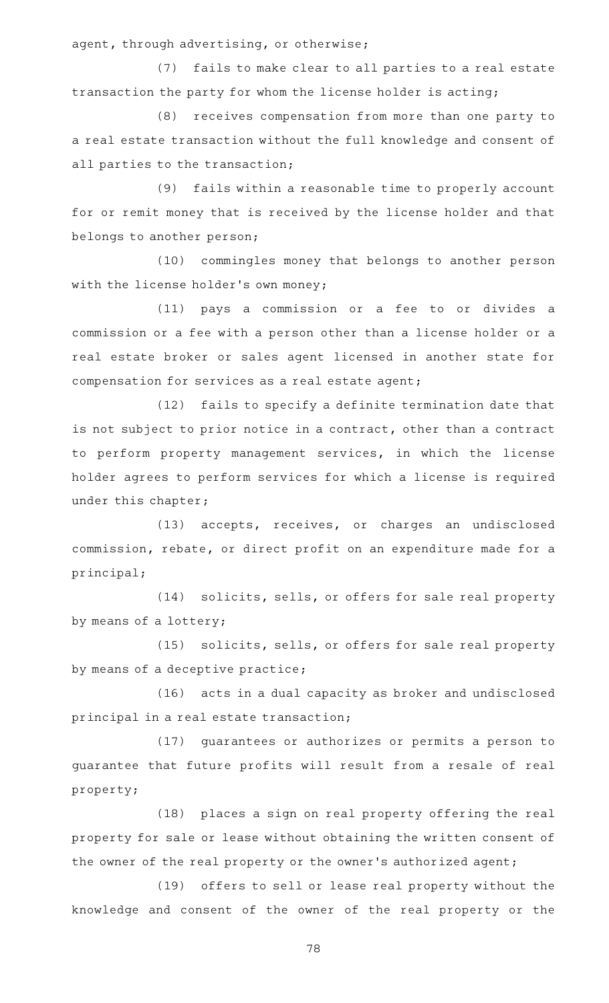agent, through advertising, or otherwise;

(7) fails to make clear to all parties to a real estate transaction the party for whom the license holder is acting;

(8) receives compensation from more than one party to a real estate transaction without the full knowledge and consent of all parties to the transaction;

(9) fails within a reasonable time to properly account for or remit money that is received by the license holder and that belongs to another person;

(10) commingles money that belongs to another person with the license holder's own money;

(11) pays a commission or a fee to or divides a commission or a fee with a person other than a license holder or a real estate broker or sales agent licensed in another state for compensation for services as a real estate agent;

(12) fails to specify a definite termination date that is not subject to prior notice in a contract, other than a contract to perform property management services, in which the license holder agrees to perform services for which a license is required under this chapter;

(13) accepts, receives, or charges an undisclosed commission, rebate, or direct profit on an expenditure made for a principal;

(14) solicits, sells, or offers for sale real property by means of a lottery;

(15) solicits, sells, or offers for sale real property by means of a deceptive practice;

(16) acts in a dual capacity as broker and undisclosed principal in a real estate transaction;

(17) guarantees or authorizes or permits a person to guarantee that future profits will result from a resale of real property;

(18) places a sign on real property offering the real property for sale or lease without obtaining the written consent of the owner of the real property or the owner 's authorized agent;

(19) offers to sell or lease real property without the knowledge and consent of the owner of the real property or the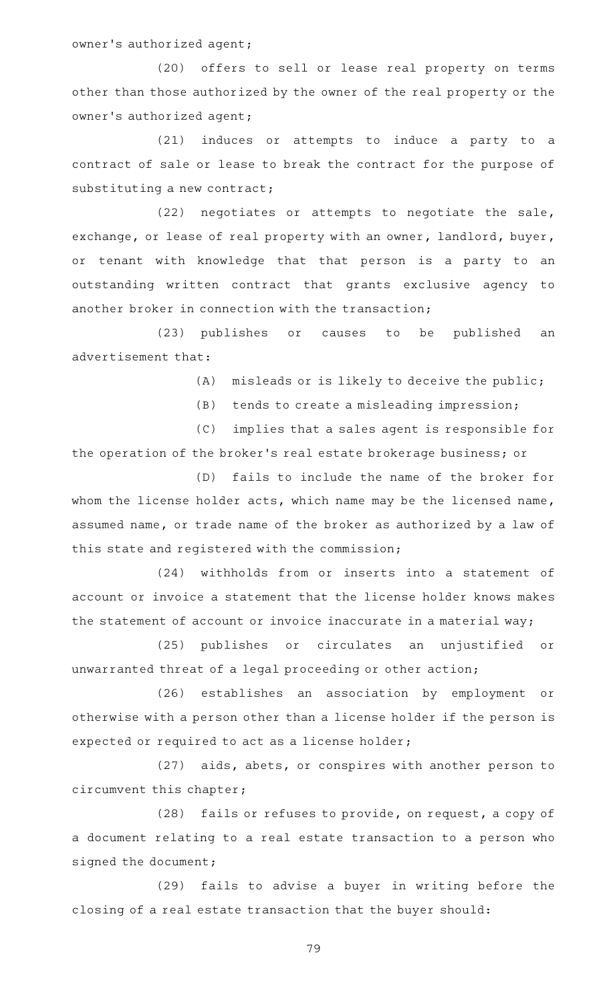owner's authorized agent;

(20) offers to sell or lease real property on terms other than those authorized by the owner of the real property or the owner 's authorized agent;

(21) induces or attempts to induce a party to a contract of sale or lease to break the contract for the purpose of substituting a new contract;

(22) negotiates or attempts to negotiate the sale, exchange, or lease of real property with an owner, landlord, buyer, or tenant with knowledge that that person is a party to an outstanding written contract that grants exclusive agency to another broker in connection with the transaction;

(23) publishes or causes to be published an advertisement that:

 $(A)$  misleads or is likely to deceive the public;

(B) tends to create a misleading impression;

(C) implies that a sales agent is responsible for the operation of the broker 's real estate brokerage business; or

(D) fails to include the name of the broker for whom the license holder acts, which name may be the licensed name, assumed name, or trade name of the broker as authorized by a law of this state and registered with the commission;

(24) withholds from or inserts into a statement of account or invoice a statement that the license holder knows makes the statement of account or invoice inaccurate in a material way;

(25) publishes or circulates an unjustified or unwarranted threat of a legal proceeding or other action;

(26) establishes an association by employment or otherwise with a person other than a license holder if the person is expected or required to act as a license holder;

(27) aids, abets, or conspires with another person to circumvent this chapter;

(28) fails or refuses to provide, on request, a copy of a document relating to a real estate transaction to a person who signed the document;

(29) fails to advise a buyer in writing before the closing of a real estate transaction that the buyer should: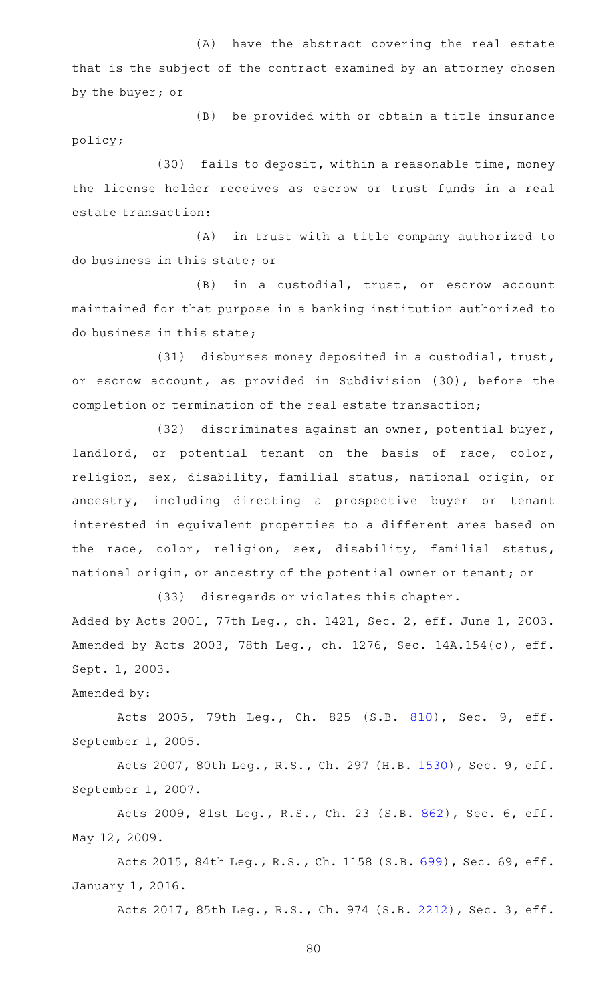(A) have the abstract covering the real estate that is the subject of the contract examined by an attorney chosen by the buyer; or

(B) be provided with or obtain a title insurance policy;

(30) fails to deposit, within a reasonable time, money the license holder receives as escrow or trust funds in a real estate transaction:

(A) in trust with a title company authorized to do business in this state; or

 $(B)$  in a custodial, trust, or escrow account maintained for that purpose in a banking institution authorized to do business in this state;

(31) disburses money deposited in a custodial, trust, or escrow account, as provided in Subdivision (30), before the completion or termination of the real estate transaction;

(32) discriminates against an owner, potential buyer, landlord, or potential tenant on the basis of race, color, religion, sex, disability, familial status, national origin, or ancestry, including directing a prospective buyer or tenant interested in equivalent properties to a different area based on the race, color, religion, sex, disability, familial status, national origin, or ancestry of the potential owner or tenant; or

(33) disregards or violates this chapter. Added by Acts 2001, 77th Leg., ch. 1421, Sec. 2, eff. June 1, 2003. Amended by Acts 2003, 78th Leg., ch. 1276, Sec. 14A.154(c), eff. Sept. 1, 2003.

Amended by:

Acts 2005, 79th Leg., Ch. 825 (S.B. [810\)](http://www.legis.state.tx.us/tlodocs/79R/billtext/html/SB00810F.HTM), Sec. 9, eff. September 1, 2005.

Acts 2007, 80th Leg., R.S., Ch. 297 (H.B. [1530](http://www.legis.state.tx.us/tlodocs/80R/billtext/html/HB01530F.HTM)), Sec. 9, eff. September 1, 2007.

Acts 2009, 81st Leg., R.S., Ch. 23 (S.B. [862](http://www.legis.state.tx.us/tlodocs/81R/billtext/html/SB00862F.HTM)), Sec. 6, eff. May 12, 2009.

Acts 2015, 84th Leg., R.S., Ch. 1158 (S.B. [699\)](http://www.legis.state.tx.us/tlodocs/84R/billtext/html/SB00699F.HTM), Sec. 69, eff. January 1, 2016.

Acts 2017, 85th Leg., R.S., Ch. 974 (S.B. [2212](http://www.legis.state.tx.us/tlodocs/85R/billtext/html/SB02212F.HTM)), Sec. 3, eff.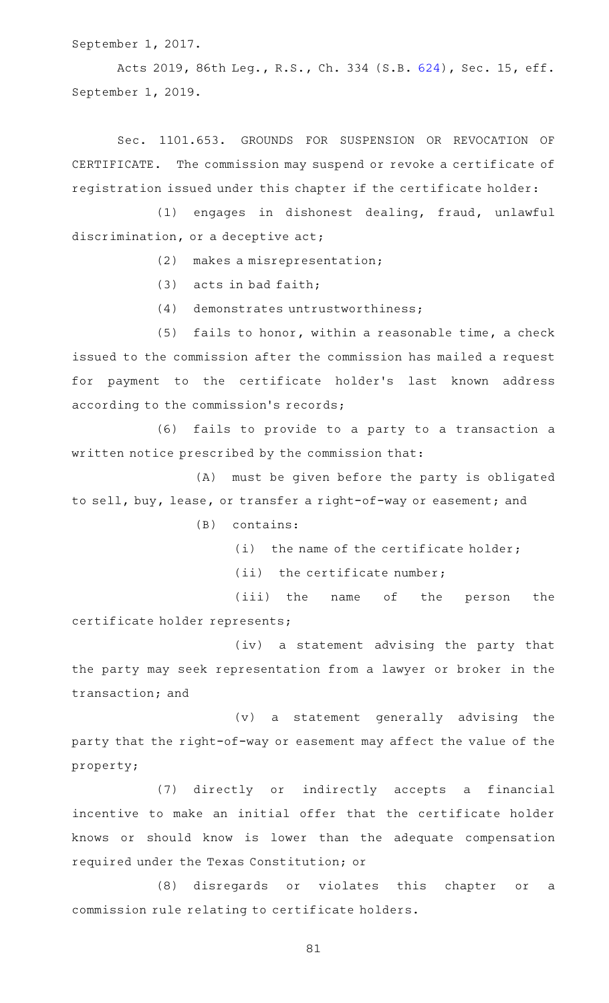September 1, 2017.

Acts 2019, 86th Leg., R.S., Ch. 334 (S.B. [624\)](http://www.legis.state.tx.us/tlodocs/86R/billtext/html/SB00624F.HTM), Sec. 15, eff. September 1, 2019.

Sec. 1101.653. GROUNDS FOR SUSPENSION OR REVOCATION OF CERTIFICATE. The commission may suspend or revoke a certificate of registration issued under this chapter if the certificate holder:

(1) engages in dishonest dealing, fraud, unlawful discrimination, or a deceptive act;

 $(2)$  makes a misrepresentation;

 $(3)$  acts in bad faith;

 $(4)$  demonstrates untrustworthiness;

 $(5)$  fails to honor, within a reasonable time, a check issued to the commission after the commission has mailed a request for payment to the certificate holder 's last known address according to the commission 's records;

(6) fails to provide to a party to a transaction a written notice prescribed by the commission that:

(A) must be given before the party is obligated to sell, buy, lease, or transfer a right-of-way or easement; and

 $(B)$  contains:

(i) the name of the certificate holder;

 $(iii)$  the certificate number;

(iii) the name of the person the certificate holder represents;

(iv) a statement advising the party that the party may seek representation from a lawyer or broker in the transaction; and

 $(v)$  a statement generally advising the party that the right-of-way or easement may affect the value of the property;

(7) directly or indirectly accepts a financial incentive to make an initial offer that the certificate holder knows or should know is lower than the adequate compensation required under the Texas Constitution; or

(8) disregards or violates this chapter or a commission rule relating to certificate holders.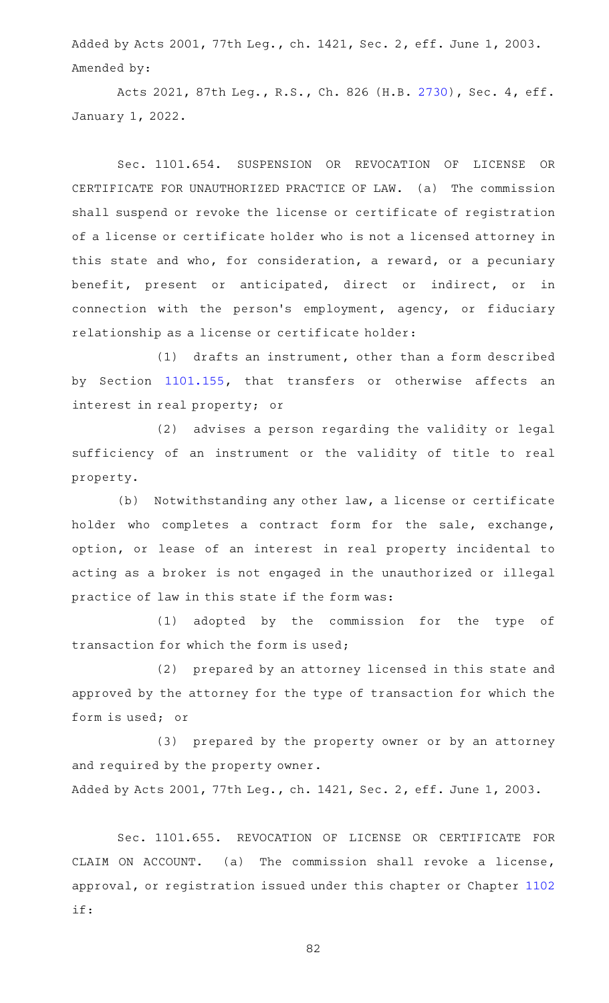Added by Acts 2001, 77th Leg., ch. 1421, Sec. 2, eff. June 1, 2003. Amended by:

Acts 2021, 87th Leg., R.S., Ch. 826 (H.B. [2730](http://www.legis.state.tx.us/tlodocs/87R/billtext/html/HB02730F.HTM)), Sec. 4, eff. January 1, 2022.

Sec. 1101.654. SUSPENSION OR REVOCATION OF LICENSE OR CERTIFICATE FOR UNAUTHORIZED PRACTICE OF LAW. (a) The commission shall suspend or revoke the license or certificate of registration of a license or certificate holder who is not a licensed attorney in this state and who, for consideration, a reward, or a pecuniary benefit, present or anticipated, direct or indirect, or in connection with the person 's employment, agency, or fiduciary relationship as a license or certificate holder:

 $(1)$  drafts an instrument, other than a form described by Section [1101.155,](https://statutes.capitol.texas.gov/GetStatute.aspx?Code=OC&Value=1101.155) that transfers or otherwise affects an interest in real property; or

(2) advises a person regarding the validity or legal sufficiency of an instrument or the validity of title to real property.

(b) Notwithstanding any other law, a license or certificate holder who completes a contract form for the sale, exchange, option, or lease of an interest in real property incidental to acting as a broker is not engaged in the unauthorized or illegal practice of law in this state if the form was:

(1) adopted by the commission for the type of transaction for which the form is used;

(2) prepared by an attorney licensed in this state and approved by the attorney for the type of transaction for which the form is used; or

(3) prepared by the property owner or by an attorney and required by the property owner.

Added by Acts 2001, 77th Leg., ch. 1421, Sec. 2, eff. June 1, 2003.

Sec. 1101.655. REVOCATION OF LICENSE OR CERTIFICATE FOR CLAIM ON ACCOUNT. (a) The commission shall revoke a license, approval, or registration issued under this chapter or Chapter [1102](https://statutes.capitol.texas.gov/GetStatute.aspx?Code=OC&Value=1102) if: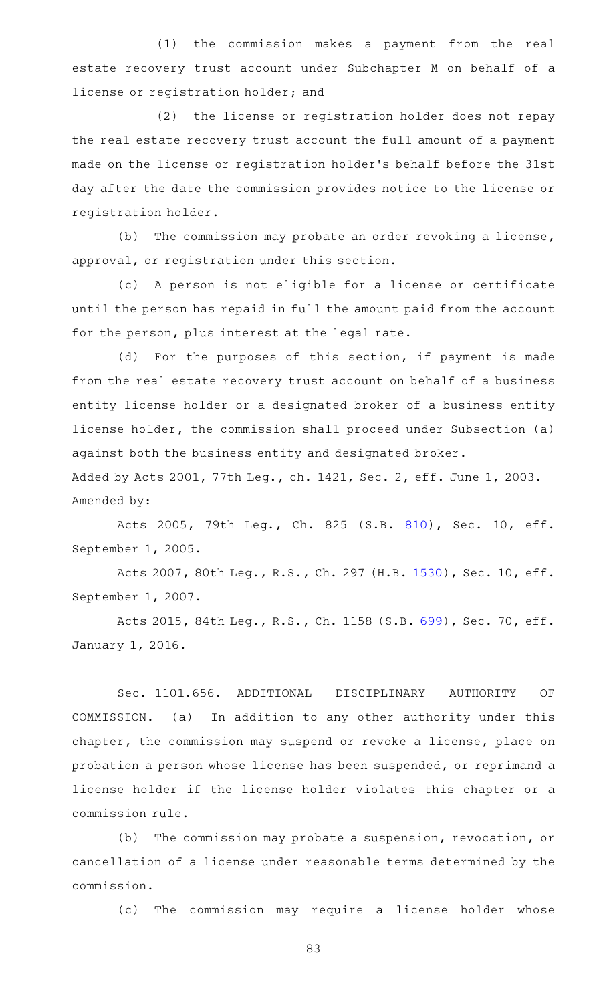(1) the commission makes a payment from the real estate recovery trust account under Subchapter M on behalf of a license or registration holder; and

(2) the license or registration holder does not repay the real estate recovery trust account the full amount of a payment made on the license or registration holder 's behalf before the 31st day after the date the commission provides notice to the license or registration holder.

 $(b)$  The commission may probate an order revoking a license, approval, or registration under this section.

(c) A person is not eligible for a license or certificate until the person has repaid in full the amount paid from the account for the person, plus interest at the legal rate.

(d) For the purposes of this section, if payment is made from the real estate recovery trust account on behalf of a business entity license holder or a designated broker of a business entity license holder, the commission shall proceed under Subsection (a) against both the business entity and designated broker. Added by Acts 2001, 77th Leg., ch. 1421, Sec. 2, eff. June 1, 2003.

Amended by:

Acts 2005, 79th Leg., Ch. 825 (S.B. [810\)](http://www.legis.state.tx.us/tlodocs/79R/billtext/html/SB00810F.HTM), Sec. 10, eff. September 1, 2005.

Acts 2007, 80th Leg., R.S., Ch. 297 (H.B. [1530\)](http://www.legis.state.tx.us/tlodocs/80R/billtext/html/HB01530F.HTM), Sec. 10, eff. September 1, 2007.

Acts 2015, 84th Leg., R.S., Ch. 1158 (S.B. [699\)](http://www.legis.state.tx.us/tlodocs/84R/billtext/html/SB00699F.HTM), Sec. 70, eff. January 1, 2016.

Sec. 1101.656. ADDITIONAL DISCIPLINARY AUTHORITY OF COMMISSION. (a) In addition to any other authority under this chapter, the commission may suspend or revoke a license, place on probation a person whose license has been suspended, or reprimand a license holder if the license holder violates this chapter or a commission rule.

(b) The commission may probate a suspension, revocation, or cancellation of a license under reasonable terms determined by the commission.

(c) The commission may require a license holder whose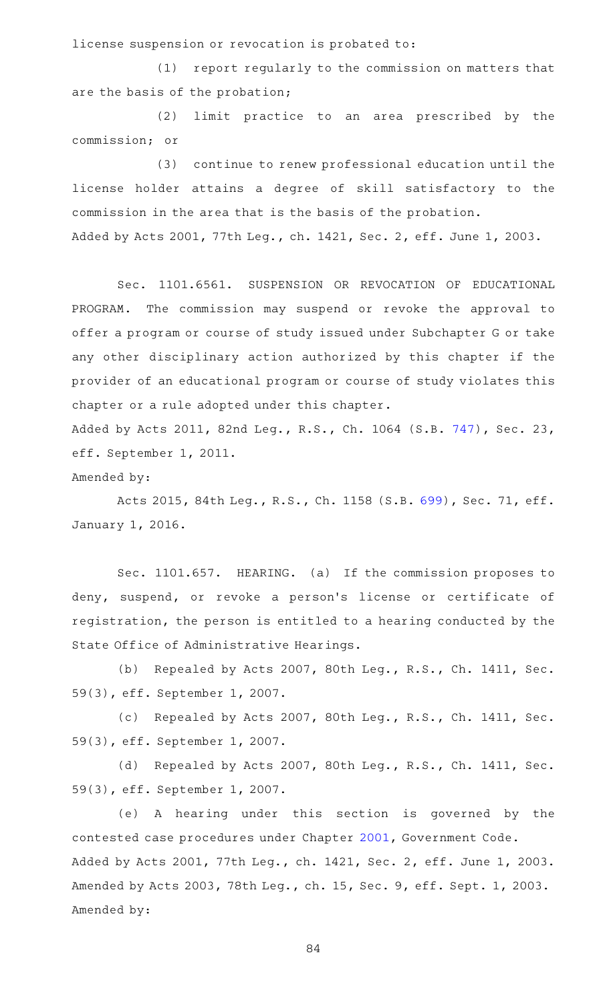license suspension or revocation is probated to:

 $(1)$  report regularly to the commission on matters that are the basis of the probation;

(2) limit practice to an area prescribed by the commission; or

(3) continue to renew professional education until the license holder attains a degree of skill satisfactory to the commission in the area that is the basis of the probation. Added by Acts 2001, 77th Leg., ch. 1421, Sec. 2, eff. June 1, 2003.

Sec. 1101.6561. SUSPENSION OR REVOCATION OF EDUCATIONAL PROGRAM. The commission may suspend or revoke the approval to offer a program or course of study issued under Subchapter G or take any other disciplinary action authorized by this chapter if the provider of an educational program or course of study violates this chapter or a rule adopted under this chapter.

Added by Acts 2011, 82nd Leg., R.S., Ch. 1064 (S.B. [747\)](http://www.legis.state.tx.us/tlodocs/82R/billtext/html/SB00747F.HTM), Sec. 23, eff. September 1, 2011.

Amended by:

Acts 2015, 84th Leg., R.S., Ch. 1158 (S.B. [699\)](http://www.legis.state.tx.us/tlodocs/84R/billtext/html/SB00699F.HTM), Sec. 71, eff. January 1, 2016.

Sec. 1101.657. HEARING. (a) If the commission proposes to deny, suspend, or revoke a person's license or certificate of registration, the person is entitled to a hearing conducted by the State Office of Administrative Hearings.

(b) Repealed by Acts 2007, 80th Leg., R.S., Ch. 1411, Sec. 59(3), eff. September 1, 2007.

(c) Repealed by Acts 2007, 80th Leg., R.S., Ch. 1411, Sec. 59(3), eff. September 1, 2007.

(d) Repealed by Acts 2007, 80th Leg., R.S., Ch. 1411, Sec. 59(3), eff. September 1, 2007.

(e)AAA hearing under this section is governed by the contested case procedures under Chapter [2001,](https://statutes.capitol.texas.gov/GetStatute.aspx?Code=GV&Value=2001) Government Code. Added by Acts 2001, 77th Leg., ch. 1421, Sec. 2, eff. June 1, 2003. Amended by Acts 2003, 78th Leg., ch. 15, Sec. 9, eff. Sept. 1, 2003. Amended by: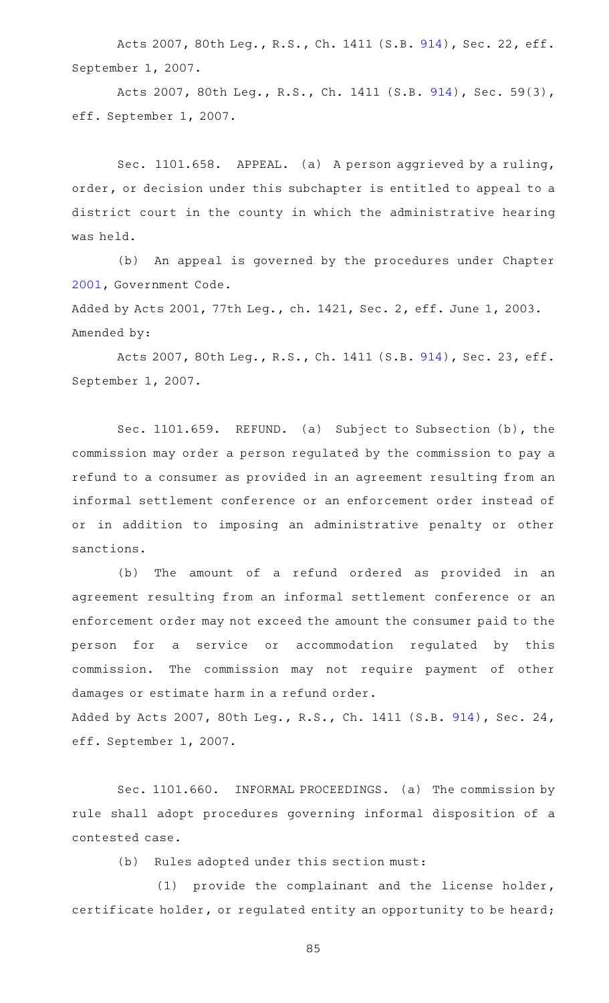Acts 2007, 80th Leg., R.S., Ch. 1411 (S.B. [914\)](http://www.legis.state.tx.us/tlodocs/80R/billtext/html/SB00914F.HTM), Sec. 22, eff. September 1, 2007.

Acts 2007, 80th Leg., R.S., Ch. 1411 (S.B. [914\)](http://www.legis.state.tx.us/tlodocs/80R/billtext/html/SB00914F.HTM), Sec. 59(3), eff. September 1, 2007.

Sec. 1101.658. APPEAL. (a) A person aggrieved by a ruling, order, or decision under this subchapter is entitled to appeal to a district court in the county in which the administrative hearing was held.

(b) An appeal is governed by the procedures under Chapter [2001](https://statutes.capitol.texas.gov/GetStatute.aspx?Code=GV&Value=2001), Government Code.

Added by Acts 2001, 77th Leg., ch. 1421, Sec. 2, eff. June 1, 2003. Amended by:

Acts 2007, 80th Leg., R.S., Ch. 1411 (S.B. [914\)](http://www.legis.state.tx.us/tlodocs/80R/billtext/html/SB00914F.HTM), Sec. 23, eff. September 1, 2007.

Sec. 1101.659. REFUND. (a) Subject to Subsection (b), the commission may order a person regulated by the commission to pay a refund to a consumer as provided in an agreement resulting from an informal settlement conference or an enforcement order instead of or in addition to imposing an administrative penalty or other sanctions.

(b) The amount of a refund ordered as provided in an agreement resulting from an informal settlement conference or an enforcement order may not exceed the amount the consumer paid to the person for a service or accommodation regulated by this commission. The commission may not require payment of other damages or estimate harm in a refund order.

Added by Acts 2007, 80th Leg., R.S., Ch. 1411 (S.B. [914\)](http://www.legis.state.tx.us/tlodocs/80R/billtext/html/SB00914F.HTM), Sec. 24, eff. September 1, 2007.

Sec. 1101.660. INFORMAL PROCEEDINGS. (a) The commission by rule shall adopt procedures governing informal disposition of a contested case.

(b) Rules adopted under this section must:

(1) provide the complainant and the license holder, certificate holder, or regulated entity an opportunity to be heard;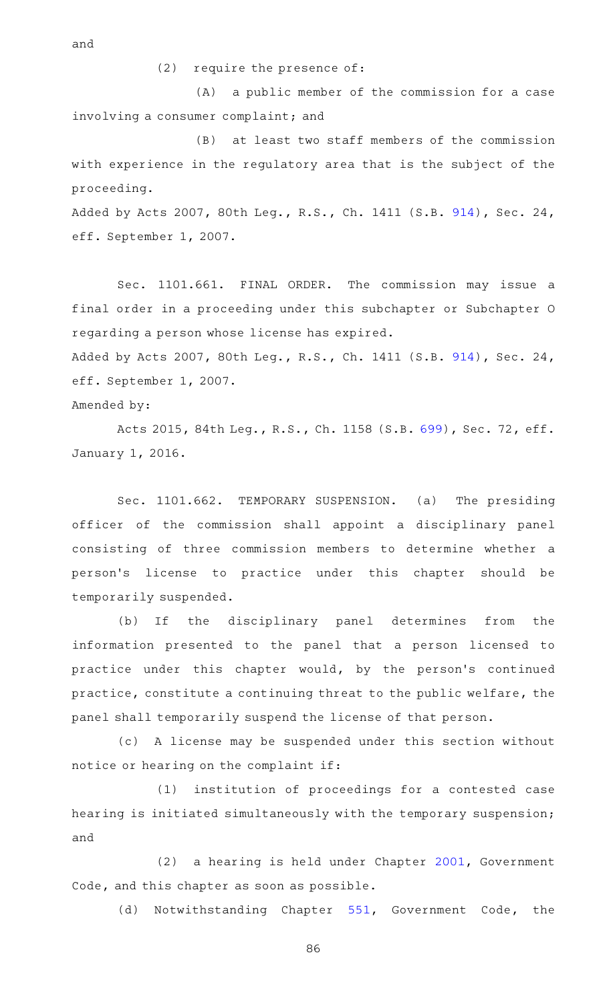and

 $(2)$  require the presence of:

(A) a public member of the commission for a case involving a consumer complaint; and

 $(B)$  at least two staff members of the commission with experience in the regulatory area that is the subject of the proceeding.

Added by Acts 2007, 80th Leg., R.S., Ch. 1411 (S.B. [914\)](http://www.legis.state.tx.us/tlodocs/80R/billtext/html/SB00914F.HTM), Sec. 24, eff. September 1, 2007.

Sec. 1101.661. FINAL ORDER. The commission may issue a final order in a proceeding under this subchapter or Subchapter O regarding a person whose license has expired.

Added by Acts 2007, 80th Leg., R.S., Ch. 1411 (S.B. [914\)](http://www.legis.state.tx.us/tlodocs/80R/billtext/html/SB00914F.HTM), Sec. 24, eff. September 1, 2007.

Amended by:

Acts 2015, 84th Leg., R.S., Ch. 1158 (S.B. [699\)](http://www.legis.state.tx.us/tlodocs/84R/billtext/html/SB00699F.HTM), Sec. 72, eff. January 1, 2016.

Sec. 1101.662. TEMPORARY SUSPENSION. (a) The presiding officer of the commission shall appoint a disciplinary panel consisting of three commission members to determine whether a person 's license to practice under this chapter should be temporarily suspended.

(b) If the disciplinary panel determines from the information presented to the panel that a person licensed to practice under this chapter would, by the person's continued practice, constitute a continuing threat to the public welfare, the panel shall temporarily suspend the license of that person.

(c)AAA license may be suspended under this section without notice or hearing on the complaint if:

(1) institution of proceedings for a contested case hearing is initiated simultaneously with the temporary suspension; and

 $(2)$  a hearing is held under Chapter [2001](https://statutes.capitol.texas.gov/GetStatute.aspx?Code=GV&Value=2001), Government Code, and this chapter as soon as possible.

(d) Notwithstanding Chapter [551](https://statutes.capitol.texas.gov/GetStatute.aspx?Code=GV&Value=551), Government Code, the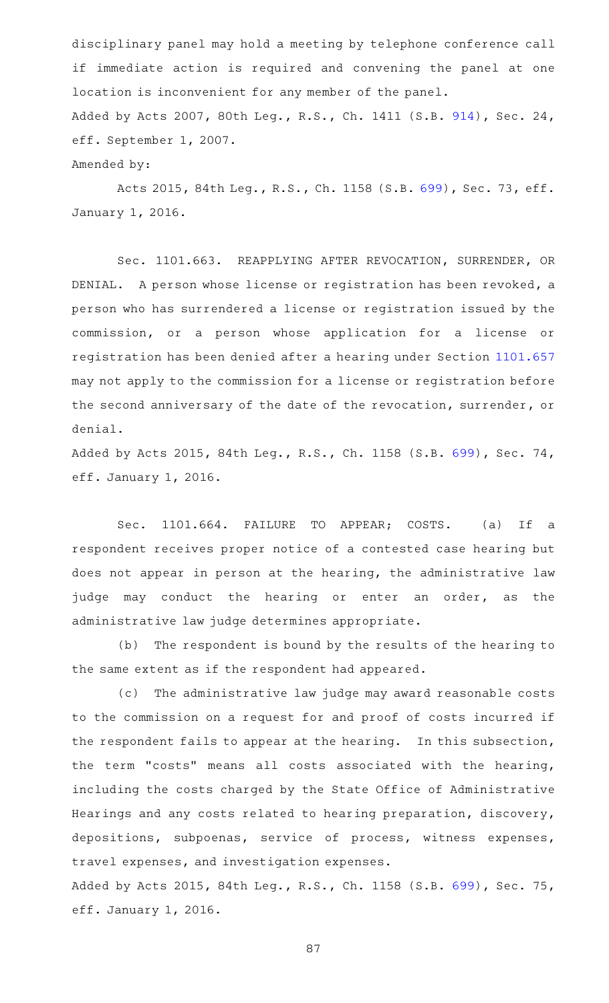disciplinary panel may hold a meeting by telephone conference call if immediate action is required and convening the panel at one location is inconvenient for any member of the panel. Added by Acts 2007, 80th Leg., R.S., Ch. 1411 (S.B. [914\)](http://www.legis.state.tx.us/tlodocs/80R/billtext/html/SB00914F.HTM), Sec. 24, eff. September 1, 2007. Amended by:

Acts 2015, 84th Leg., R.S., Ch. 1158 (S.B. [699\)](http://www.legis.state.tx.us/tlodocs/84R/billtext/html/SB00699F.HTM), Sec. 73, eff. January 1, 2016.

Sec. 1101.663. REAPPLYING AFTER REVOCATION, SURRENDER, OR DENIAL. A person whose license or registration has been revoked, a person who has surrendered a license or registration issued by the commission, or a person whose application for a license or registration has been denied after a hearing under Section [1101.657](https://statutes.capitol.texas.gov/GetStatute.aspx?Code=OC&Value=1101.657) may not apply to the commission for a license or registration before the second anniversary of the date of the revocation, surrender, or denial.

Added by Acts 2015, 84th Leg., R.S., Ch. 1158 (S.B. [699\)](http://www.legis.state.tx.us/tlodocs/84R/billtext/html/SB00699F.HTM), Sec. 74, eff. January 1, 2016.

Sec. 1101.664. FAILURE TO APPEAR; COSTS. (a) If a respondent receives proper notice of a contested case hearing but does not appear in person at the hearing, the administrative law judge may conduct the hearing or enter an order, as the administrative law judge determines appropriate.

(b) The respondent is bound by the results of the hearing to the same extent as if the respondent had appeared.

(c) The administrative law judge may award reasonable costs to the commission on a request for and proof of costs incurred if the respondent fails to appear at the hearing. In this subsection, the term "costs" means all costs associated with the hearing, including the costs charged by the State Office of Administrative Hearings and any costs related to hearing preparation, discovery, depositions, subpoenas, service of process, witness expenses, travel expenses, and investigation expenses.

Added by Acts 2015, 84th Leg., R.S., Ch. 1158 (S.B. [699\)](http://www.legis.state.tx.us/tlodocs/84R/billtext/html/SB00699F.HTM), Sec. 75, eff. January 1, 2016.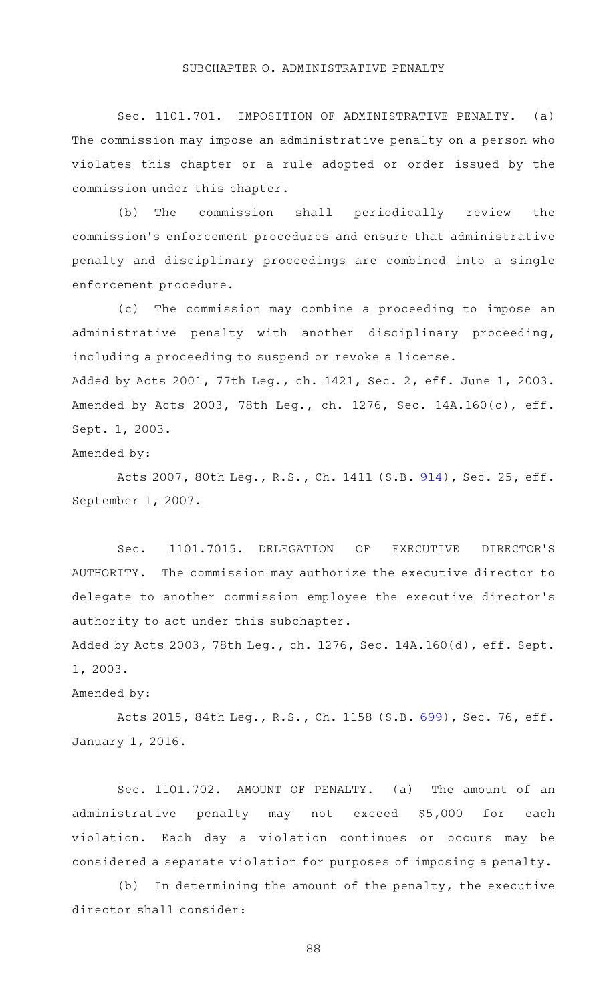## SUBCHAPTER O. ADMINISTRATIVE PENALTY

Sec. 1101.701. IMPOSITION OF ADMINISTRATIVE PENALTY. (a) The commission may impose an administrative penalty on a person who violates this chapter or a rule adopted or order issued by the commission under this chapter.

(b) The commission shall periodically review the commission 's enforcement procedures and ensure that administrative penalty and disciplinary proceedings are combined into a single enforcement procedure.

(c) The commission may combine a proceeding to impose an administrative penalty with another disciplinary proceeding, including a proceeding to suspend or revoke a license. Added by Acts 2001, 77th Leg., ch. 1421, Sec. 2, eff. June 1, 2003. Amended by Acts 2003, 78th Leg., ch. 1276, Sec. 14A.160(c), eff.

Sept. 1, 2003.

Amended by:

Acts 2007, 80th Leg., R.S., Ch. 1411 (S.B. [914\)](http://www.legis.state.tx.us/tlodocs/80R/billtext/html/SB00914F.HTM), Sec. 25, eff. September 1, 2007.

Sec. 1101.7015. DELEGATION OF EXECUTIVE DIRECTOR'S AUTHORITY. The commission may authorize the executive director to delegate to another commission employee the executive director 's authority to act under this subchapter.

Added by Acts 2003, 78th Leg., ch. 1276, Sec. 14A.160(d), eff. Sept. 1, 2003.

Amended by:

Acts 2015, 84th Leg., R.S., Ch. 1158 (S.B. [699\)](http://www.legis.state.tx.us/tlodocs/84R/billtext/html/SB00699F.HTM), Sec. 76, eff. January 1, 2016.

Sec. 1101.702. AMOUNT OF PENALTY. (a) The amount of an administrative penalty may not exceed \$5,000 for each violation. Each day a violation continues or occurs may be considered a separate violation for purposes of imposing a penalty.

 $(b)$  In determining the amount of the penalty, the executive director shall consider: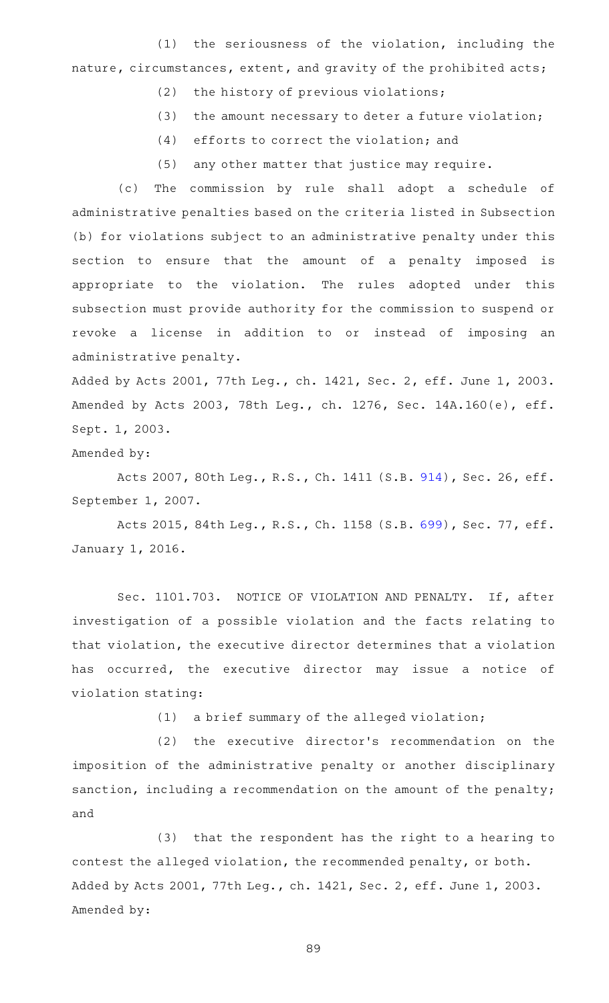$(1)$  the seriousness of the violation, including the nature, circumstances, extent, and gravity of the prohibited acts;

- $(2)$  the history of previous violations;
- $(3)$  the amount necessary to deter a future violation;
- $(4)$  efforts to correct the violation; and
- (5) any other matter that justice may require.

(c) The commission by rule shall adopt a schedule of administrative penalties based on the criteria listed in Subsection (b) for violations subject to an administrative penalty under this section to ensure that the amount of a penalty imposed is appropriate to the violation. The rules adopted under this subsection must provide authority for the commission to suspend or revoke a license in addition to or instead of imposing an administrative penalty.

Added by Acts 2001, 77th Leg., ch. 1421, Sec. 2, eff. June 1, 2003. Amended by Acts 2003, 78th Leg., ch. 1276, Sec. 14A.160(e), eff. Sept. 1, 2003.

Amended by:

Acts 2007, 80th Leg., R.S., Ch. 1411 (S.B. [914\)](http://www.legis.state.tx.us/tlodocs/80R/billtext/html/SB00914F.HTM), Sec. 26, eff. September 1, 2007.

Acts 2015, 84th Leg., R.S., Ch. 1158 (S.B. [699\)](http://www.legis.state.tx.us/tlodocs/84R/billtext/html/SB00699F.HTM), Sec. 77, eff. January 1, 2016.

Sec. 1101.703. NOTICE OF VIOLATION AND PENALTY. If, after investigation of a possible violation and the facts relating to that violation, the executive director determines that a violation has occurred, the executive director may issue a notice of violation stating:

 $(1)$  a brief summary of the alleged violation;

(2) the executive director's recommendation on the imposition of the administrative penalty or another disciplinary sanction, including a recommendation on the amount of the penalty; and

(3) that the respondent has the right to a hearing to contest the alleged violation, the recommended penalty, or both. Added by Acts 2001, 77th Leg., ch. 1421, Sec. 2, eff. June 1, 2003. Amended by: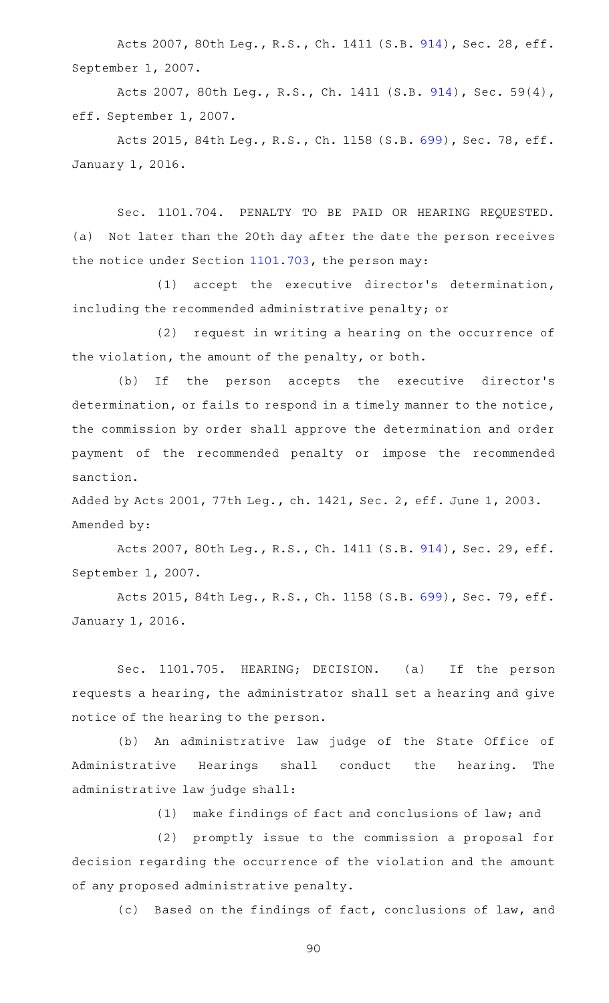Acts 2007, 80th Leg., R.S., Ch. 1411 (S.B. [914\)](http://www.legis.state.tx.us/tlodocs/80R/billtext/html/SB00914F.HTM), Sec. 28, eff. September 1, 2007.

Acts 2007, 80th Leg., R.S., Ch. 1411 (S.B. [914\)](http://www.legis.state.tx.us/tlodocs/80R/billtext/html/SB00914F.HTM), Sec. 59(4), eff. September 1, 2007.

Acts 2015, 84th Leg., R.S., Ch. 1158 (S.B. [699\)](http://www.legis.state.tx.us/tlodocs/84R/billtext/html/SB00699F.HTM), Sec. 78, eff. January 1, 2016.

Sec. 1101.704. PENALTY TO BE PAID OR HEARING REQUESTED. (a) Not later than the 20th day after the date the person receives the notice under Section [1101.703](https://statutes.capitol.texas.gov/GetStatute.aspx?Code=OC&Value=1101.703), the person may:

 $(1)$  accept the executive director's determination, including the recommended administrative penalty; or

(2) request in writing a hearing on the occurrence of the violation, the amount of the penalty, or both.

(b) If the person accepts the executive director's determination, or fails to respond in a timely manner to the notice, the commission by order shall approve the determination and order payment of the recommended penalty or impose the recommended sanction.

Added by Acts 2001, 77th Leg., ch. 1421, Sec. 2, eff. June 1, 2003. Amended by:

Acts 2007, 80th Leg., R.S., Ch. 1411 (S.B. [914\)](http://www.legis.state.tx.us/tlodocs/80R/billtext/html/SB00914F.HTM), Sec. 29, eff. September 1, 2007.

Acts 2015, 84th Leg., R.S., Ch. 1158 (S.B. [699\)](http://www.legis.state.tx.us/tlodocs/84R/billtext/html/SB00699F.HTM), Sec. 79, eff. January 1, 2016.

Sec. 1101.705. HEARING; DECISION. (a) If the person requests a hearing, the administrator shall set a hearing and give notice of the hearing to the person.

(b) An administrative law judge of the State Office of Administrative Hearings shall conduct the hearing. The administrative law judge shall:

(1) make findings of fact and conclusions of law; and

(2) promptly issue to the commission a proposal for decision regarding the occurrence of the violation and the amount of any proposed administrative penalty.

(c) Based on the findings of fact, conclusions of law, and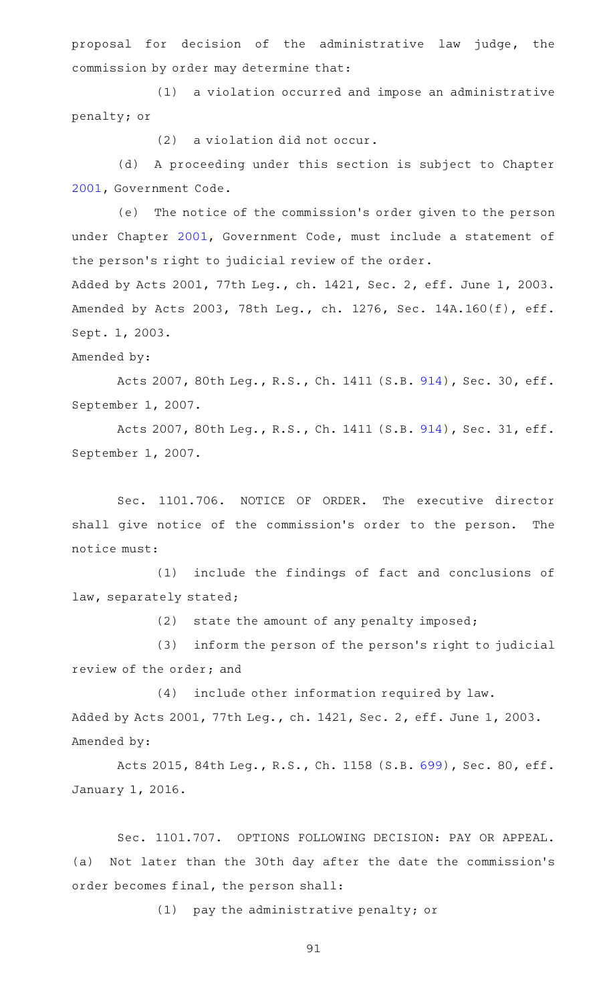proposal for decision of the administrative law judge, the commission by order may determine that:

(1) a violation occurred and impose an administrative penalty; or

 $(2)$  a violation did not occur.

(d) A proceeding under this section is subject to Chapter [2001](https://statutes.capitol.texas.gov/GetStatute.aspx?Code=GV&Value=2001), Government Code.

(e) The notice of the commission's order given to the person under Chapter [2001,](https://statutes.capitol.texas.gov/GetStatute.aspx?Code=GV&Value=2001) Government Code, must include a statement of the person's right to judicial review of the order.

Added by Acts 2001, 77th Leg., ch. 1421, Sec. 2, eff. June 1, 2003. Amended by Acts 2003, 78th Leg., ch. 1276, Sec. 14A.160(f), eff. Sept. 1, 2003.

## Amended by:

Acts 2007, 80th Leg., R.S., Ch. 1411 (S.B. [914\)](http://www.legis.state.tx.us/tlodocs/80R/billtext/html/SB00914F.HTM), Sec. 30, eff. September 1, 2007.

Acts 2007, 80th Leg., R.S., Ch. 1411 (S.B. [914\)](http://www.legis.state.tx.us/tlodocs/80R/billtext/html/SB00914F.HTM), Sec. 31, eff. September 1, 2007.

Sec. 1101.706. NOTICE OF ORDER. The executive director shall give notice of the commission's order to the person. The notice must:

(1) include the findings of fact and conclusions of law, separately stated;

 $(2)$  state the amount of any penalty imposed;

(3) inform the person of the person's right to judicial review of the order; and

(4) include other information required by law. Added by Acts 2001, 77th Leg., ch. 1421, Sec. 2, eff. June 1, 2003. Amended by:

Acts 2015, 84th Leg., R.S., Ch. 1158 (S.B. [699\)](http://www.legis.state.tx.us/tlodocs/84R/billtext/html/SB00699F.HTM), Sec. 80, eff. January 1, 2016.

Sec. 1101.707. OPTIONS FOLLOWING DECISION: PAY OR APPEAL. (a) Not later than the 30th day after the date the commission 's order becomes final, the person shall:

(1) pay the administrative penalty; or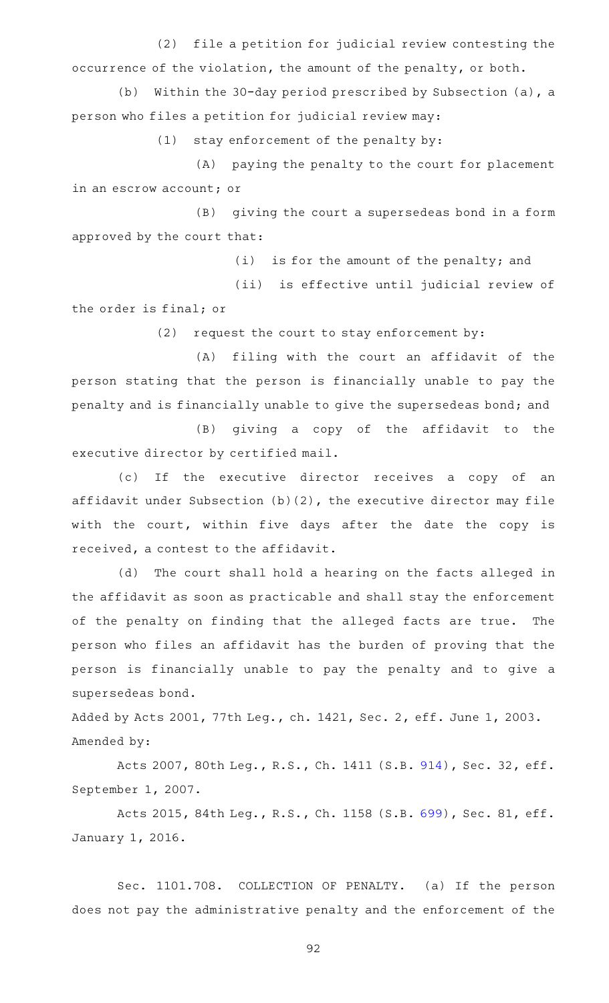(2) file a petition for judicial review contesting the occurrence of the violation, the amount of the penalty, or both.

(b) Within the 30-day period prescribed by Subsection (a), a person who files a petition for judicial review may:

 $(1)$  stay enforcement of the penalty by:

(A) paying the penalty to the court for placement in an escrow account; or

(B) giving the court a supersedeas bond in a form approved by the court that:

 $(i)$  is for the amount of the penalty; and

(ii) is effective until judicial review of the order is final; or

 $(2)$  request the court to stay enforcement by:

(A) filing with the court an affidavit of the person stating that the person is financially unable to pay the penalty and is financially unable to give the supersedeas bond; and

(B) giving a copy of the affidavit to the executive director by certified mail.

(c) If the executive director receives a copy of an affidavit under Subsection (b)(2), the executive director may file with the court, within five days after the date the copy is received, a contest to the affidavit.

(d) The court shall hold a hearing on the facts alleged in the affidavit as soon as practicable and shall stay the enforcement of the penalty on finding that the alleged facts are true. The person who files an affidavit has the burden of proving that the person is financially unable to pay the penalty and to give a supersedeas bond.

Added by Acts 2001, 77th Leg., ch. 1421, Sec. 2, eff. June 1, 2003. Amended by:

Acts 2007, 80th Leg., R.S., Ch. 1411 (S.B. [914\)](http://www.legis.state.tx.us/tlodocs/80R/billtext/html/SB00914F.HTM), Sec. 32, eff. September 1, 2007.

Acts 2015, 84th Leg., R.S., Ch. 1158 (S.B. [699\)](http://www.legis.state.tx.us/tlodocs/84R/billtext/html/SB00699F.HTM), Sec. 81, eff. January 1, 2016.

Sec. 1101.708. COLLECTION OF PENALTY. (a) If the person does not pay the administrative penalty and the enforcement of the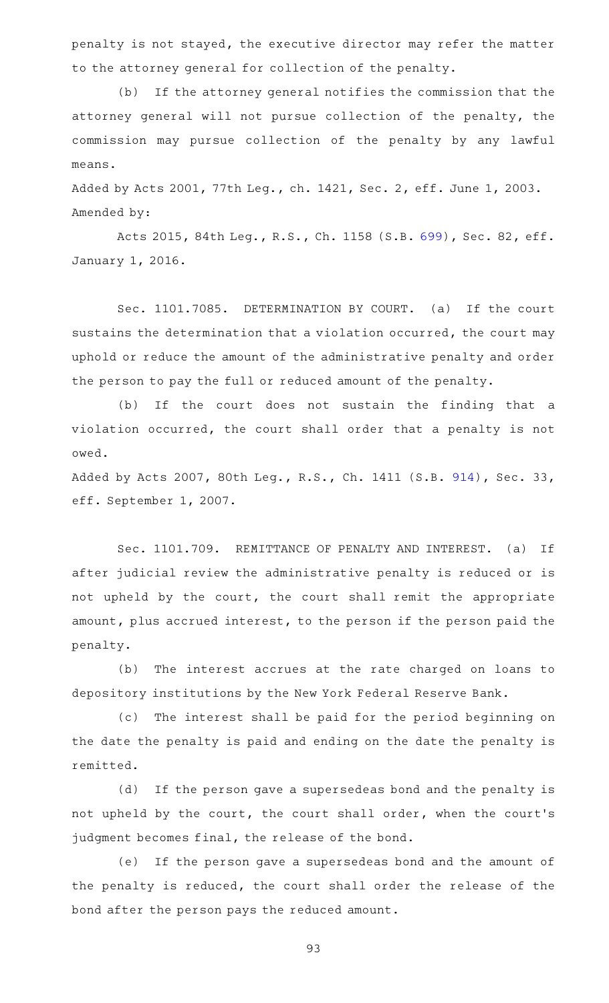penalty is not stayed, the executive director may refer the matter to the attorney general for collection of the penalty.

(b) If the attorney general notifies the commission that the attorney general will not pursue collection of the penalty, the commission may pursue collection of the penalty by any lawful means.

Added by Acts 2001, 77th Leg., ch. 1421, Sec. 2, eff. June 1, 2003. Amended by:

Acts 2015, 84th Leg., R.S., Ch. 1158 (S.B. [699\)](http://www.legis.state.tx.us/tlodocs/84R/billtext/html/SB00699F.HTM), Sec. 82, eff. January 1, 2016.

Sec. 1101.7085. DETERMINATION BY COURT. (a) If the court sustains the determination that a violation occurred, the court may uphold or reduce the amount of the administrative penalty and order the person to pay the full or reduced amount of the penalty.

(b) If the court does not sustain the finding that a violation occurred, the court shall order that a penalty is not owed.

Added by Acts 2007, 80th Leg., R.S., Ch. 1411 (S.B. [914\)](http://www.legis.state.tx.us/tlodocs/80R/billtext/html/SB00914F.HTM), Sec. 33, eff. September 1, 2007.

Sec. 1101.709. REMITTANCE OF PENALTY AND INTEREST. (a) If after judicial review the administrative penalty is reduced or is not upheld by the court, the court shall remit the appropriate amount, plus accrued interest, to the person if the person paid the penalty.

(b) The interest accrues at the rate charged on loans to depository institutions by the New York Federal Reserve Bank.

(c) The interest shall be paid for the period beginning on the date the penalty is paid and ending on the date the penalty is remitted.

(d) If the person gave a supersedeas bond and the penalty is not upheld by the court, the court shall order, when the court 's judgment becomes final, the release of the bond.

(e) If the person gave a supersedeas bond and the amount of the penalty is reduced, the court shall order the release of the bond after the person pays the reduced amount.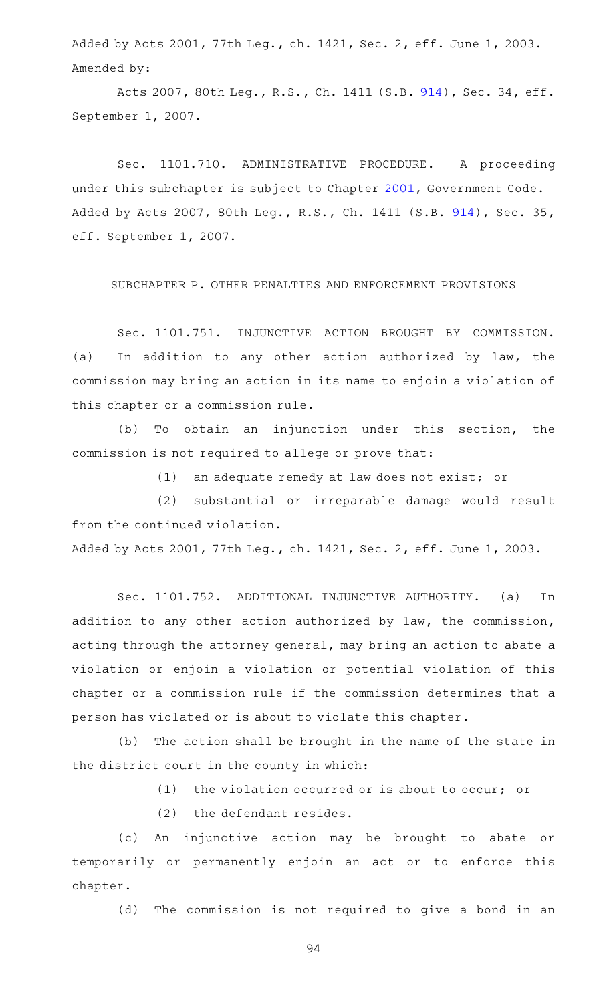Added by Acts 2001, 77th Leg., ch. 1421, Sec. 2, eff. June 1, 2003. Amended by:

Acts 2007, 80th Leg., R.S., Ch. 1411 (S.B. [914\)](http://www.legis.state.tx.us/tlodocs/80R/billtext/html/SB00914F.HTM), Sec. 34, eff. September 1, 2007.

Sec. 1101.710. ADMINISTRATIVE PROCEDURE. A proceeding under this subchapter is subject to Chapter [2001,](https://statutes.capitol.texas.gov/GetStatute.aspx?Code=GV&Value=2001) Government Code. Added by Acts 2007, 80th Leg., R.S., Ch. 1411 (S.B. [914\)](http://www.legis.state.tx.us/tlodocs/80R/billtext/html/SB00914F.HTM), Sec. 35, eff. September 1, 2007.

SUBCHAPTER P. OTHER PENALTIES AND ENFORCEMENT PROVISIONS

Sec. 1101.751. INJUNCTIVE ACTION BROUGHT BY COMMISSION. (a) In addition to any other action authorized by law, the commission may bring an action in its name to enjoin a violation of this chapter or a commission rule.

(b) To obtain an injunction under this section, the commission is not required to allege or prove that:

 $(1)$  an adequate remedy at law does not exist; or

(2) substantial or irreparable damage would result from the continued violation.

Added by Acts 2001, 77th Leg., ch. 1421, Sec. 2, eff. June 1, 2003.

Sec. 1101.752. ADDITIONAL INJUNCTIVE AUTHORITY. (a) In addition to any other action authorized by law, the commission, acting through the attorney general, may bring an action to abate a violation or enjoin a violation or potential violation of this chapter or a commission rule if the commission determines that a person has violated or is about to violate this chapter.

(b) The action shall be brought in the name of the state in the district court in the county in which:

(1) the violation occurred or is about to occur; or

 $(2)$  the defendant resides.

(c) An injunctive action may be brought to abate or temporarily or permanently enjoin an act or to enforce this chapter.

(d) The commission is not required to give a bond in an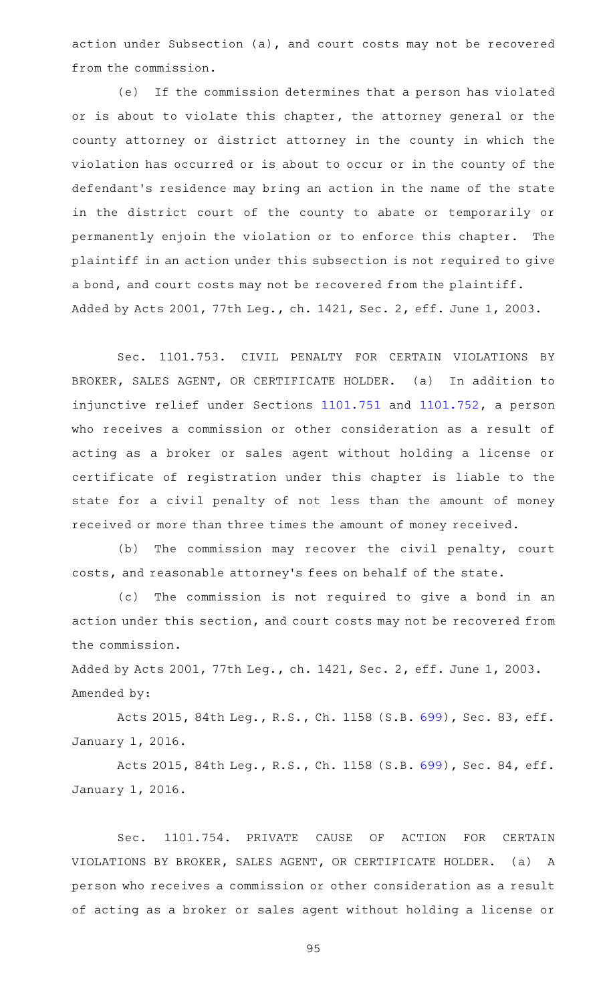action under Subsection (a), and court costs may not be recovered from the commission.

(e) If the commission determines that a person has violated or is about to violate this chapter, the attorney general or the county attorney or district attorney in the county in which the violation has occurred or is about to occur or in the county of the defendant 's residence may bring an action in the name of the state in the district court of the county to abate or temporarily or permanently enjoin the violation or to enforce this chapter. The plaintiff in an action under this subsection is not required to give a bond, and court costs may not be recovered from the plaintiff. Added by Acts 2001, 77th Leg., ch. 1421, Sec. 2, eff. June 1, 2003.

Sec. 1101.753. CIVIL PENALTY FOR CERTAIN VIOLATIONS BY BROKER, SALES AGENT, OR CERTIFICATE HOLDER. (a) In addition to injunctive relief under Sections [1101.751](https://statutes.capitol.texas.gov/GetStatute.aspx?Code=OC&Value=1101.751) and [1101.752,](https://statutes.capitol.texas.gov/GetStatute.aspx?Code=OC&Value=1101.752) a person who receives a commission or other consideration as a result of acting as a broker or sales agent without holding a license or certificate of registration under this chapter is liable to the state for a civil penalty of not less than the amount of money received or more than three times the amount of money received.

(b) The commission may recover the civil penalty, court costs, and reasonable attorney 's fees on behalf of the state.

(c) The commission is not required to give a bond in an action under this section, and court costs may not be recovered from the commission.

Added by Acts 2001, 77th Leg., ch. 1421, Sec. 2, eff. June 1, 2003. Amended by:

Acts 2015, 84th Leg., R.S., Ch. 1158 (S.B. [699\)](http://www.legis.state.tx.us/tlodocs/84R/billtext/html/SB00699F.HTM), Sec. 83, eff. January 1, 2016.

Acts 2015, 84th Leg., R.S., Ch. 1158 (S.B. [699\)](http://www.legis.state.tx.us/tlodocs/84R/billtext/html/SB00699F.HTM), Sec. 84, eff. January 1, 2016.

Sec. 1101.754. PRIVATE CAUSE OF ACTION FOR CERTAIN VIOLATIONS BY BROKER, SALES AGENT, OR CERTIFICATE HOLDER. (a) A person who receives a commission or other consideration as a result of acting as a broker or sales agent without holding a license or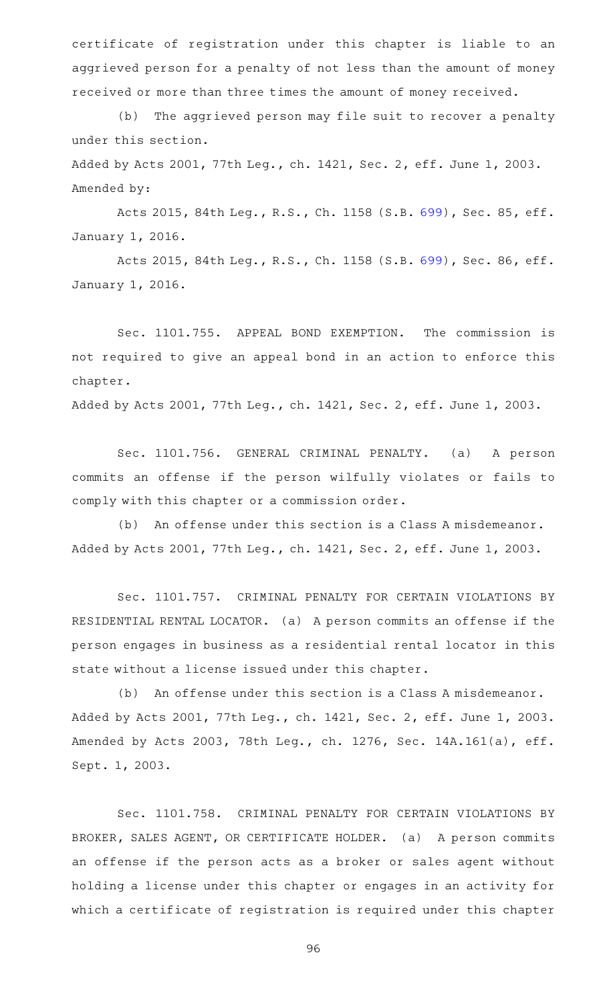certificate of registration under this chapter is liable to an aggrieved person for a penalty of not less than the amount of money received or more than three times the amount of money received.

(b) The aggrieved person may file suit to recover a penalty under this section.

Added by Acts 2001, 77th Leg., ch. 1421, Sec. 2, eff. June 1, 2003. Amended by:

Acts 2015, 84th Leg., R.S., Ch. 1158 (S.B. [699\)](http://www.legis.state.tx.us/tlodocs/84R/billtext/html/SB00699F.HTM), Sec. 85, eff. January 1, 2016.

Acts 2015, 84th Leg., R.S., Ch. 1158 (S.B. [699\)](http://www.legis.state.tx.us/tlodocs/84R/billtext/html/SB00699F.HTM), Sec. 86, eff. January 1, 2016.

Sec. 1101.755. APPEAL BOND EXEMPTION. The commission is not required to give an appeal bond in an action to enforce this chapter.

Added by Acts 2001, 77th Leg., ch. 1421, Sec. 2, eff. June 1, 2003.

Sec. 1101.756. GENERAL CRIMINAL PENALTY. (a) A person commits an offense if the person wilfully violates or fails to comply with this chapter or a commission order.

(b) An offense under this section is a Class A misdemeanor. Added by Acts 2001, 77th Leg., ch. 1421, Sec. 2, eff. June 1, 2003.

Sec. 1101.757. CRIMINAL PENALTY FOR CERTAIN VIOLATIONS BY RESIDENTIAL RENTAL LOCATOR. (a) A person commits an offense if the person engages in business as a residential rental locator in this state without a license issued under this chapter.

(b) An offense under this section is a Class A misdemeanor. Added by Acts 2001, 77th Leg., ch. 1421, Sec. 2, eff. June 1, 2003. Amended by Acts 2003, 78th Leg., ch. 1276, Sec. 14A.161(a), eff. Sept. 1, 2003.

Sec. 1101.758. CRIMINAL PENALTY FOR CERTAIN VIOLATIONS BY BROKER, SALES AGENT, OR CERTIFICATE HOLDER. (a) A person commits an offense if the person acts as a broker or sales agent without holding a license under this chapter or engages in an activity for which a certificate of registration is required under this chapter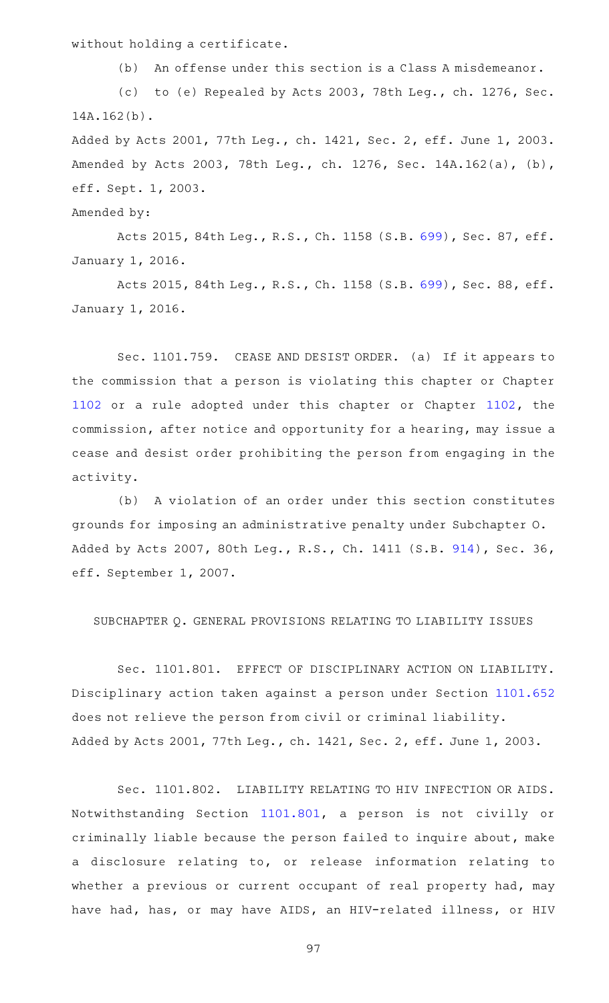without holding a certificate.

(b) An offense under this section is a Class A misdemeanor.

(c) to (e) Repealed by Acts 2003, 78th Leg., ch. 1276, Sec. 14A.162(b).

Added by Acts 2001, 77th Leg., ch. 1421, Sec. 2, eff. June 1, 2003. Amended by Acts 2003, 78th Leg., ch. 1276, Sec. 14A.162(a), (b), eff. Sept. 1, 2003.

Amended by:

Acts 2015, 84th Leg., R.S., Ch. 1158 (S.B. [699\)](http://www.legis.state.tx.us/tlodocs/84R/billtext/html/SB00699F.HTM), Sec. 87, eff. January 1, 2016.

Acts 2015, 84th Leg., R.S., Ch. 1158 (S.B. [699\)](http://www.legis.state.tx.us/tlodocs/84R/billtext/html/SB00699F.HTM), Sec. 88, eff. January 1, 2016.

Sec. 1101.759. CEASE AND DESIST ORDER. (a) If it appears to the commission that a person is violating this chapter or Chapter [1102](https://statutes.capitol.texas.gov/GetStatute.aspx?Code=OC&Value=1102) or a rule adopted under this chapter or Chapter [1102,](https://statutes.capitol.texas.gov/GetStatute.aspx?Code=OC&Value=1102) the commission, after notice and opportunity for a hearing, may issue a cease and desist order prohibiting the person from engaging in the activity.

(b) A violation of an order under this section constitutes grounds for imposing an administrative penalty under Subchapter O. Added by Acts 2007, 80th Leg., R.S., Ch. 1411 (S.B. [914\)](http://www.legis.state.tx.us/tlodocs/80R/billtext/html/SB00914F.HTM), Sec. 36, eff. September 1, 2007.

SUBCHAPTER Q. GENERAL PROVISIONS RELATING TO LIABILITY ISSUES

Sec. 1101.801. EFFECT OF DISCIPLINARY ACTION ON LIABILITY. Disciplinary action taken against a person under Section [1101.652](https://statutes.capitol.texas.gov/GetStatute.aspx?Code=OC&Value=1101.652) does not relieve the person from civil or criminal liability. Added by Acts 2001, 77th Leg., ch. 1421, Sec. 2, eff. June 1, 2003.

Sec. 1101.802. LIABILITY RELATING TO HIV INFECTION OR AIDS. Notwithstanding Section [1101.801,](https://statutes.capitol.texas.gov/GetStatute.aspx?Code=OC&Value=1101.801) a person is not civilly or criminally liable because the person failed to inquire about, make a disclosure relating to, or release information relating to whether a previous or current occupant of real property had, may have had, has, or may have AIDS, an HIV-related illness, or HIV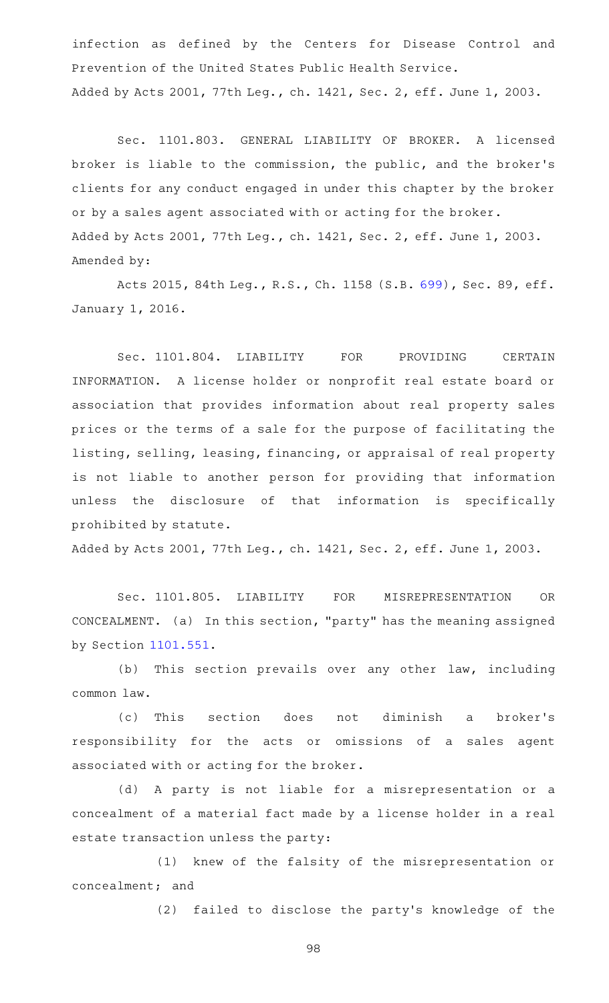infection as defined by the Centers for Disease Control and Prevention of the United States Public Health Service. Added by Acts 2001, 77th Leg., ch. 1421, Sec. 2, eff. June 1, 2003.

Sec. 1101.803. GENERAL LIABILITY OF BROKER. A licensed broker is liable to the commission, the public, and the broker 's clients for any conduct engaged in under this chapter by the broker or by a sales agent associated with or acting for the broker. Added by Acts 2001, 77th Leg., ch. 1421, Sec. 2, eff. June 1, 2003. Amended by:

Acts 2015, 84th Leg., R.S., Ch. 1158 (S.B. [699\)](http://www.legis.state.tx.us/tlodocs/84R/billtext/html/SB00699F.HTM), Sec. 89, eff. January 1, 2016.

Sec. 1101.804. LIABILITY FOR PROVIDING CERTAIN INFORMATION. A license holder or nonprofit real estate board or association that provides information about real property sales prices or the terms of a sale for the purpose of facilitating the listing, selling, leasing, financing, or appraisal of real property is not liable to another person for providing that information unless the disclosure of that information is specifically prohibited by statute.

Added by Acts 2001, 77th Leg., ch. 1421, Sec. 2, eff. June 1, 2003.

Sec. 1101.805. LIABILITY FOR MISREPRESENTATION OR CONCEALMENT. (a) In this section, "party" has the meaning assigned by Section [1101.551](https://statutes.capitol.texas.gov/GetStatute.aspx?Code=OC&Value=1101.551).

(b) This section prevails over any other law, including common law.

(c) This section does not diminish a broker's responsibility for the acts or omissions of a sales agent associated with or acting for the broker.

(d) A party is not liable for a misrepresentation or a concealment of a material fact made by a license holder in a real estate transaction unless the party:

(1) knew of the falsity of the misrepresentation or concealment; and

(2) failed to disclose the party's knowledge of the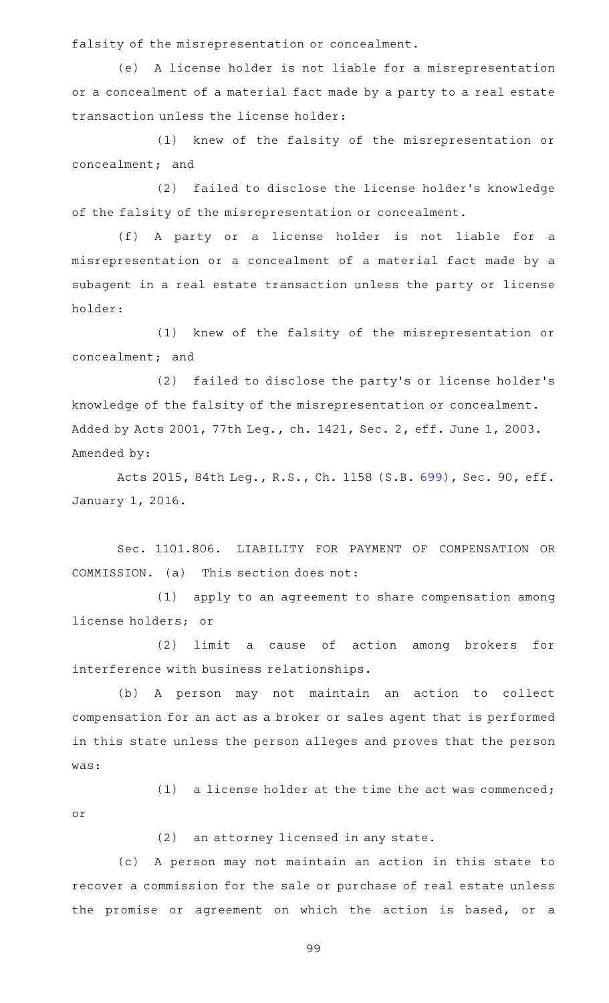falsity of the misrepresentation or concealment.

(e) A license holder is not liable for a misrepresentation or a concealment of a material fact made by a party to a real estate transaction unless the license holder:

(1) knew of the falsity of the misrepresentation or concealment; and

(2) failed to disclose the license holder's knowledge of the falsity of the misrepresentation or concealment.

(f)AAA party or a license holder is not liable for a misrepresentation or a concealment of a material fact made by a subagent in a real estate transaction unless the party or license holder:

(1) knew of the falsity of the misrepresentation or concealment; and

(2) failed to disclose the party's or license holder's knowledge of the falsity of the misrepresentation or concealment. Added by Acts 2001, 77th Leg., ch. 1421, Sec. 2, eff. June 1, 2003. Amended by:

Acts 2015, 84th Leg., R.S., Ch. 1158 (S.B. [699\)](http://www.legis.state.tx.us/tlodocs/84R/billtext/html/SB00699F.HTM), Sec. 90, eff. January 1, 2016.

Sec. 1101.806. LIABILITY FOR PAYMENT OF COMPENSATION OR COMMISSION. (a) This section does not:

(1) apply to an agreement to share compensation among license holders; or

(2) limit a cause of action among brokers for interference with business relationships.

(b) A person may not maintain an action to collect compensation for an act as a broker or sales agent that is performed in this state unless the person alleges and proves that the person was:

(1) a license holder at the time the act was commenced; or

(2) an attorney licensed in any state.

(c)AAA person may not maintain an action in this state to recover a commission for the sale or purchase of real estate unless the promise or agreement on which the action is based, or a